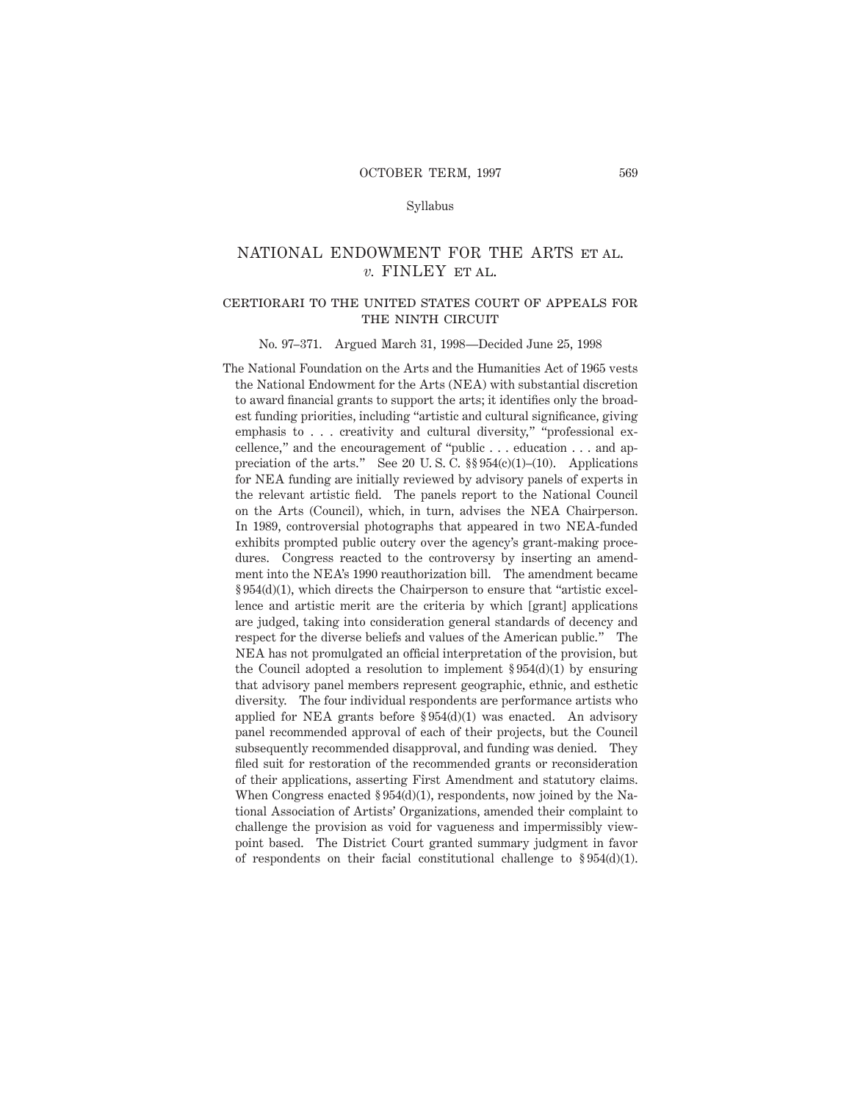### Syllabus

# NATIONAL ENDOWMENT FOR THE ARTS et al. *v.* FINLEY et al.

# certiorari to the united states court of appeals for the ninth circuit

No. 97–371. Argued March 31, 1998—Decided June 25, 1998

The National Foundation on the Arts and the Humanities Act of 1965 vests the National Endowment for the Arts (NEA) with substantial discretion to award financial grants to support the arts; it identifies only the broadest funding priorities, including "artistic and cultural significance, giving emphasis to . . . creativity and cultural diversity," "professional excellence," and the encouragement of "public... education . . . and appreciation of the arts." See 20 U. S. C. §§ 954(c)(1)–(10). Applications for NEA funding are initially reviewed by advisory panels of experts in the relevant artistic field. The panels report to the National Council on the Arts (Council), which, in turn, advises the NEA Chairperson. In 1989, controversial photographs that appeared in two NEA-funded exhibits prompted public outcry over the agency's grant-making procedures. Congress reacted to the controversy by inserting an amendment into the NEA's 1990 reauthorization bill. The amendment became § 954(d)(1), which directs the Chairperson to ensure that "artistic excellence and artistic merit are the criteria by which [grant] applications are judged, taking into consideration general standards of decency and respect for the diverse beliefs and values of the American public." The NEA has not promulgated an official interpretation of the provision, but the Council adopted a resolution to implement  $\S 954(d)(1)$  by ensuring that advisory panel members represent geographic, ethnic, and esthetic diversity. The four individual respondents are performance artists who applied for NEA grants before  $$954(d)(1)$  was enacted. An advisory panel recommended approval of each of their projects, but the Council subsequently recommended disapproval, and funding was denied. They filed suit for restoration of the recommended grants or reconsideration of their applications, asserting First Amendment and statutory claims. When Congress enacted § 954(d)(1), respondents, now joined by the National Association of Artists' Organizations, amended their complaint to challenge the provision as void for vagueness and impermissibly viewpoint based. The District Court granted summary judgment in favor of respondents on their facial constitutional challenge to  $\S 954(d)(1)$ .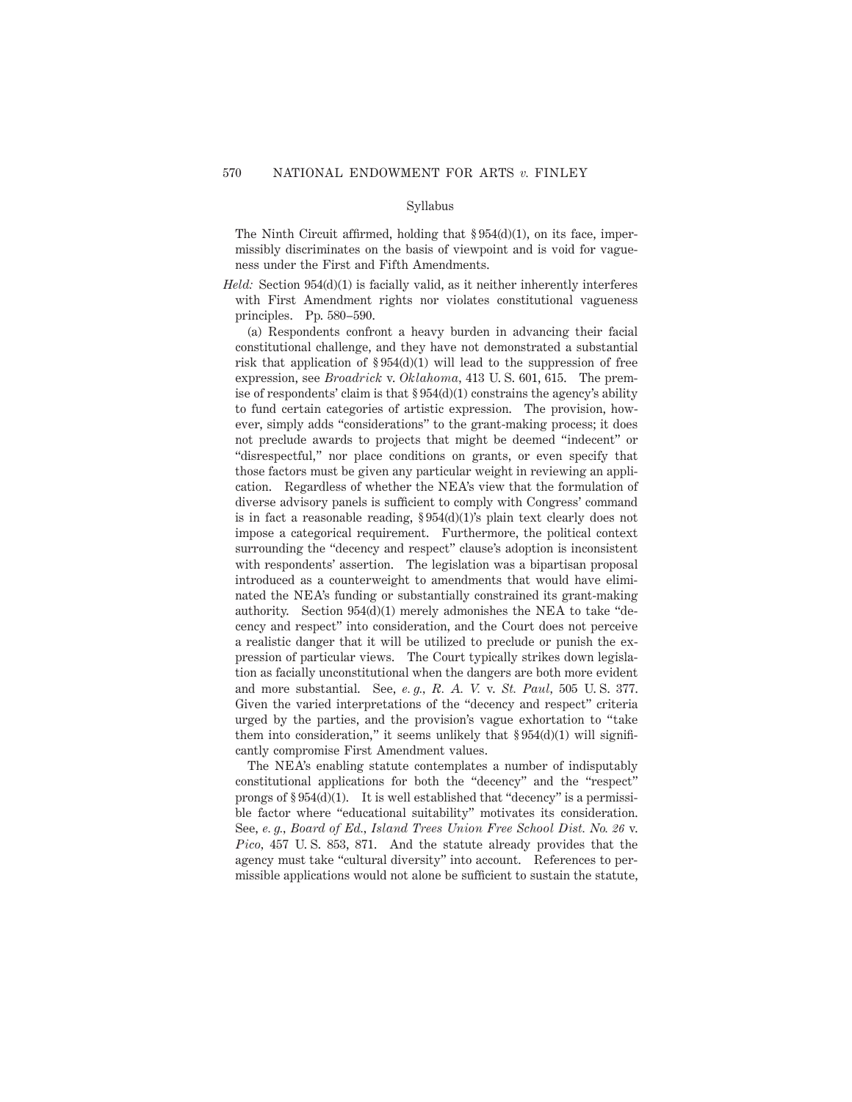### Syllabus

The Ninth Circuit affirmed, holding that  $\S 954(d)(1)$ , on its face, impermissibly discriminates on the basis of viewpoint and is void for vagueness under the First and Fifth Amendments.

*Held:* Section 954(d)(1) is facially valid, as it neither inherently interferes with First Amendment rights nor violates constitutional vagueness principles. Pp. 580–590.

(a) Respondents confront a heavy burden in advancing their facial constitutional challenge, and they have not demonstrated a substantial risk that application of  $\S 954(d)(1)$  will lead to the suppression of free expression, see *Broadrick* v. *Oklahoma,* 413 U. S. 601, 615. The premise of respondents' claim is that  $\S 954(d)(1)$  constrains the agency's ability to fund certain categories of artistic expression. The provision, however, simply adds "considerations" to the grant-making process; it does not preclude awards to projects that might be deemed "indecent" or "disrespectful," nor place conditions on grants, or even specify that those factors must be given any particular weight in reviewing an application. Regardless of whether the NEA's view that the formulation of diverse advisory panels is sufficient to comply with Congress' command is in fact a reasonable reading, § 954(d)(1)'s plain text clearly does not impose a categorical requirement. Furthermore, the political context surrounding the "decency and respect" clause's adoption is inconsistent with respondents' assertion. The legislation was a bipartisan proposal introduced as a counterweight to amendments that would have eliminated the NEA's funding or substantially constrained its grant-making authority. Section 954(d)(1) merely admonishes the NEA to take "decency and respect" into consideration, and the Court does not perceive a realistic danger that it will be utilized to preclude or punish the expression of particular views. The Court typically strikes down legislation as facially unconstitutional when the dangers are both more evident and more substantial. See, *e. g., R. A. V.* v. *St. Paul,* 505 U. S. 377. Given the varied interpretations of the "decency and respect" criteria urged by the parties, and the provision's vague exhortation to "take them into consideration," it seems unlikely that § 954(d)(1) will significantly compromise First Amendment values.

The NEA's enabling statute contemplates a number of indisputably constitutional applications for both the "decency" and the "respect" prongs of  $\S 954(d)(1)$ . It is well established that "decency" is a permissible factor where "educational suitability" motivates its consideration. See, *e. g., Board of Ed., Island Trees Union Free School Dist. No. 26* v. *Pico,* 457 U. S. 853, 871. And the statute already provides that the agency must take "cultural diversity" into account. References to permissible applications would not alone be sufficient to sustain the statute,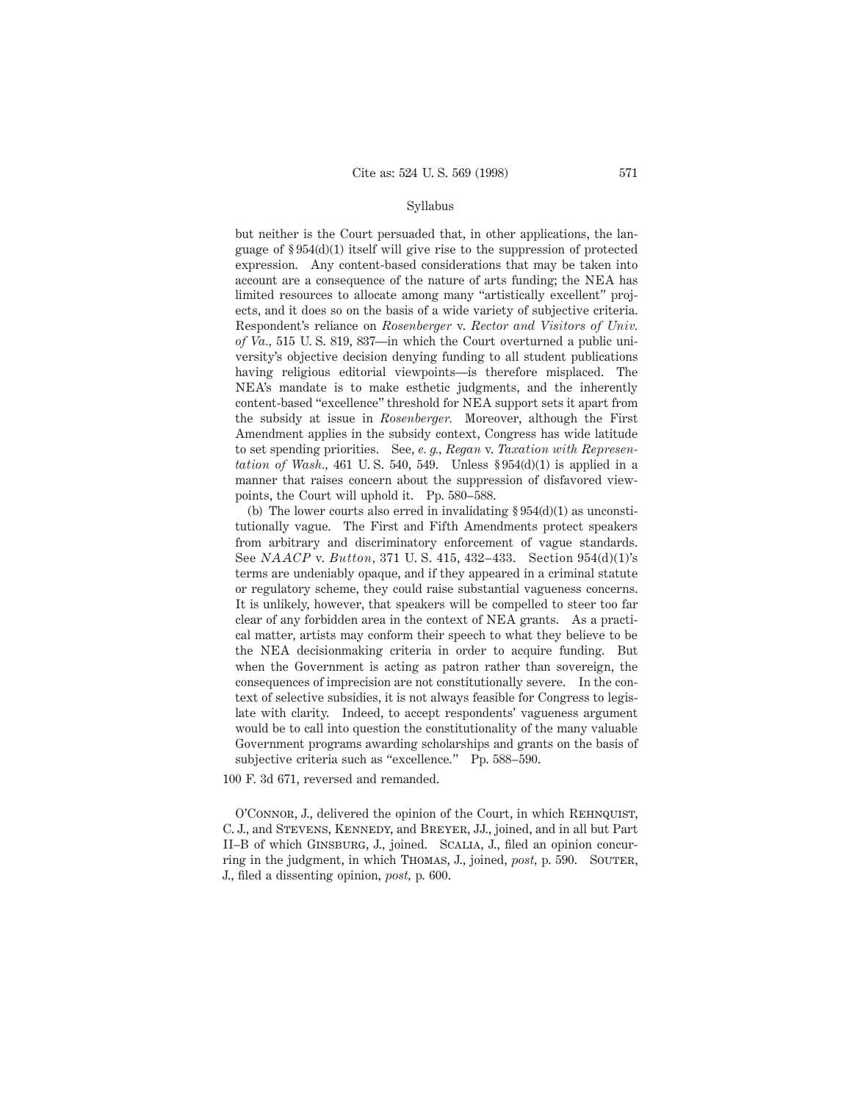#### Syllabus

but neither is the Court persuaded that, in other applications, the language of § 954(d)(1) itself will give rise to the suppression of protected expression. Any content-based considerations that may be taken into account are a consequence of the nature of arts funding; the NEA has limited resources to allocate among many "artistically excellent" projects, and it does so on the basis of a wide variety of subjective criteria. Respondent's reliance on *Rosenberger* v. *Rector and Visitors of Univ. of Va.,* 515 U. S. 819, 837—in which the Court overturned a public university's objective decision denying funding to all student publications having religious editorial viewpoints—is therefore misplaced. The NEA's mandate is to make esthetic judgments, and the inherently content-based "excellence" threshold for NEA support sets it apart from the subsidy at issue in *Rosenberger.* Moreover, although the First Amendment applies in the subsidy context, Congress has wide latitude to set spending priorities. See, *e. g., Regan* v. *Taxation with Representation of Wash.,* 461 U. S. 540, 549. Unless § 954(d)(1) is applied in a manner that raises concern about the suppression of disfavored viewpoints, the Court will uphold it. Pp. 580–588.

(b) The lower courts also erred in invalidating  $\S 954(d)(1)$  as unconstitutionally vague. The First and Fifth Amendments protect speakers from arbitrary and discriminatory enforcement of vague standards. See *NAACP* v. *Button,* 371 U. S. 415, 432–433. Section 954(d)(1)'s terms are undeniably opaque, and if they appeared in a criminal statute or regulatory scheme, they could raise substantial vagueness concerns. It is unlikely, however, that speakers will be compelled to steer too far clear of any forbidden area in the context of NEA grants. As a practical matter, artists may conform their speech to what they believe to be the NEA decisionmaking criteria in order to acquire funding. But when the Government is acting as patron rather than sovereign, the consequences of imprecision are not constitutionally severe. In the context of selective subsidies, it is not always feasible for Congress to legislate with clarity. Indeed, to accept respondents' vagueness argument would be to call into question the constitutionality of the many valuable Government programs awarding scholarships and grants on the basis of subjective criteria such as "excellence." Pp. 588–590.

100 F. 3d 671, reversed and remanded.

O'CONNOR, J., delivered the opinion of the Court, in which REHNQUIST, C. J., and Stevens, Kennedy, and Breyer, JJ., joined, and in all but Part II–B of which Ginsburg, J., joined. Scalia, J., filed an opinion concurring in the judgment, in which Thomas, J., joined, *post*, p. 590. SOUTER, J., filed a dissenting opinion, *post,* p. 600.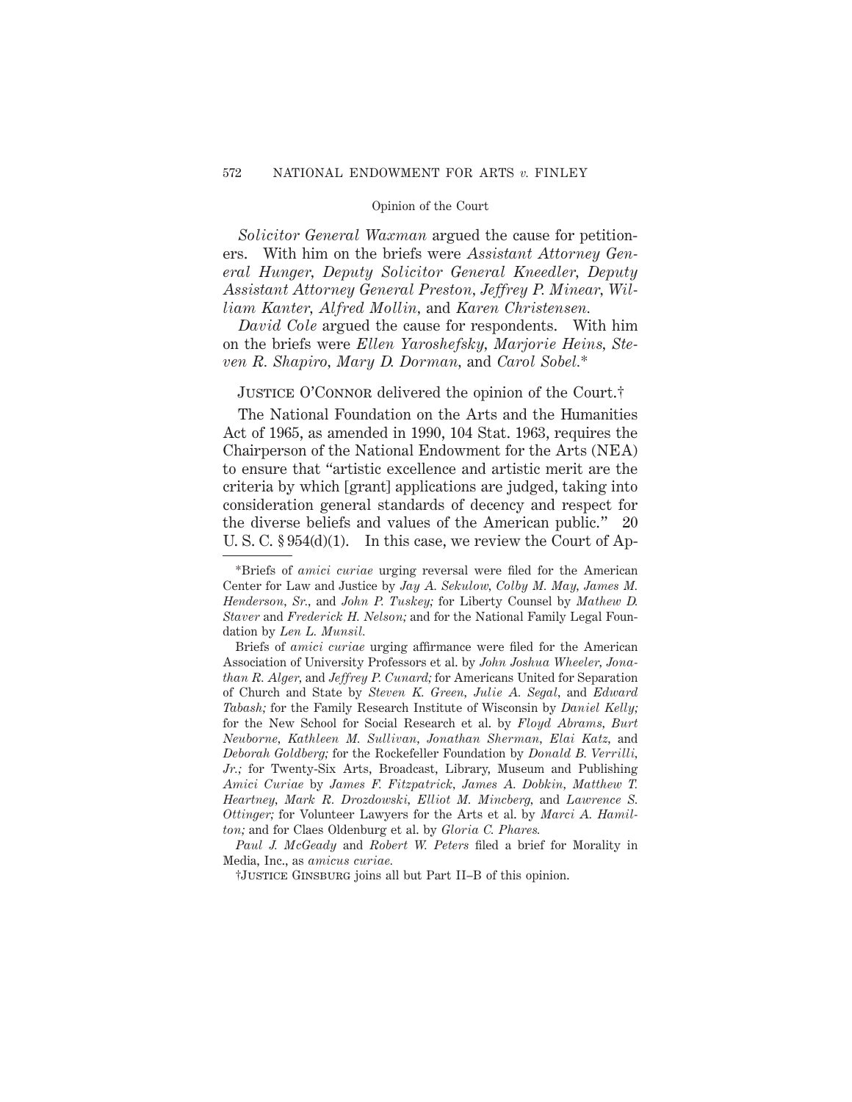*Solicitor General Waxman* argued the cause for petitioners. With him on the briefs were *Assistant Attorney General Hunger, Deputy Solicitor General Kneedler, Deputy Assistant Attorney General Preston, Jeffrey P. Minear, William Kanter, Alfred Mollin,* and *Karen Christensen.*

*David Cole* argued the cause for respondents. With him on the briefs were *Ellen Yaroshefsky, Marjorie Heins, Steven R. Shapiro, Mary D. Dorman,* and *Carol Sobel.*\*

# JUSTICE O'CONNOR delivered the opinion of the Court.<sup>†</sup>

The National Foundation on the Arts and the Humanities Act of 1965, as amended in 1990, 104 Stat. 1963, requires the Chairperson of the National Endowment for the Arts (NEA) to ensure that "artistic excellence and artistic merit are the criteria by which [grant] applications are judged, taking into consideration general standards of decency and respect for the diverse beliefs and values of the American public." 20 U. S. C.  $\S 954(d)(1)$ . In this case, we review the Court of Ap-

<sup>\*</sup>Briefs of *amici curiae* urging reversal were filed for the American Center for Law and Justice by *Jay A. Sekulow, Colby M. May, James M. Henderson, Sr.,* and *John P. Tuskey;* for Liberty Counsel by *Mathew D. Staver* and *Frederick H. Nelson;* and for the National Family Legal Foundation by *Len L. Munsil.*

Briefs of *amici curiae* urging affirmance were filed for the American Association of University Professors et al. by *John Joshua Wheeler, Jonathan R. Alger,* and *Jeffrey P. Cunard;* for Americans United for Separation of Church and State by *Steven K. Green, Julie A. Segal,* and *Edward Tabash;* for the Family Research Institute of Wisconsin by *Daniel Kelly;* for the New School for Social Research et al. by *Floyd Abrams, Burt Neuborne, Kathleen M. Sullivan, Jonathan Sherman, Elai Katz,* and *Deborah Goldberg;* for the Rockefeller Foundation by *Donald B. Verrilli, Jr.;* for Twenty-Six Arts, Broadcast, Library, Museum and Publishing *Amici Curiae* by *James F. Fitzpatrick, James A. Dobkin, Matthew T. Heartney, Mark R. Drozdowski, Elliot M. Mincberg,* and *Lawrence S. Ottinger;* for Volunteer Lawyers for the Arts et al. by *Marci A. Hamilton;* and for Claes Oldenburg et al. by *Gloria C. Phares.*

*Paul J. McGeady* and *Robert W. Peters* filed a brief for Morality in Media, Inc., as *amicus curiae.*

<sup>†</sup>Justice Ginsburg joins all but Part II–B of this opinion.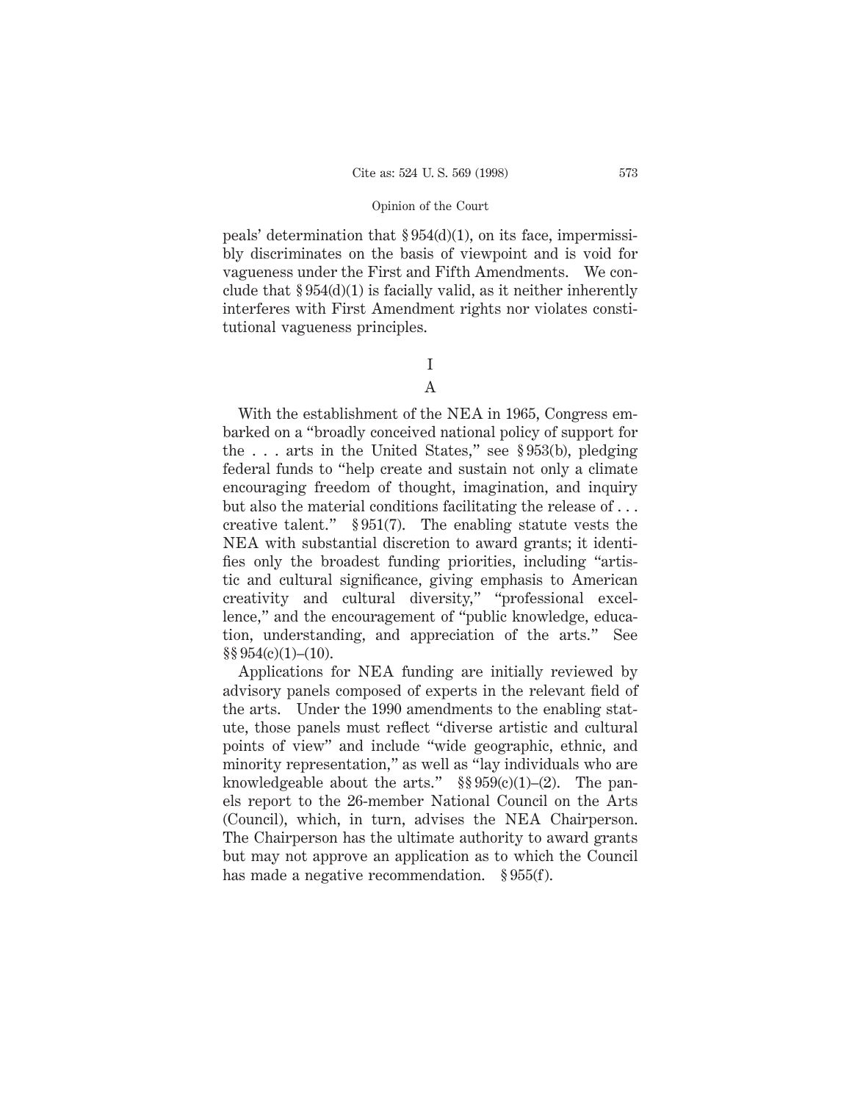peals' determination that  $\S 954(d)(1)$ , on its face, impermissibly discriminates on the basis of viewpoint and is void for vagueness under the First and Fifth Amendments. We conclude that  $\S 954(d)(1)$  is facially valid, as it neither inherently interferes with First Amendment rights nor violates constitutional vagueness principles.

# I

### A

With the establishment of the NEA in 1965, Congress embarked on a "broadly conceived national policy of support for the . . . arts in the United States," see § 953(b), pledging federal funds to "help create and sustain not only a climate encouraging freedom of thought, imagination, and inquiry but also the material conditions facilitating the release of . . . creative talent." § 951(7). The enabling statute vests the NEA with substantial discretion to award grants; it identifies only the broadest funding priorities, including "artistic and cultural significance, giving emphasis to American creativity and cultural diversity," "professional excellence," and the encouragement of "public knowledge, education, understanding, and appreciation of the arts." See  $§$ § 954(c)(1)–(10).

Applications for NEA funding are initially reviewed by advisory panels composed of experts in the relevant field of the arts. Under the 1990 amendments to the enabling statute, those panels must reflect "diverse artistic and cultural points of view" and include "wide geographic, ethnic, and minority representation," as well as "lay individuals who are knowledgeable about the arts."  $\S § 959(c)(1)–(2)$ . The panels report to the 26-member National Council on the Arts (Council), which, in turn, advises the NEA Chairperson. The Chairperson has the ultimate authority to award grants but may not approve an application as to which the Council has made a negative recommendation. § 955(f).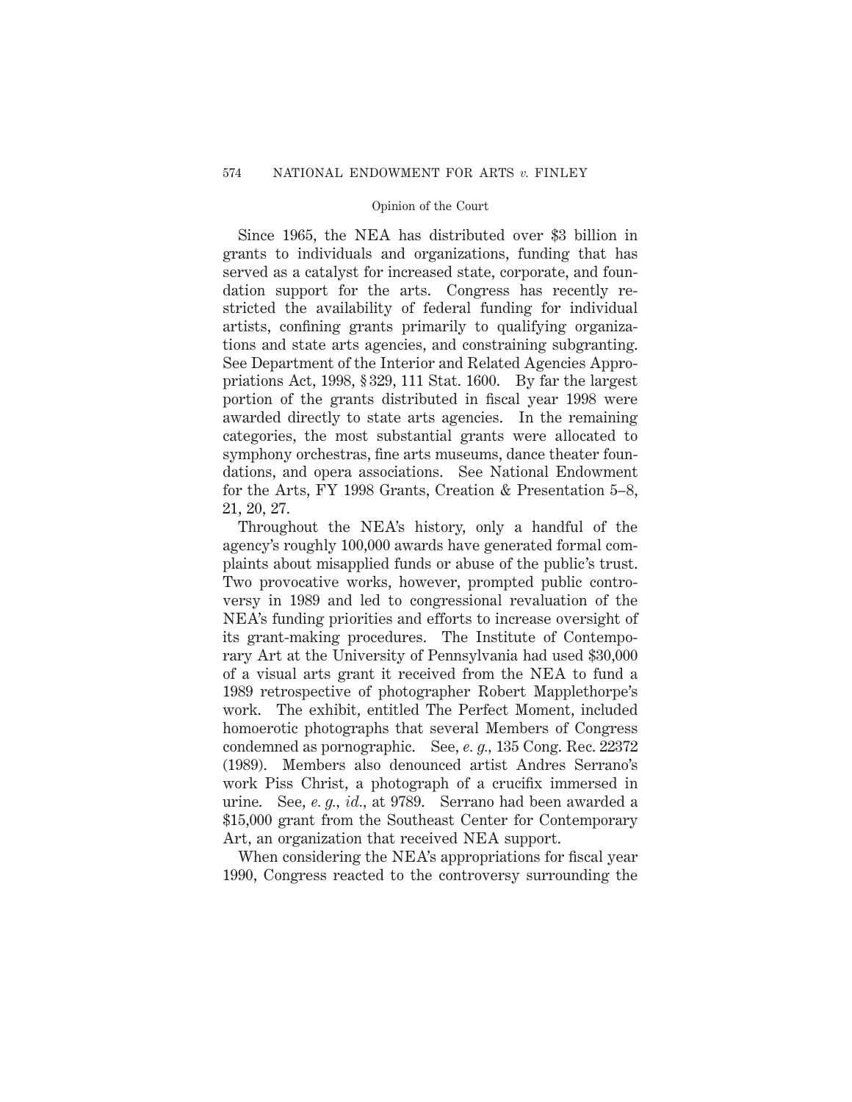Since 1965, the NEA has distributed over \$3 billion in grants to individuals and organizations, funding that has served as a catalyst for increased state, corporate, and foundation support for the arts. Congress has recently restricted the availability of federal funding for individual artists, confining grants primarily to qualifying organizations and state arts agencies, and constraining subgranting. See Department of the Interior and Related Agencies Appropriations Act, 1998, § 329, 111 Stat. 1600. By far the largest portion of the grants distributed in fiscal year 1998 were awarded directly to state arts agencies. In the remaining categories, the most substantial grants were allocated to symphony orchestras, fine arts museums, dance theater foundations, and opera associations. See National Endowment for the Arts, FY 1998 Grants, Creation & Presentation 5–8, 21, 20, 27.

Throughout the NEA's history, only a handful of the agency's roughly 100,000 awards have generated formal complaints about misapplied funds or abuse of the public's trust. Two provocative works, however, prompted public controversy in 1989 and led to congressional revaluation of the NEA's funding priorities and efforts to increase oversight of its grant-making procedures. The Institute of Contemporary Art at the University of Pennsylvania had used \$30,000 of a visual arts grant it received from the NEA to fund a 1989 retrospective of photographer Robert Mapplethorpe's work. The exhibit, entitled The Perfect Moment, included homoerotic photographs that several Members of Congress condemned as pornographic. See, *e. g.,* 135 Cong. Rec. 22372 (1989). Members also denounced artist Andres Serrano's work Piss Christ, a photograph of a crucifix immersed in urine. See, *e. g., id.,* at 9789. Serrano had been awarded a \$15,000 grant from the Southeast Center for Contemporary Art, an organization that received NEA support.

When considering the NEA's appropriations for fiscal year 1990, Congress reacted to the controversy surrounding the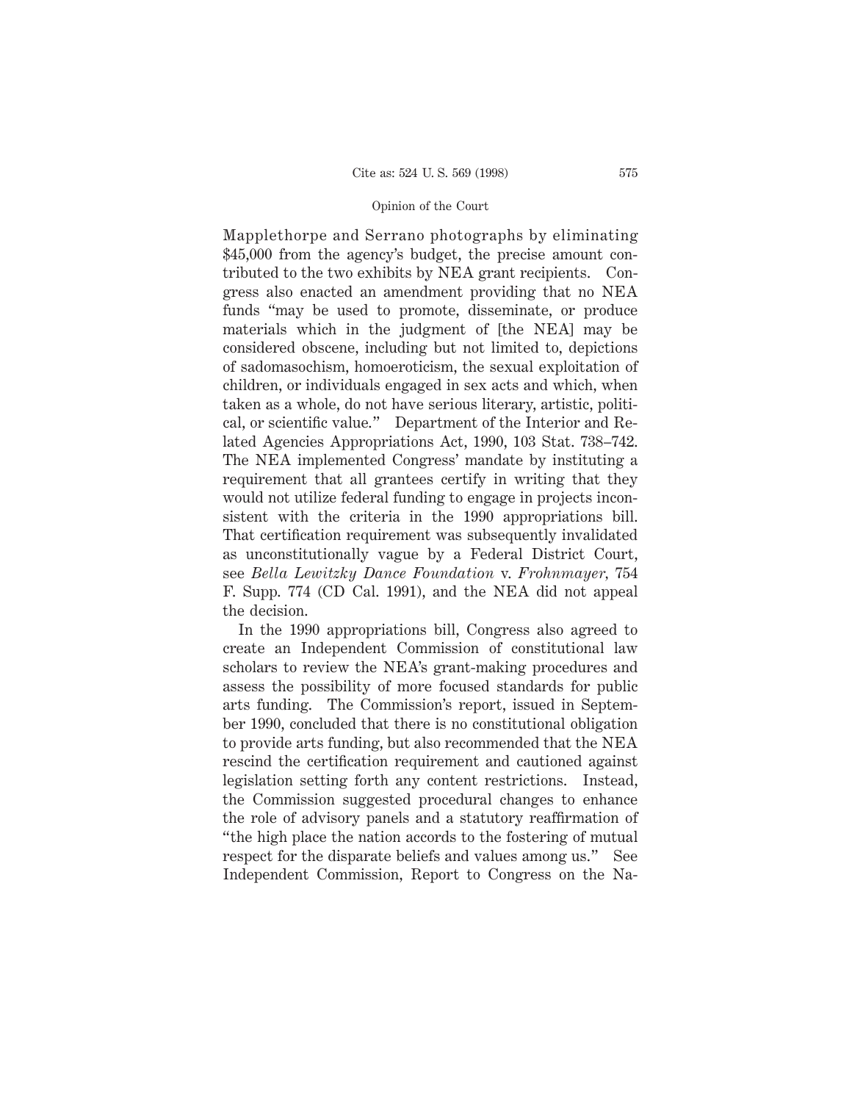Mapplethorpe and Serrano photographs by eliminating \$45,000 from the agency's budget, the precise amount contributed to the two exhibits by NEA grant recipients. Congress also enacted an amendment providing that no NEA funds "may be used to promote, disseminate, or produce materials which in the judgment of [the NEA] may be considered obscene, including but not limited to, depictions of sadomasochism, homoeroticism, the sexual exploitation of children, or individuals engaged in sex acts and which, when taken as a whole, do not have serious literary, artistic, political, or scientific value." Department of the Interior and Related Agencies Appropriations Act, 1990, 103 Stat. 738–742. The NEA implemented Congress' mandate by instituting a requirement that all grantees certify in writing that they would not utilize federal funding to engage in projects inconsistent with the criteria in the 1990 appropriations bill. That certification requirement was subsequently invalidated as unconstitutionally vague by a Federal District Court, see *Bella Lewitzky Dance Foundation* v. *Frohnmayer,* 754 F. Supp. 774 (CD Cal. 1991), and the NEA did not appeal the decision.

In the 1990 appropriations bill, Congress also agreed to create an Independent Commission of constitutional law scholars to review the NEA's grant-making procedures and assess the possibility of more focused standards for public arts funding. The Commission's report, issued in September 1990, concluded that there is no constitutional obligation to provide arts funding, but also recommended that the NEA rescind the certification requirement and cautioned against legislation setting forth any content restrictions. Instead, the Commission suggested procedural changes to enhance the role of advisory panels and a statutory reaffirmation of "the high place the nation accords to the fostering of mutual respect for the disparate beliefs and values among us." See Independent Commission, Report to Congress on the Na-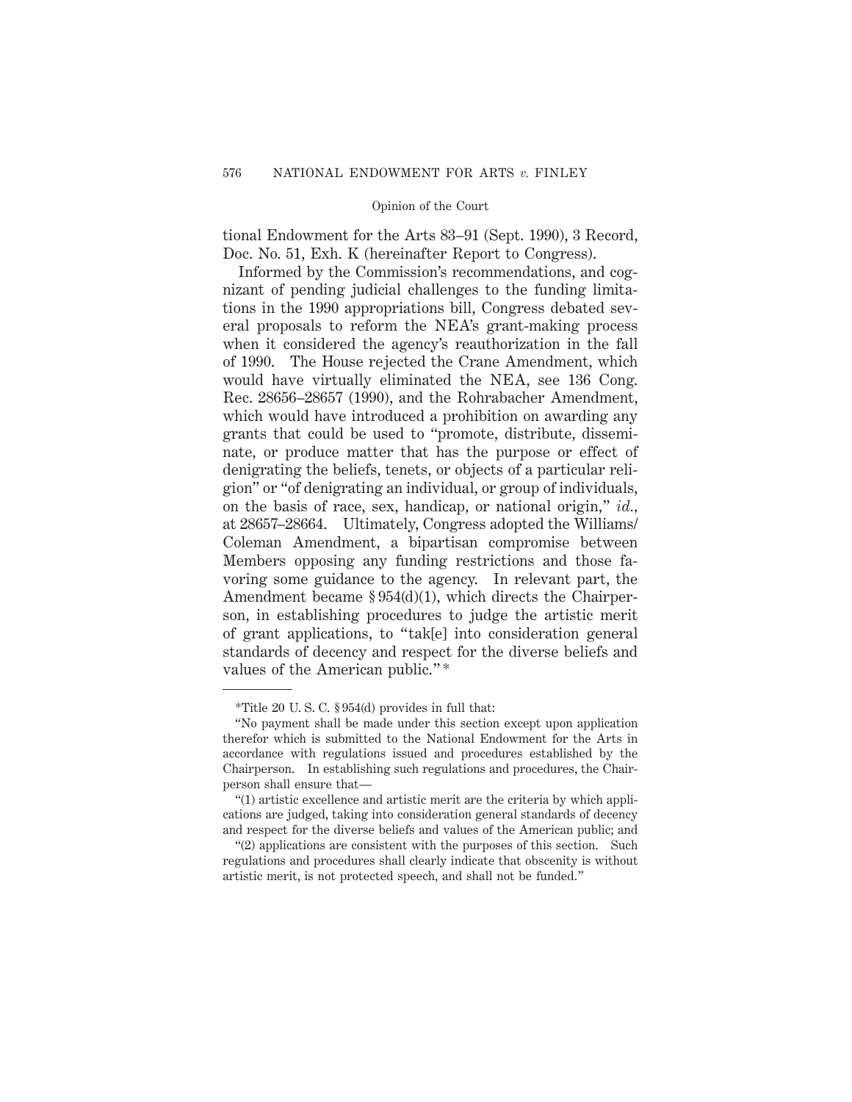tional Endowment for the Arts 83–91 (Sept. 1990), 3 Record, Doc. No. 51, Exh. K (hereinafter Report to Congress).

Informed by the Commission's recommendations, and cognizant of pending judicial challenges to the funding limitations in the 1990 appropriations bill, Congress debated several proposals to reform the NEA's grant-making process when it considered the agency's reauthorization in the fall of 1990. The House rejected the Crane Amendment, which would have virtually eliminated the NEA, see 136 Cong. Rec. 28656–28657 (1990), and the Rohrabacher Amendment, which would have introduced a prohibition on awarding any grants that could be used to "promote, distribute, disseminate, or produce matter that has the purpose or effect of denigrating the beliefs, tenets, or objects of a particular religion" or "of denigrating an individual, or group of individuals, on the basis of race, sex, handicap, or national origin," *id.,* at 28657–28664. Ultimately, Congress adopted the Williams/ Coleman Amendment, a bipartisan compromise between Members opposing any funding restrictions and those favoring some guidance to the agency. In relevant part, the Amendment became § 954(d)(1), which directs the Chairperson, in establishing procedures to judge the artistic merit of grant applications, to "tak[e] into consideration general standards of decency and respect for the diverse beliefs and values of the American public." \*

<sup>\*</sup>Title 20 U. S. C. § 954(d) provides in full that:

<sup>&</sup>quot;No payment shall be made under this section except upon application therefor which is submitted to the National Endowment for the Arts in accordance with regulations issued and procedures established by the Chairperson. In establishing such regulations and procedures, the Chairperson shall ensure that—

<sup>&</sup>quot;(1) artistic excellence and artistic merit are the criteria by which applications are judged, taking into consideration general standards of decency and respect for the diverse beliefs and values of the American public; and

<sup>&</sup>quot;(2) applications are consistent with the purposes of this section. Such regulations and procedures shall clearly indicate that obscenity is without artistic merit, is not protected speech, and shall not be funded."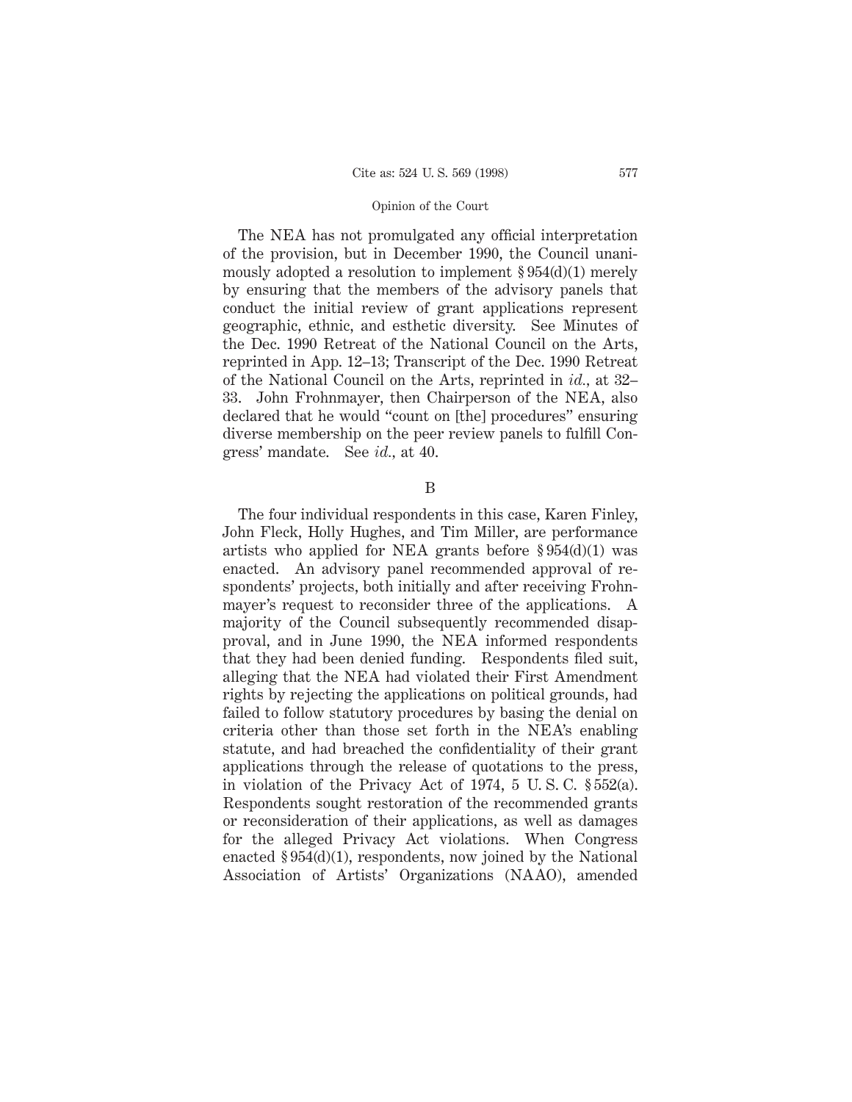The NEA has not promulgated any official interpretation of the provision, but in December 1990, the Council unanimously adopted a resolution to implement § 954(d)(1) merely by ensuring that the members of the advisory panels that conduct the initial review of grant applications represent geographic, ethnic, and esthetic diversity. See Minutes of the Dec. 1990 Retreat of the National Council on the Arts, reprinted in App. 12–13; Transcript of the Dec. 1990 Retreat of the National Council on the Arts, reprinted in *id.,* at 32– 33. John Frohnmayer, then Chairperson of the NEA, also declared that he would "count on [the] procedures" ensuring diverse membership on the peer review panels to fulfill Congress' mandate. See *id.,* at 40.

### B

The four individual respondents in this case, Karen Finley, John Fleck, Holly Hughes, and Tim Miller, are performance artists who applied for NEA grants before  $\S 954(d)(1)$  was enacted. An advisory panel recommended approval of respondents' projects, both initially and after receiving Frohnmayer's request to reconsider three of the applications. A majority of the Council subsequently recommended disapproval, and in June 1990, the NEA informed respondents that they had been denied funding. Respondents filed suit, alleging that the NEA had violated their First Amendment rights by rejecting the applications on political grounds, had failed to follow statutory procedures by basing the denial on criteria other than those set forth in the NEA's enabling statute, and had breached the confidentiality of their grant applications through the release of quotations to the press, in violation of the Privacy Act of 1974, 5 U. S. C. § 552(a). Respondents sought restoration of the recommended grants or reconsideration of their applications, as well as damages for the alleged Privacy Act violations. When Congress enacted  $\S 954(d)(1)$ , respondents, now joined by the National Association of Artists' Organizations (NAAO), amended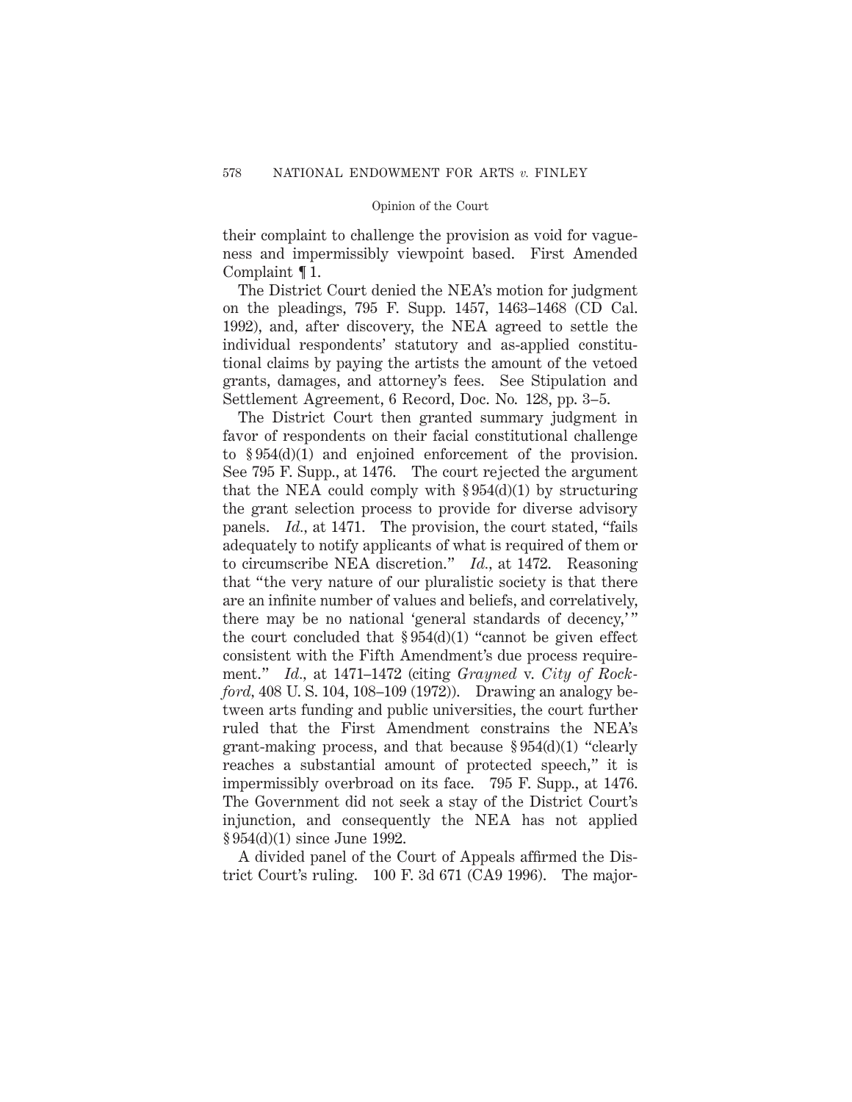their complaint to challenge the provision as void for vagueness and impermissibly viewpoint based. First Amended Complaint ¶ 1.

The District Court denied the NEA's motion for judgment on the pleadings, 795 F. Supp. 1457, 1463–1468 (CD Cal. 1992), and, after discovery, the NEA agreed to settle the individual respondents' statutory and as-applied constitutional claims by paying the artists the amount of the vetoed grants, damages, and attorney's fees. See Stipulation and Settlement Agreement, 6 Record, Doc. No. 128, pp. 3–5.

The District Court then granted summary judgment in favor of respondents on their facial constitutional challenge to § 954(d)(1) and enjoined enforcement of the provision. See 795 F. Supp., at 1476. The court rejected the argument that the NEA could comply with  $\S 954(d)(1)$  by structuring the grant selection process to provide for diverse advisory panels. *Id.,* at 1471. The provision, the court stated, "fails adequately to notify applicants of what is required of them or to circumscribe NEA discretion." *Id.,* at 1472. Reasoning that "the very nature of our pluralistic society is that there are an infinite number of values and beliefs, and correlatively, there may be no national 'general standards of decency,' " the court concluded that  $\S 954(d)(1)$  "cannot be given effect consistent with the Fifth Amendment's due process requirement." *Id.,* at 1471–1472 (citing *Grayned* v. *City of Rockford,* 408 U. S. 104, 108–109 (1972)). Drawing an analogy between arts funding and public universities, the court further ruled that the First Amendment constrains the NEA's grant-making process, and that because § 954(d)(1) "clearly reaches a substantial amount of protected speech," it is impermissibly overbroad on its face. 795 F. Supp., at 1476. The Government did not seek a stay of the District Court's injunction, and consequently the NEA has not applied § 954(d)(1) since June 1992.

A divided panel of the Court of Appeals affirmed the District Court's ruling. 100 F. 3d 671 (CA9 1996). The major-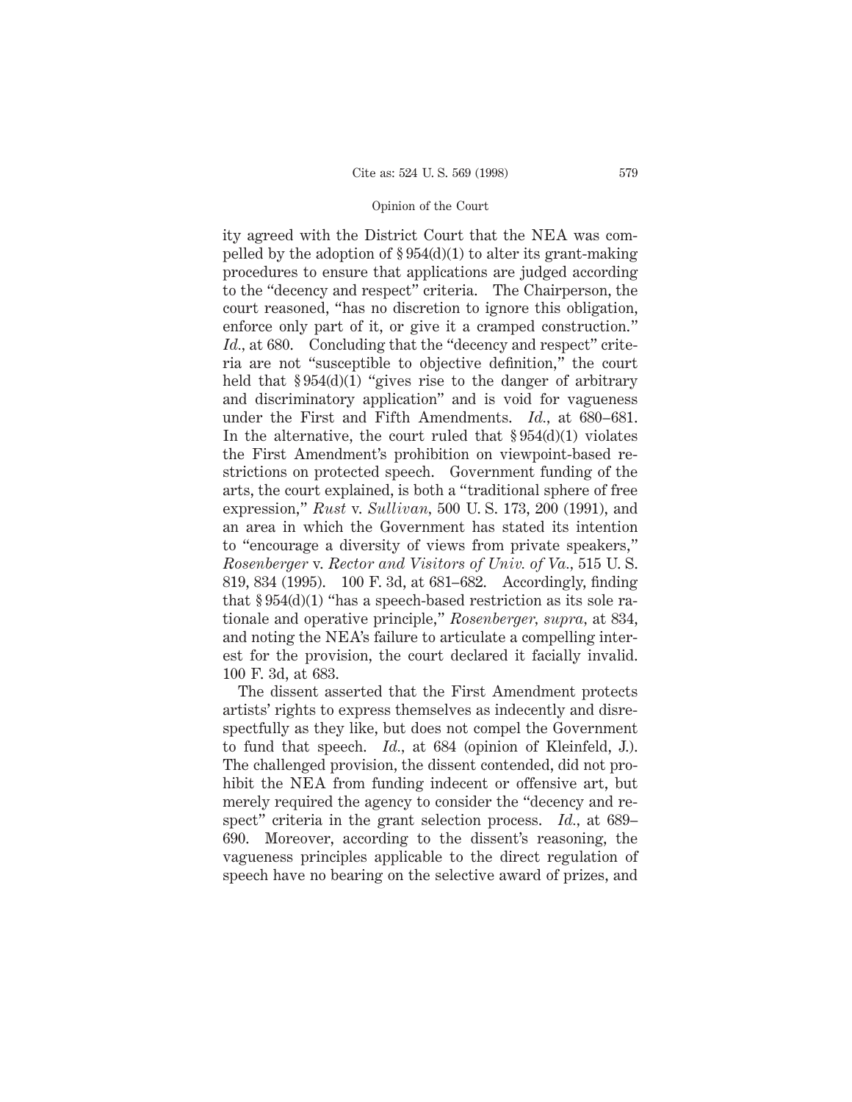ity agreed with the District Court that the NEA was compelled by the adoption of  $\S 954(d)(1)$  to alter its grant-making procedures to ensure that applications are judged according to the "decency and respect" criteria. The Chairperson, the court reasoned, "has no discretion to ignore this obligation, enforce only part of it, or give it a cramped construction." *Id.*, at 680. Concluding that the "decency and respect" criteria are not "susceptible to objective definition," the court held that  $\S 954(d)(1)$  "gives rise to the danger of arbitrary and discriminatory application" and is void for vagueness under the First and Fifth Amendments. *Id.,* at 680–681. In the alternative, the court ruled that  $\S 954(d)(1)$  violates the First Amendment's prohibition on viewpoint-based restrictions on protected speech. Government funding of the arts, the court explained, is both a "traditional sphere of free expression," *Rust* v. *Sullivan,* 500 U. S. 173, 200 (1991), and an area in which the Government has stated its intention to "encourage a diversity of views from private speakers," *Rosenberger* v. *Rector and Visitors of Univ. of Va.,* 515 U. S. 819, 834 (1995). 100 F. 3d, at 681–682. Accordingly, finding that  $\S 954(d)(1)$  "has a speech-based restriction as its sole rationale and operative principle," *Rosenberger, supra,* at 834, and noting the NEA's failure to articulate a compelling interest for the provision, the court declared it facially invalid. 100 F. 3d, at 683.

The dissent asserted that the First Amendment protects artists' rights to express themselves as indecently and disrespectfully as they like, but does not compel the Government to fund that speech. *Id.,* at 684 (opinion of Kleinfeld, J.). The challenged provision, the dissent contended, did not prohibit the NEA from funding indecent or offensive art, but merely required the agency to consider the "decency and respect" criteria in the grant selection process. *Id.,* at 689– 690. Moreover, according to the dissent's reasoning, the vagueness principles applicable to the direct regulation of speech have no bearing on the selective award of prizes, and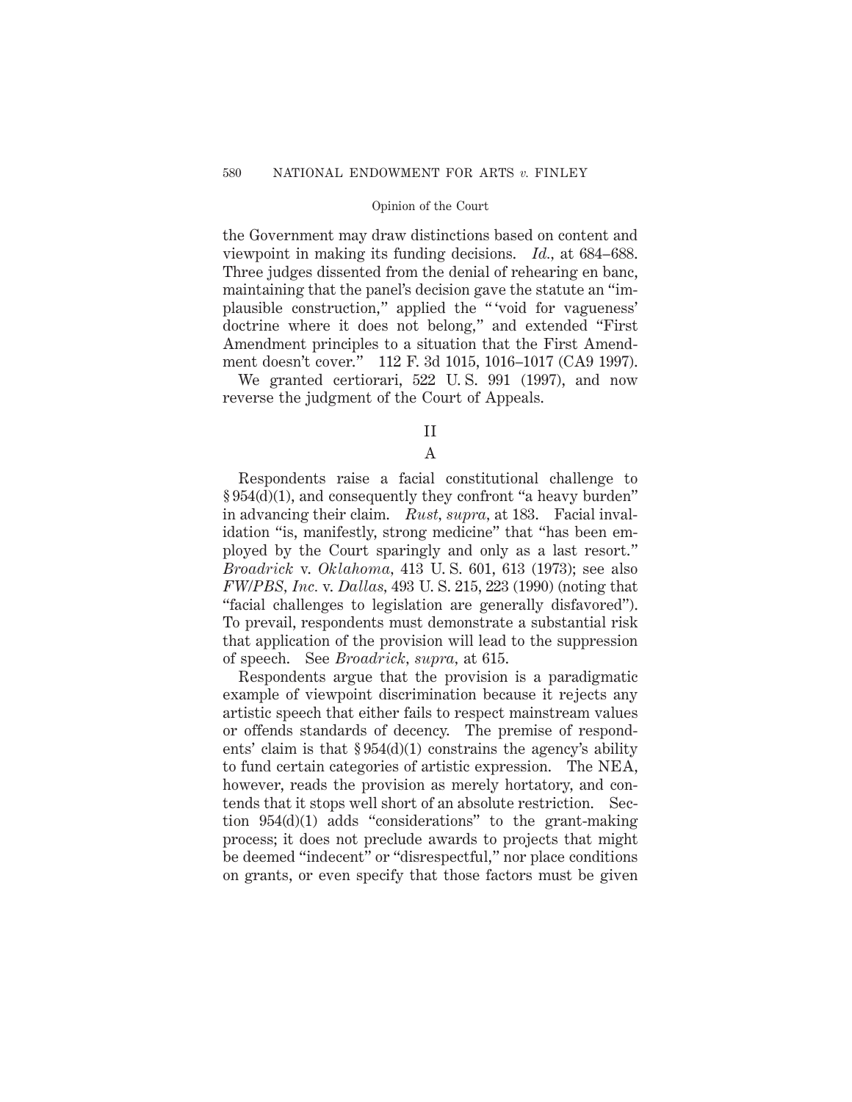the Government may draw distinctions based on content and viewpoint in making its funding decisions. *Id.,* at 684–688. Three judges dissented from the denial of rehearing en banc, maintaining that the panel's decision gave the statute an "implausible construction," applied the " 'void for vagueness' doctrine where it does not belong," and extended "First Amendment principles to a situation that the First Amendment doesn't cover." 112 F. 3d 1015, 1016–1017 (CA9 1997).

We granted certiorari, 522 U. S. 991 (1997), and now reverse the judgment of the Court of Appeals.

# II

# A

Respondents raise a facial constitutional challenge to § 954(d)(1), and consequently they confront "a heavy burden" in advancing their claim. *Rust, supra,* at 183. Facial invalidation "is, manifestly, strong medicine" that "has been employed by the Court sparingly and only as a last resort." *Broadrick* v. *Oklahoma,* 413 U. S. 601, 613 (1973); see also *FW/PBS, Inc.* v. *Dallas,* 493 U. S. 215, 223 (1990) (noting that "facial challenges to legislation are generally disfavored"). To prevail, respondents must demonstrate a substantial risk that application of the provision will lead to the suppression of speech. See *Broadrick, supra,* at 615.

Respondents argue that the provision is a paradigmatic example of viewpoint discrimination because it rejects any artistic speech that either fails to respect mainstream values or offends standards of decency. The premise of respondents' claim is that  $\S 954(d)(1)$  constrains the agency's ability to fund certain categories of artistic expression. The NEA, however, reads the provision as merely hortatory, and contends that it stops well short of an absolute restriction. Section 954(d)(1) adds "considerations" to the grant-making process; it does not preclude awards to projects that might be deemed "indecent" or "disrespectful," nor place conditions on grants, or even specify that those factors must be given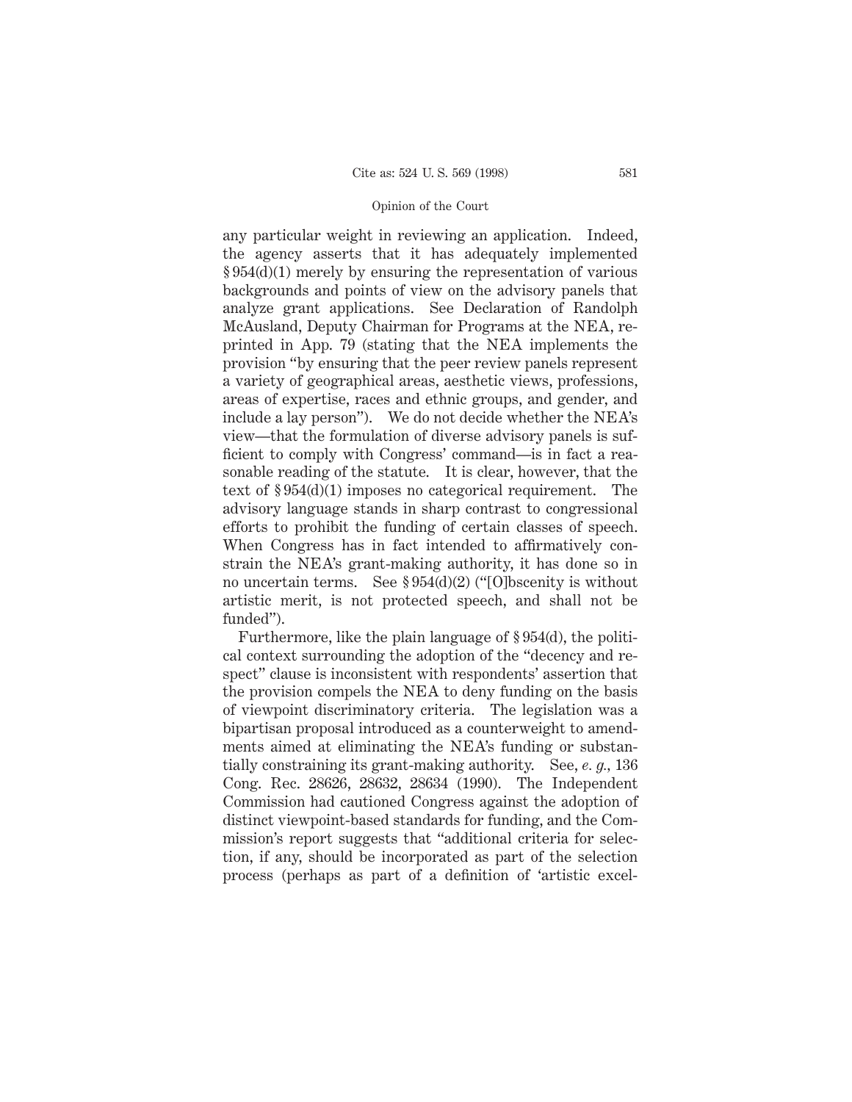any particular weight in reviewing an application. Indeed, the agency asserts that it has adequately implemented § 954(d)(1) merely by ensuring the representation of various backgrounds and points of view on the advisory panels that analyze grant applications. See Declaration of Randolph McAusland, Deputy Chairman for Programs at the NEA, reprinted in App. 79 (stating that the NEA implements the provision "by ensuring that the peer review panels represent a variety of geographical areas, aesthetic views, professions, areas of expertise, races and ethnic groups, and gender, and include a lay person"). We do not decide whether the NEA's view—that the formulation of diverse advisory panels is sufficient to comply with Congress' command—is in fact a reasonable reading of the statute. It is clear, however, that the text of § 954(d)(1) imposes no categorical requirement. The advisory language stands in sharp contrast to congressional efforts to prohibit the funding of certain classes of speech. When Congress has in fact intended to affirmatively constrain the NEA's grant-making authority, it has done so in no uncertain terms. See § 954(d)(2) ("[O]bscenity is without artistic merit, is not protected speech, and shall not be funded").

Furthermore, like the plain language of § 954(d), the political context surrounding the adoption of the "decency and respect" clause is inconsistent with respondents' assertion that the provision compels the NEA to deny funding on the basis of viewpoint discriminatory criteria. The legislation was a bipartisan proposal introduced as a counterweight to amendments aimed at eliminating the NEA's funding or substantially constraining its grant-making authority. See, *e. g.,* 136 Cong. Rec. 28626, 28632, 28634 (1990). The Independent Commission had cautioned Congress against the adoption of distinct viewpoint-based standards for funding, and the Commission's report suggests that "additional criteria for selection, if any, should be incorporated as part of the selection process (perhaps as part of a definition of 'artistic excel-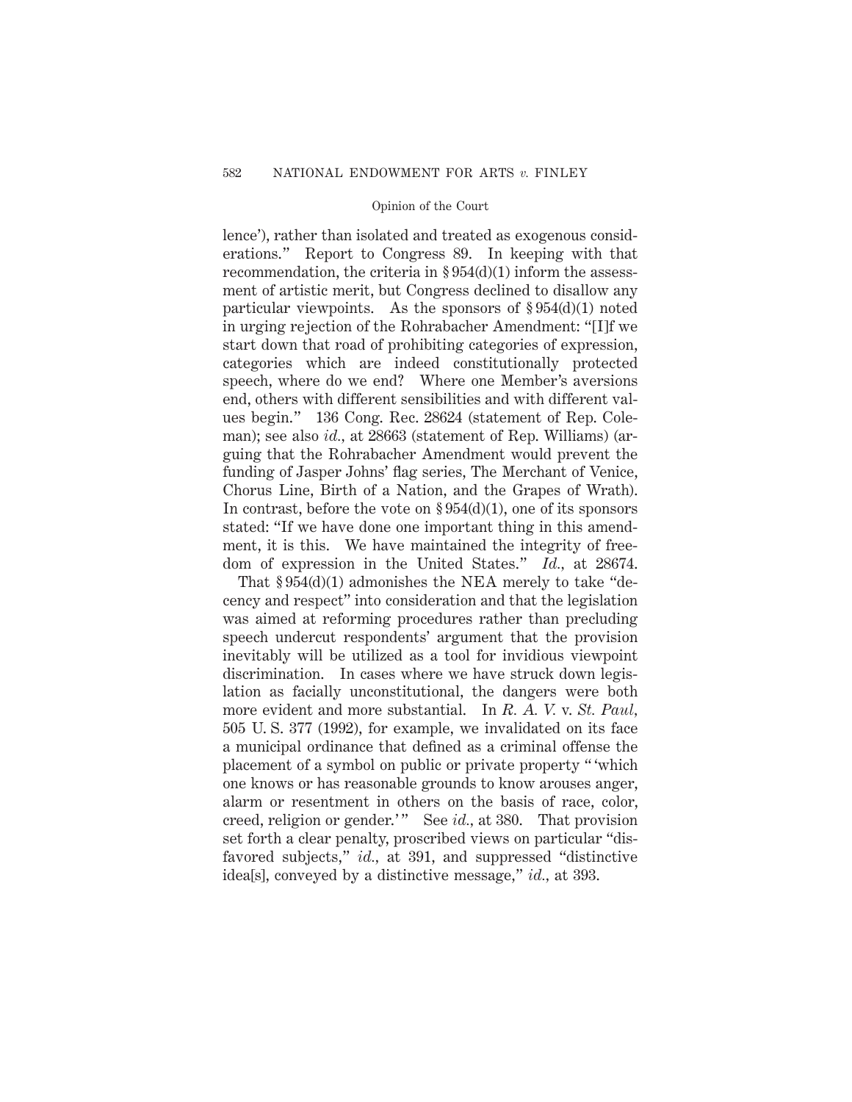lence'), rather than isolated and treated as exogenous considerations." Report to Congress 89. In keeping with that recommendation, the criteria in  $\S 954(d)(1)$  inform the assessment of artistic merit, but Congress declined to disallow any particular viewpoints. As the sponsors of  $\S 954(d)(1)$  noted in urging rejection of the Rohrabacher Amendment: "[I]f we start down that road of prohibiting categories of expression, categories which are indeed constitutionally protected speech, where do we end? Where one Member's aversions end, others with different sensibilities and with different values begin." 136 Cong. Rec. 28624 (statement of Rep. Coleman); see also *id.,* at 28663 (statement of Rep. Williams) (arguing that the Rohrabacher Amendment would prevent the funding of Jasper Johns' flag series, The Merchant of Venice, Chorus Line, Birth of a Nation, and the Grapes of Wrath). In contrast, before the vote on  $\S 954(d)(1)$ , one of its sponsors stated: "If we have done one important thing in this amendment, it is this. We have maintained the integrity of freedom of expression in the United States." *Id.,* at 28674.

That § 954(d)(1) admonishes the NEA merely to take "decency and respect" into consideration and that the legislation was aimed at reforming procedures rather than precluding speech undercut respondents' argument that the provision inevitably will be utilized as a tool for invidious viewpoint discrimination. In cases where we have struck down legislation as facially unconstitutional, the dangers were both more evident and more substantial. In *R. A. V.* v. *St. Paul,* 505 U. S. 377 (1992), for example, we invalidated on its face a municipal ordinance that defined as a criminal offense the placement of a symbol on public or private property " 'which one knows or has reasonable grounds to know arouses anger, alarm or resentment in others on the basis of race, color, creed, religion or gender.'" See *id.*, at 380. That provision set forth a clear penalty, proscribed views on particular "disfavored subjects," *id.,* at 391, and suppressed "distinctive idea[s], conveyed by a distinctive message," *id.,* at 393.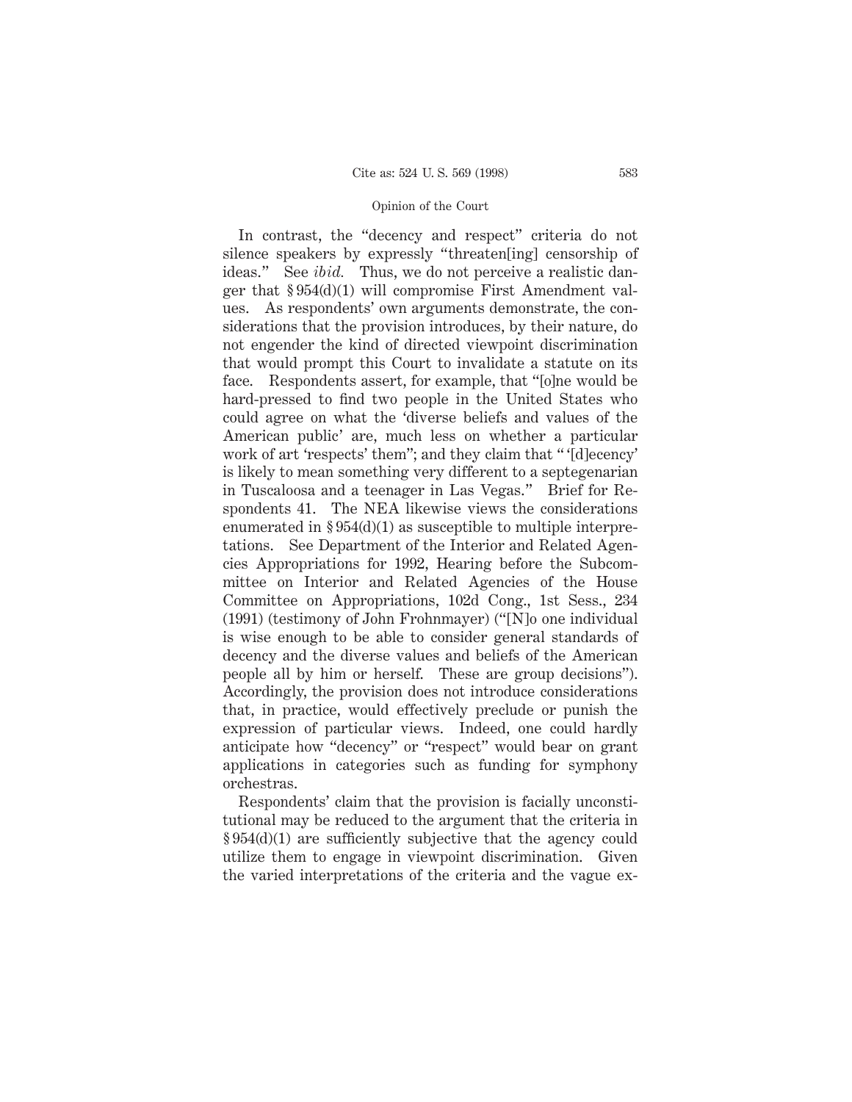In contrast, the "decency and respect" criteria do not silence speakers by expressly "threaten[ing] censorship of ideas." See *ibid.* Thus, we do not perceive a realistic danger that § 954(d)(1) will compromise First Amendment values. As respondents' own arguments demonstrate, the considerations that the provision introduces, by their nature, do not engender the kind of directed viewpoint discrimination that would prompt this Court to invalidate a statute on its face. Respondents assert, for example, that "[o]ne would be hard-pressed to find two people in the United States who could agree on what the 'diverse beliefs and values of the American public' are, much less on whether a particular work of art 'respects' them"; and they claim that " '[d]ecency' is likely to mean something very different to a septegenarian in Tuscaloosa and a teenager in Las Vegas." Brief for Respondents 41. The NEA likewise views the considerations enumerated in  $\S 954(d)(1)$  as susceptible to multiple interpretations. See Department of the Interior and Related Agencies Appropriations for 1992, Hearing before the Subcommittee on Interior and Related Agencies of the House Committee on Appropriations, 102d Cong., 1st Sess., 234 (1991) (testimony of John Frohnmayer) ("[N]o one individual is wise enough to be able to consider general standards of decency and the diverse values and beliefs of the American people all by him or herself. These are group decisions"). Accordingly, the provision does not introduce considerations that, in practice, would effectively preclude or punish the expression of particular views. Indeed, one could hardly anticipate how "decency" or "respect" would bear on grant applications in categories such as funding for symphony orchestras.

Respondents' claim that the provision is facially unconstitutional may be reduced to the argument that the criteria in § 954(d)(1) are sufficiently subjective that the agency could utilize them to engage in viewpoint discrimination. Given the varied interpretations of the criteria and the vague ex-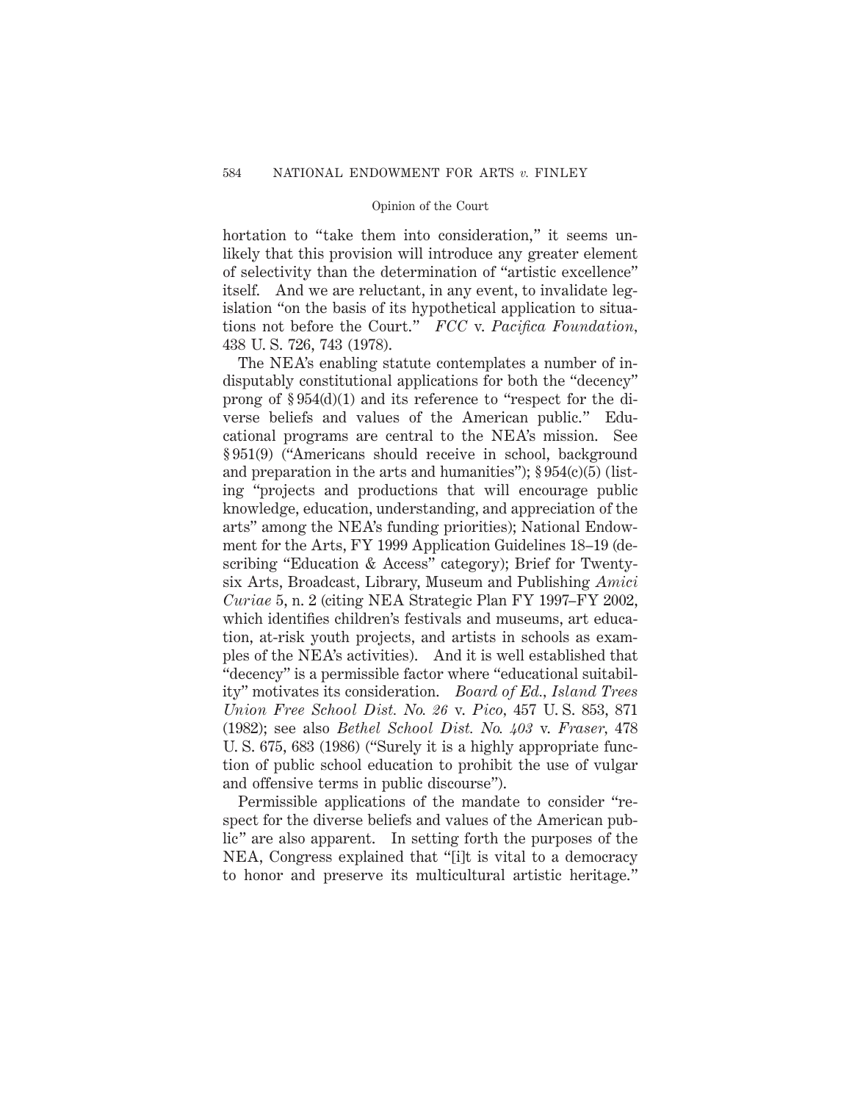hortation to "take them into consideration," it seems unlikely that this provision will introduce any greater element of selectivity than the determination of "artistic excellence" itself. And we are reluctant, in any event, to invalidate legislation "on the basis of its hypothetical application to situations not before the Court." *FCC* v. *Pacifica Foundation,* 438 U. S. 726, 743 (1978).

The NEA's enabling statute contemplates a number of indisputably constitutional applications for both the "decency" prong of § 954(d)(1) and its reference to "respect for the diverse beliefs and values of the American public." Educational programs are central to the NEA's mission. See § 951(9) ("Americans should receive in school, background and preparation in the arts and humanities");  $\S 954(c)(5)$  (listing "projects and productions that will encourage public knowledge, education, understanding, and appreciation of the arts" among the NEA's funding priorities); National Endowment for the Arts, FY 1999 Application Guidelines 18–19 (describing "Education & Access" category); Brief for Twentysix Arts, Broadcast, Library, Museum and Publishing *Amici Curiae* 5, n. 2 (citing NEA Strategic Plan FY 1997–FY 2002, which identifies children's festivals and museums, art education, at-risk youth projects, and artists in schools as examples of the NEA's activities). And it is well established that "decency" is a permissible factor where "educational suitability" motivates its consideration. *Board of Ed., Island Trees Union Free School Dist. No. 26* v. *Pico,* 457 U. S. 853, 871 (1982); see also *Bethel School Dist. No. 403* v. *Fraser,* 478 U. S. 675, 683 (1986) ("Surely it is a highly appropriate function of public school education to prohibit the use of vulgar and offensive terms in public discourse").

Permissible applications of the mandate to consider "respect for the diverse beliefs and values of the American public" are also apparent. In setting forth the purposes of the NEA, Congress explained that "[i]t is vital to a democracy to honor and preserve its multicultural artistic heritage."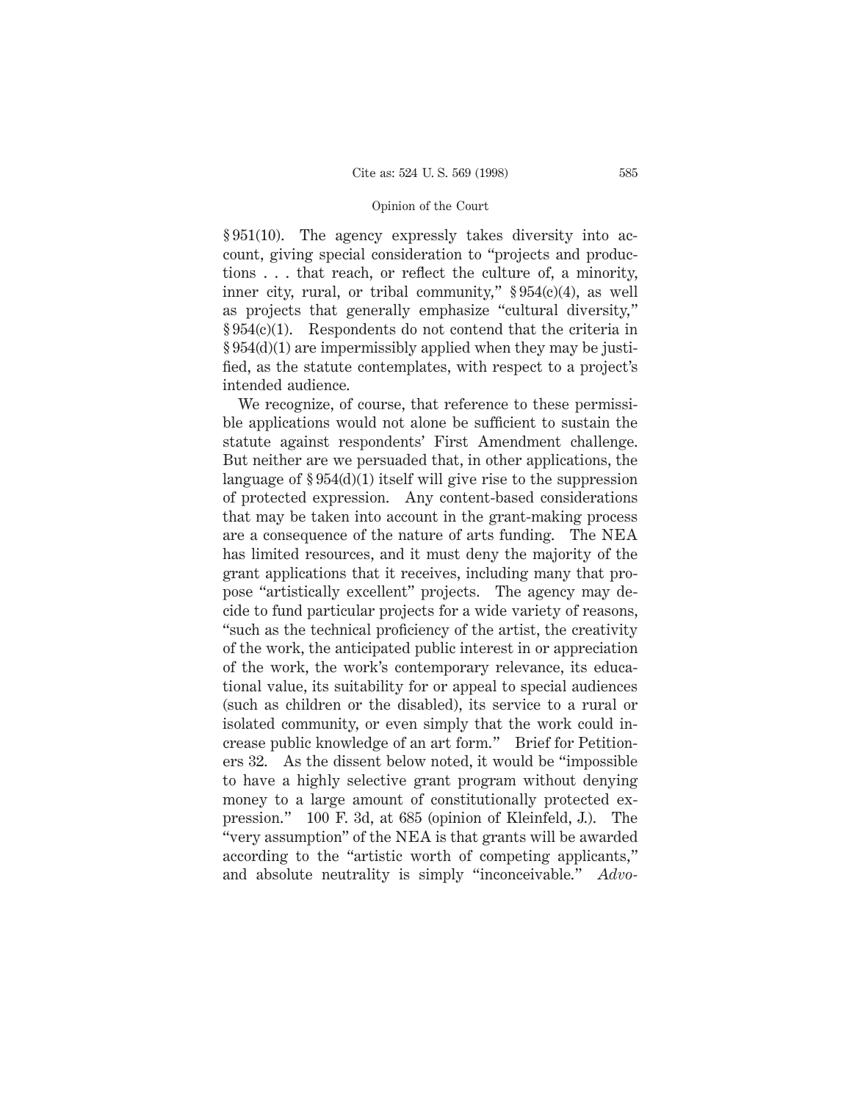§ 951(10). The agency expressly takes diversity into account, giving special consideration to "projects and productions . . . that reach, or reflect the culture of, a minority, inner city, rural, or tribal community,"  $\S 954(c)(4)$ , as well as projects that generally emphasize "cultural diversity," § 954(c)(1). Respondents do not contend that the criteria in § 954(d)(1) are impermissibly applied when they may be justified, as the statute contemplates, with respect to a project's intended audience.

We recognize, of course, that reference to these permissible applications would not alone be sufficient to sustain the statute against respondents' First Amendment challenge. But neither are we persuaded that, in other applications, the language of  $\S 954(d)(1)$  itself will give rise to the suppression of protected expression. Any content-based considerations that may be taken into account in the grant-making process are a consequence of the nature of arts funding. The NEA has limited resources, and it must deny the majority of the grant applications that it receives, including many that propose "artistically excellent" projects. The agency may decide to fund particular projects for a wide variety of reasons, "such as the technical proficiency of the artist, the creativity of the work, the anticipated public interest in or appreciation of the work, the work's contemporary relevance, its educational value, its suitability for or appeal to special audiences (such as children or the disabled), its service to a rural or isolated community, or even simply that the work could increase public knowledge of an art form." Brief for Petitioners 32. As the dissent below noted, it would be "impossible to have a highly selective grant program without denying money to a large amount of constitutionally protected expression." 100 F. 3d, at 685 (opinion of Kleinfeld, J.). The "very assumption" of the NEA is that grants will be awarded according to the "artistic worth of competing applicants," and absolute neutrality is simply "inconceivable." *Advo-*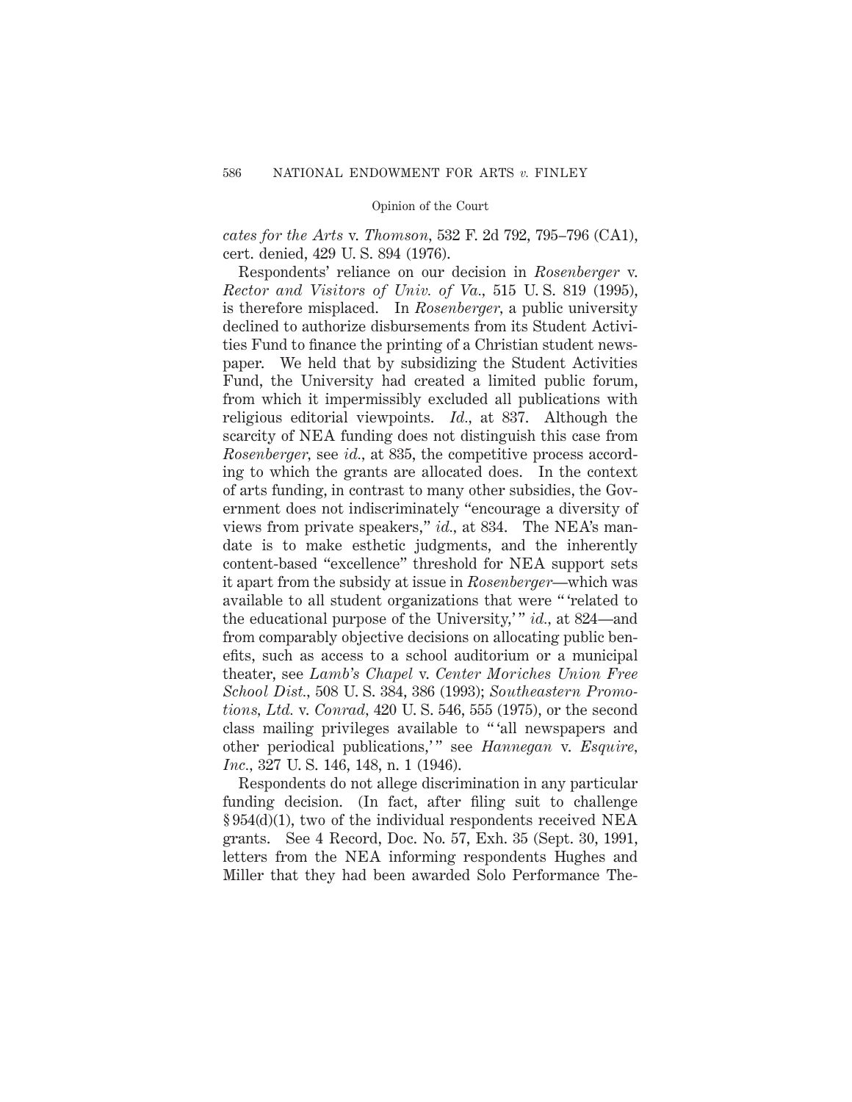*cates for the Arts* v. *Thomson,* 532 F. 2d 792, 795–796 (CA1), cert. denied, 429 U. S. 894 (1976).

Respondents' reliance on our decision in *Rosenberger* v. *Rector and Visitors of Univ. of Va.,* 515 U. S. 819 (1995), is therefore misplaced. In *Rosenberger,* a public university declined to authorize disbursements from its Student Activities Fund to finance the printing of a Christian student newspaper. We held that by subsidizing the Student Activities Fund, the University had created a limited public forum, from which it impermissibly excluded all publications with religious editorial viewpoints. *Id.,* at 837. Although the scarcity of NEA funding does not distinguish this case from *Rosenberger,* see *id.,* at 835, the competitive process according to which the grants are allocated does. In the context of arts funding, in contrast to many other subsidies, the Government does not indiscriminately "encourage a diversity of views from private speakers," *id.,* at 834. The NEA's mandate is to make esthetic judgments, and the inherently content-based "excellence" threshold for NEA support sets it apart from the subsidy at issue in *Rosenberger*—which was available to all student organizations that were " 'related to the educational purpose of the University,' " *id.,* at 824—and from comparably objective decisions on allocating public benefits, such as access to a school auditorium or a municipal theater, see *Lamb's Chapel* v. *Center Moriches Union Free School Dist.,* 508 U. S. 384, 386 (1993); *Southeastern Promotions, Ltd.* v. *Conrad,* 420 U. S. 546, 555 (1975), or the second class mailing privileges available to " 'all newspapers and other periodical publications,' " see *Hannegan* v. *Esquire, Inc.*, 327 U.S. 146, 148, n. 1 (1946).

Respondents do not allege discrimination in any particular funding decision. (In fact, after filing suit to challenge § 954(d)(1), two of the individual respondents received NEA grants. See 4 Record, Doc. No. 57, Exh. 35 (Sept. 30, 1991, letters from the NEA informing respondents Hughes and Miller that they had been awarded Solo Performance The-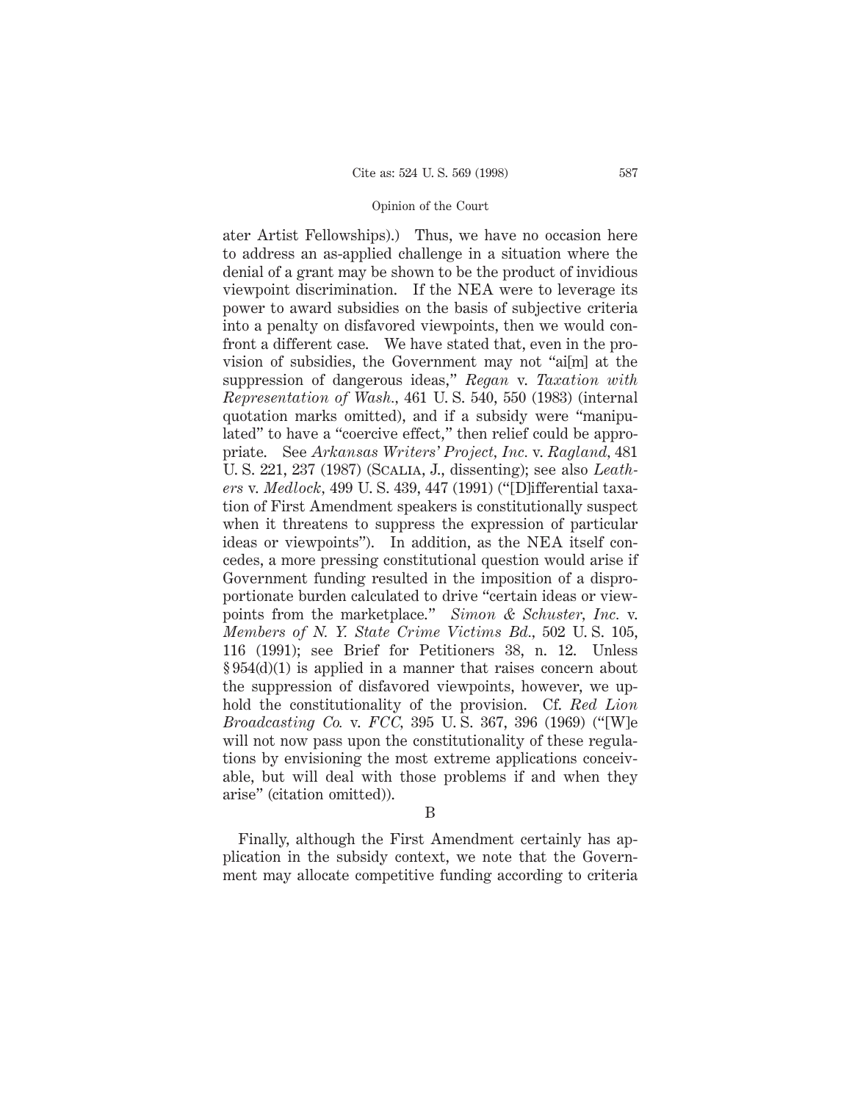ater Artist Fellowships).) Thus, we have no occasion here to address an as-applied challenge in a situation where the denial of a grant may be shown to be the product of invidious viewpoint discrimination. If the NEA were to leverage its power to award subsidies on the basis of subjective criteria into a penalty on disfavored viewpoints, then we would confront a different case. We have stated that, even in the provision of subsidies, the Government may not "ai[m] at the suppression of dangerous ideas," *Regan* v. *Taxation with Representation of Wash.,* 461 U. S. 540, 550 (1983) (internal quotation marks omitted), and if a subsidy were "manipulated" to have a "coercive effect," then relief could be appropriate. See *Arkansas Writers' Project, Inc.* v. *Ragland,* 481 U. S. 221, 237 (1987) (Scalia, J., dissenting); see also *Leathers* v. *Medlock,* 499 U. S. 439, 447 (1991) ("[D]ifferential taxation of First Amendment speakers is constitutionally suspect when it threatens to suppress the expression of particular ideas or viewpoints"). In addition, as the NEA itself concedes, a more pressing constitutional question would arise if Government funding resulted in the imposition of a disproportionate burden calculated to drive "certain ideas or viewpoints from the marketplace." *Simon & Schuster, Inc.* v. *Members of N. Y. State Crime Victims Bd.,* 502 U. S. 105, 116 (1991); see Brief for Petitioners 38, n. 12. Unless § 954(d)(1) is applied in a manner that raises concern about the suppression of disfavored viewpoints, however, we uphold the constitutionality of the provision. Cf. *Red Lion Broadcasting Co.* v. *FCC,* 395 U. S. 367, 396 (1969) ("[W]e will not now pass upon the constitutionality of these regulations by envisioning the most extreme applications conceivable, but will deal with those problems if and when they arise" (citation omitted)).

### B

Finally, although the First Amendment certainly has application in the subsidy context, we note that the Government may allocate competitive funding according to criteria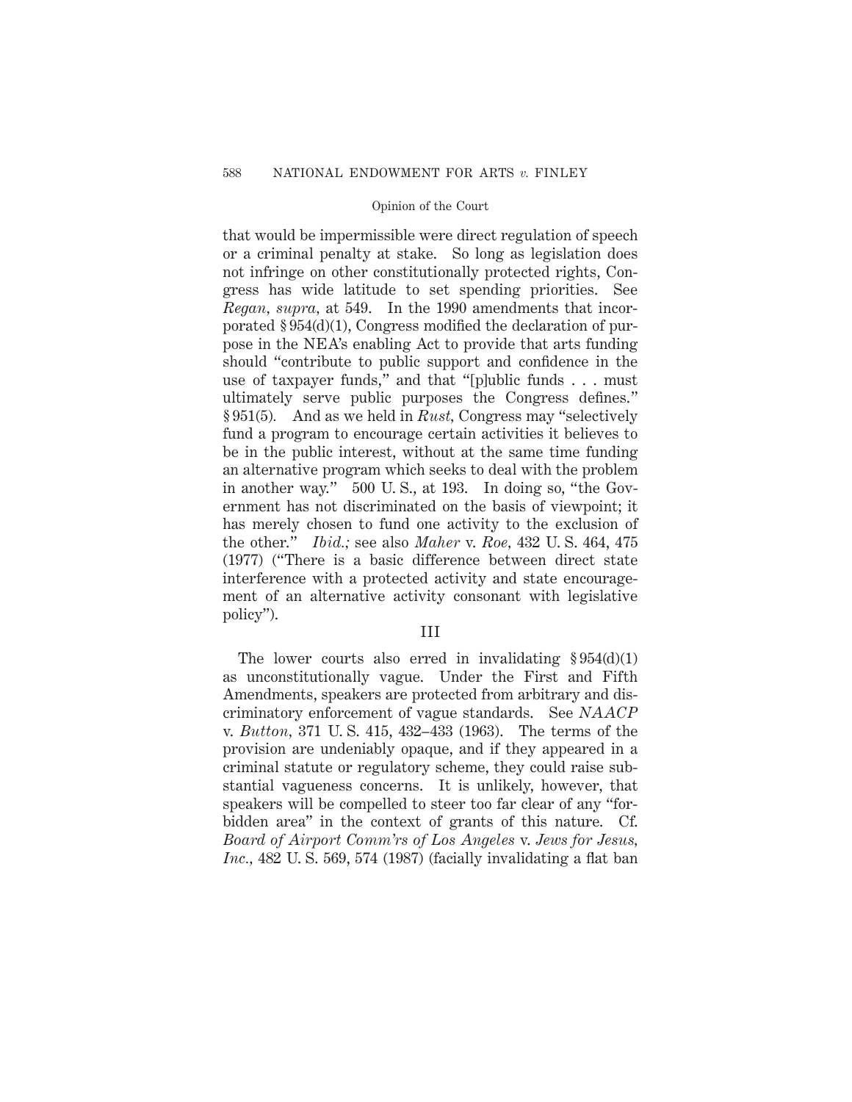that would be impermissible were direct regulation of speech or a criminal penalty at stake. So long as legislation does not infringe on other constitutionally protected rights, Congress has wide latitude to set spending priorities. See *Regan, supra,* at 549. In the 1990 amendments that incorporated § 954(d)(1), Congress modified the declaration of purpose in the NEA's enabling Act to provide that arts funding should "contribute to public support and confidence in the use of taxpayer funds," and that "[p]ublic funds... must ultimately serve public purposes the Congress defines." § 951(5)*.* And as we held in *Rust,* Congress may "selectively fund a program to encourage certain activities it believes to be in the public interest, without at the same time funding an alternative program which seeks to deal with the problem in another way." 500 U. S., at 193. In doing so, "the Government has not discriminated on the basis of viewpoint; it has merely chosen to fund one activity to the exclusion of the other." *Ibid.;* see also *Maher* v. *Roe,* 432 U. S. 464, 475 (1977) ("There is a basic difference between direct state interference with a protected activity and state encouragement of an alternative activity consonant with legislative policy").

### III

The lower courts also erred in invalidating  $§ 954(d)(1)$ as unconstitutionally vague. Under the First and Fifth Amendments, speakers are protected from arbitrary and discriminatory enforcement of vague standards. See *NAACP* v. *Button,* 371 U. S. 415, 432–433 (1963). The terms of the provision are undeniably opaque, and if they appeared in a criminal statute or regulatory scheme, they could raise substantial vagueness concerns. It is unlikely, however, that speakers will be compelled to steer too far clear of any "forbidden area" in the context of grants of this nature. Cf. *Board of Airport Comm'rs of Los Angeles* v. *Jews for Jesus, Inc.,* 482 U. S. 569, 574 (1987) (facially invalidating a flat ban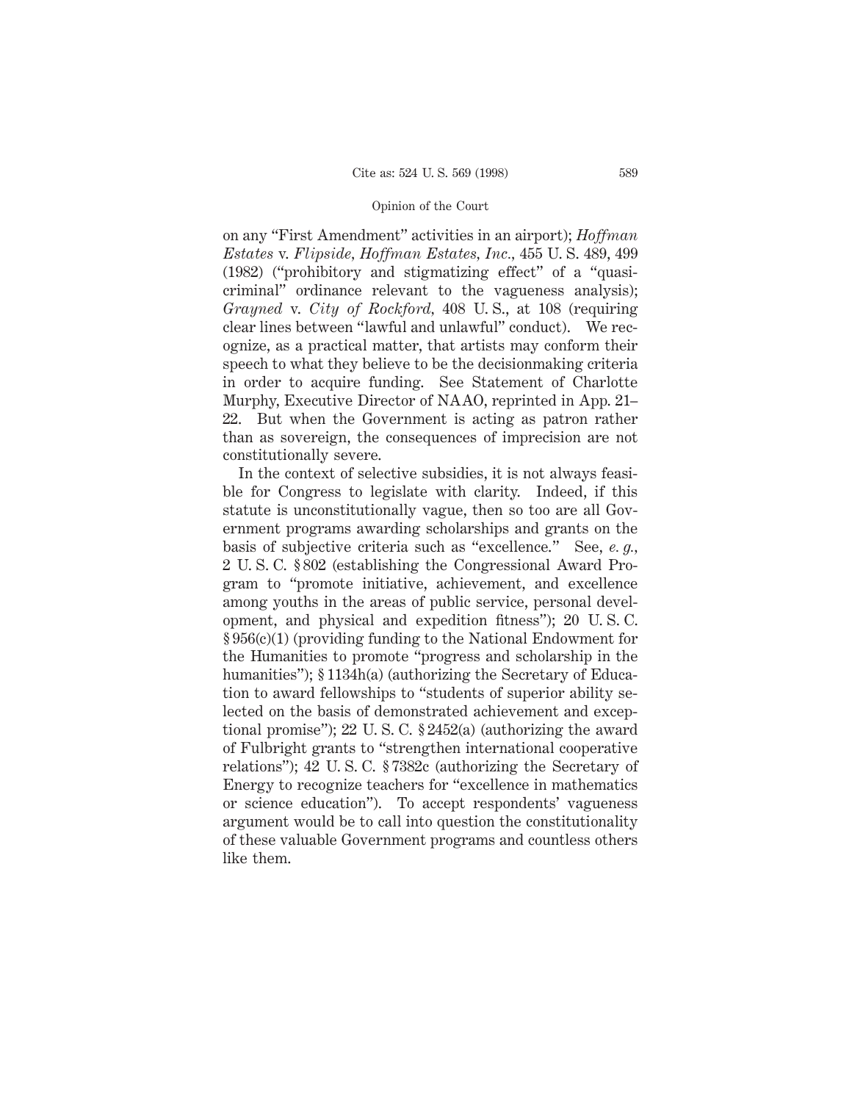on any "First Amendment" activities in an airport); *Hoffman Estates* v. *Flipside, Hoffman Estates, Inc.,* 455 U. S. 489, 499 (1982) ("prohibitory and stigmatizing effect" of a "quasicriminal" ordinance relevant to the vagueness analysis); *Grayned* v. *City of Rockford,* 408 U. S., at 108 (requiring clear lines between "lawful and unlawful" conduct). We recognize, as a practical matter, that artists may conform their speech to what they believe to be the decisionmaking criteria in order to acquire funding. See Statement of Charlotte Murphy, Executive Director of NAAO, reprinted in App. 21– 22. But when the Government is acting as patron rather than as sovereign, the consequences of imprecision are not constitutionally severe.

In the context of selective subsidies, it is not always feasible for Congress to legislate with clarity. Indeed, if this statute is unconstitutionally vague, then so too are all Government programs awarding scholarships and grants on the basis of subjective criteria such as "excellence." See, *e. g.,* 2 U. S. C. § 802 (establishing the Congressional Award Program to "promote initiative, achievement, and excellence among youths in the areas of public service, personal development, and physical and expedition fitness"); 20 U. S. C. § 956(c)(1) (providing funding to the National Endowment for the Humanities to promote "progress and scholarship in the humanities"); § 1134h(a) (authorizing the Secretary of Education to award fellowships to "students of superior ability selected on the basis of demonstrated achievement and exceptional promise"); 22 U. S. C. § 2452(a) (authorizing the award of Fulbright grants to "strengthen international cooperative relations"); 42 U. S. C. § 7382c (authorizing the Secretary of Energy to recognize teachers for "excellence in mathematics or science education"). To accept respondents' vagueness argument would be to call into question the constitutionality of these valuable Government programs and countless others like them.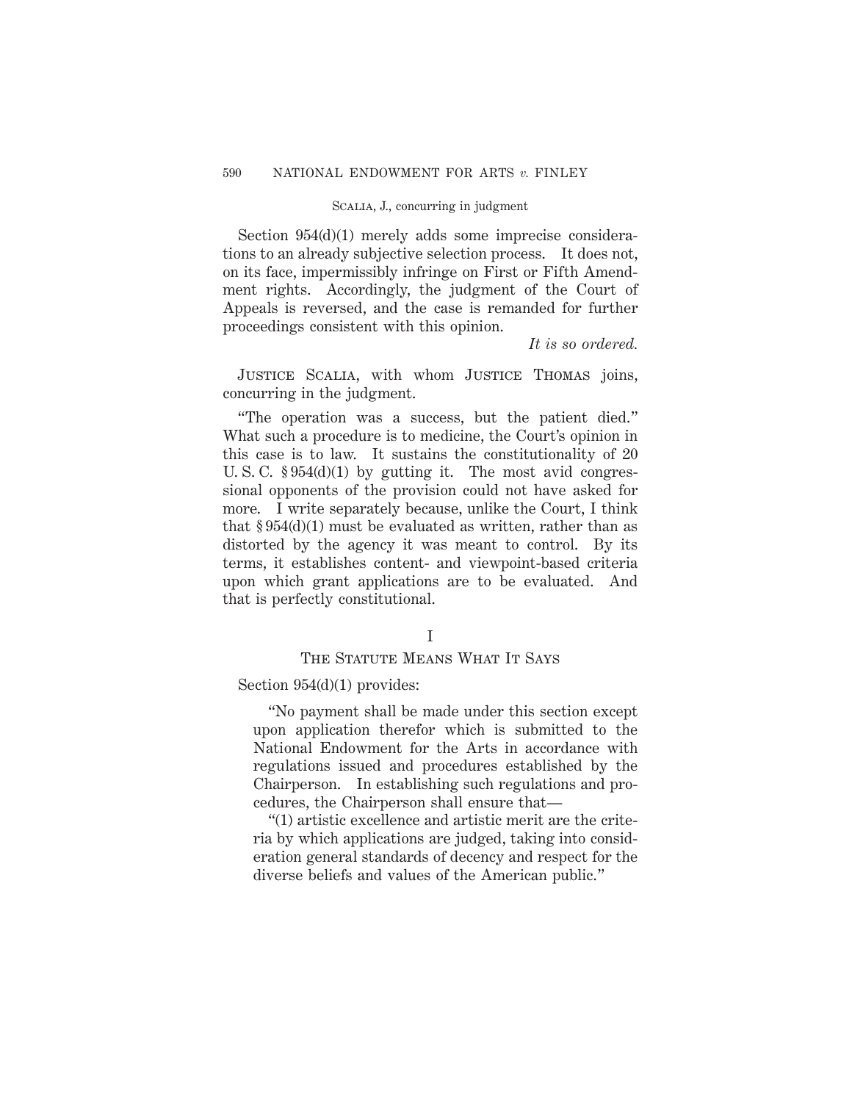Section 954(d)(1) merely adds some imprecise considerations to an already subjective selection process. It does not, on its face, impermissibly infringe on First or Fifth Amendment rights. Accordingly, the judgment of the Court of Appeals is reversed, and the case is remanded for further proceedings consistent with this opinion.

# *It is so ordered.*

Justice Scalia, with whom Justice Thomas joins, concurring in the judgment.

"The operation was a success, but the patient died." What such a procedure is to medicine, the Court's opinion in this case is to law. It sustains the constitutionality of 20 U. S. C.  $\S 954(d)(1)$  by gutting it. The most avid congressional opponents of the provision could not have asked for more. I write separately because, unlike the Court, I think that  $\S 954(d)(1)$  must be evaluated as written, rather than as distorted by the agency it was meant to control. By its terms, it establishes content- and viewpoint-based criteria upon which grant applications are to be evaluated. And that is perfectly constitutional.

### I

# THE STATUTE MEANS WHAT IT SAYS

### Section 954(d)(1) provides:

"No payment shall be made under this section except upon application therefor which is submitted to the National Endowment for the Arts in accordance with regulations issued and procedures established by the Chairperson. In establishing such regulations and procedures, the Chairperson shall ensure that—

"(1) artistic excellence and artistic merit are the criteria by which applications are judged, taking into consideration general standards of decency and respect for the diverse beliefs and values of the American public."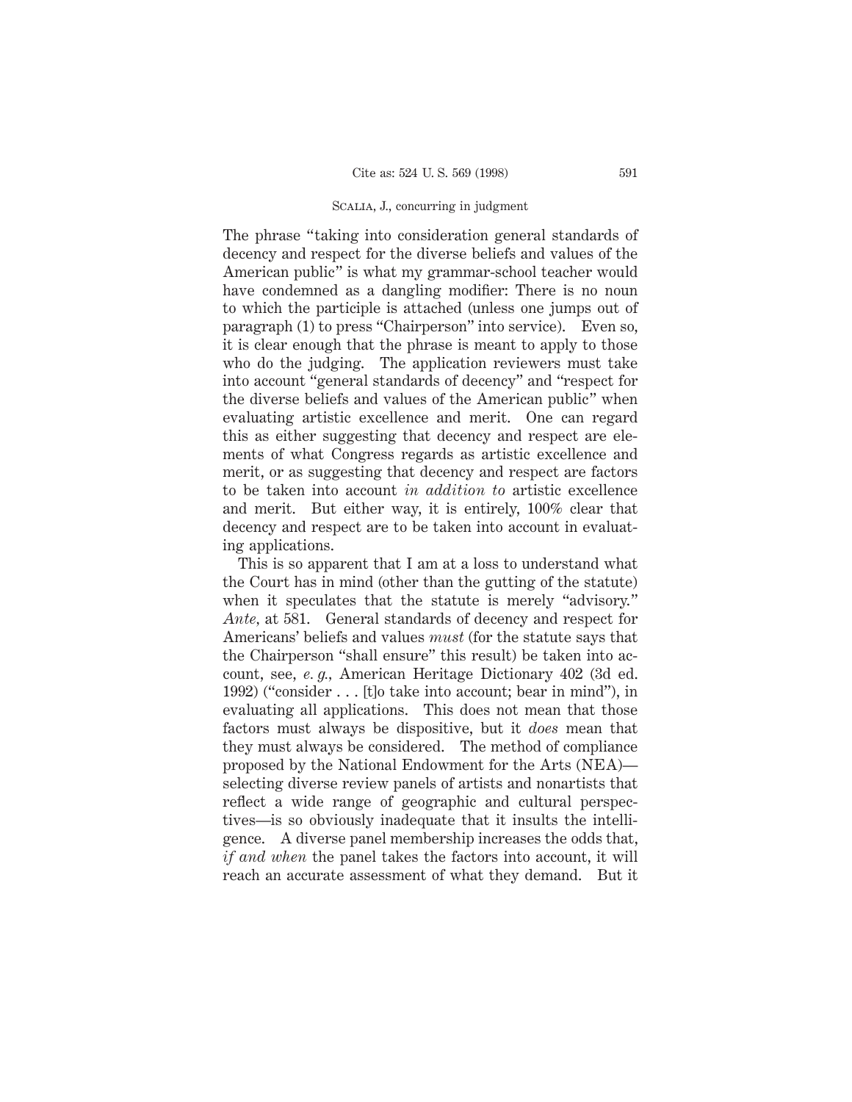The phrase "taking into consideration general standards of decency and respect for the diverse beliefs and values of the American public" is what my grammar-school teacher would have condemned as a dangling modifier: There is no noun to which the participle is attached (unless one jumps out of paragraph (1) to press "Chairperson" into service). Even so, it is clear enough that the phrase is meant to apply to those who do the judging. The application reviewers must take into account "general standards of decency" and "respect for the diverse beliefs and values of the American public" when evaluating artistic excellence and merit. One can regard this as either suggesting that decency and respect are elements of what Congress regards as artistic excellence and merit, or as suggesting that decency and respect are factors to be taken into account *in addition to* artistic excellence and merit. But either way, it is entirely, 100% clear that decency and respect are to be taken into account in evaluating applications.

This is so apparent that I am at a loss to understand what the Court has in mind (other than the gutting of the statute) when it speculates that the statute is merely "advisory." *Ante,* at 581. General standards of decency and respect for Americans' beliefs and values *must* (for the statute says that the Chairperson "shall ensure" this result) be taken into account, see, *e. g.,* American Heritage Dictionary 402 (3d ed. 1992) ("consider . . . [t]o take into account; bear in mind"), in evaluating all applications. This does not mean that those factors must always be dispositive, but it *does* mean that they must always be considered. The method of compliance proposed by the National Endowment for the Arts (NEA) selecting diverse review panels of artists and nonartists that reflect a wide range of geographic and cultural perspectives—is so obviously inadequate that it insults the intelligence. A diverse panel membership increases the odds that, *if and when* the panel takes the factors into account, it will reach an accurate assessment of what they demand. But it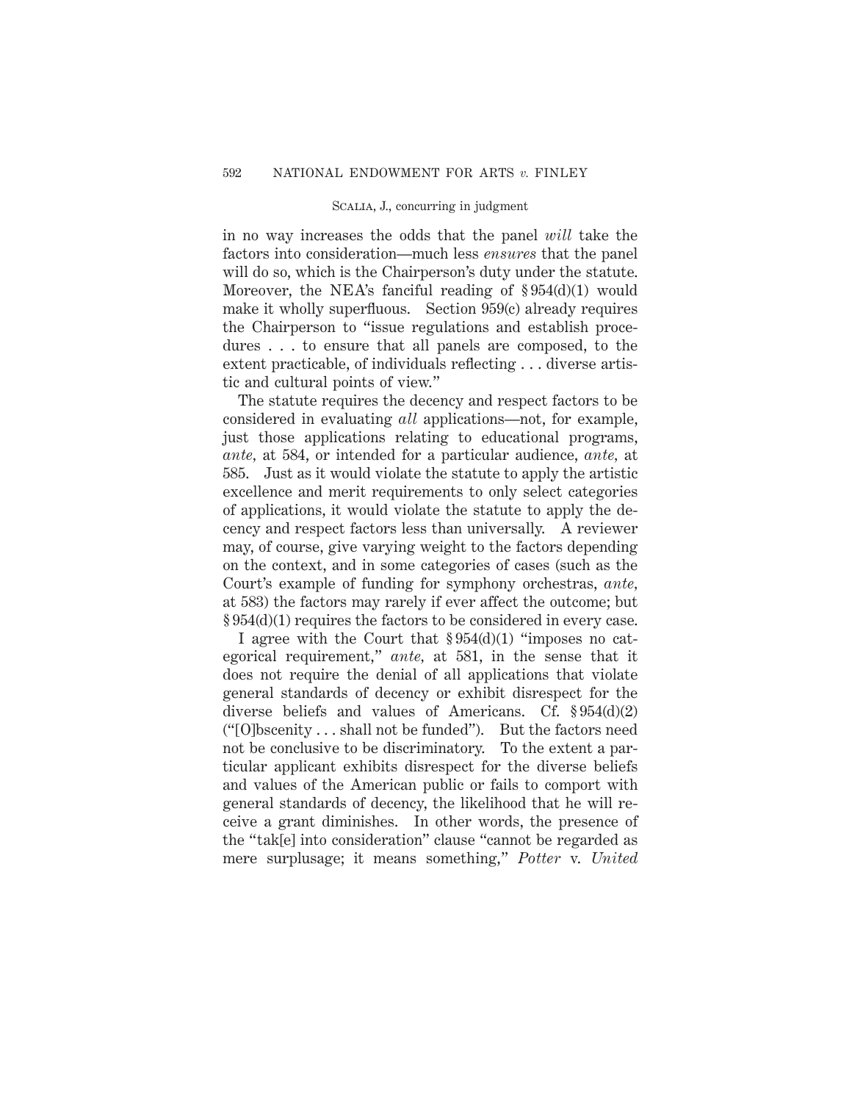in no way increases the odds that the panel *will* take the factors into consideration—much less *ensures* that the panel will do so, which is the Chairperson's duty under the statute. Moreover, the NEA's fanciful reading of § 954(d)(1) would make it wholly superfluous. Section 959(c) already requires the Chairperson to "issue regulations and establish procedures . . . to ensure that all panels are composed, to the extent practicable, of individuals reflecting . . . diverse artistic and cultural points of view."

The statute requires the decency and respect factors to be considered in evaluating *all* applications—not, for example, just those applications relating to educational programs, *ante,* at 584, or intended for a particular audience, *ante,* at 585. Just as it would violate the statute to apply the artistic excellence and merit requirements to only select categories of applications, it would violate the statute to apply the decency and respect factors less than universally. A reviewer may, of course, give varying weight to the factors depending on the context, and in some categories of cases (such as the Court's example of funding for symphony orchestras, *ante,* at 583) the factors may rarely if ever affect the outcome; but § 954(d)(1) requires the factors to be considered in every case.

I agree with the Court that § 954(d)(1) "imposes no categorical requirement," *ante,* at 581, in the sense that it does not require the denial of all applications that violate general standards of decency or exhibit disrespect for the diverse beliefs and values of Americans. Cf. § 954(d)(2) ("[O]bscenity . . . shall not be funded"). But the factors need not be conclusive to be discriminatory. To the extent a particular applicant exhibits disrespect for the diverse beliefs and values of the American public or fails to comport with general standards of decency, the likelihood that he will receive a grant diminishes. In other words, the presence of the "tak[e] into consideration" clause "cannot be regarded as mere surplusage; it means something," *Potter* v. *United*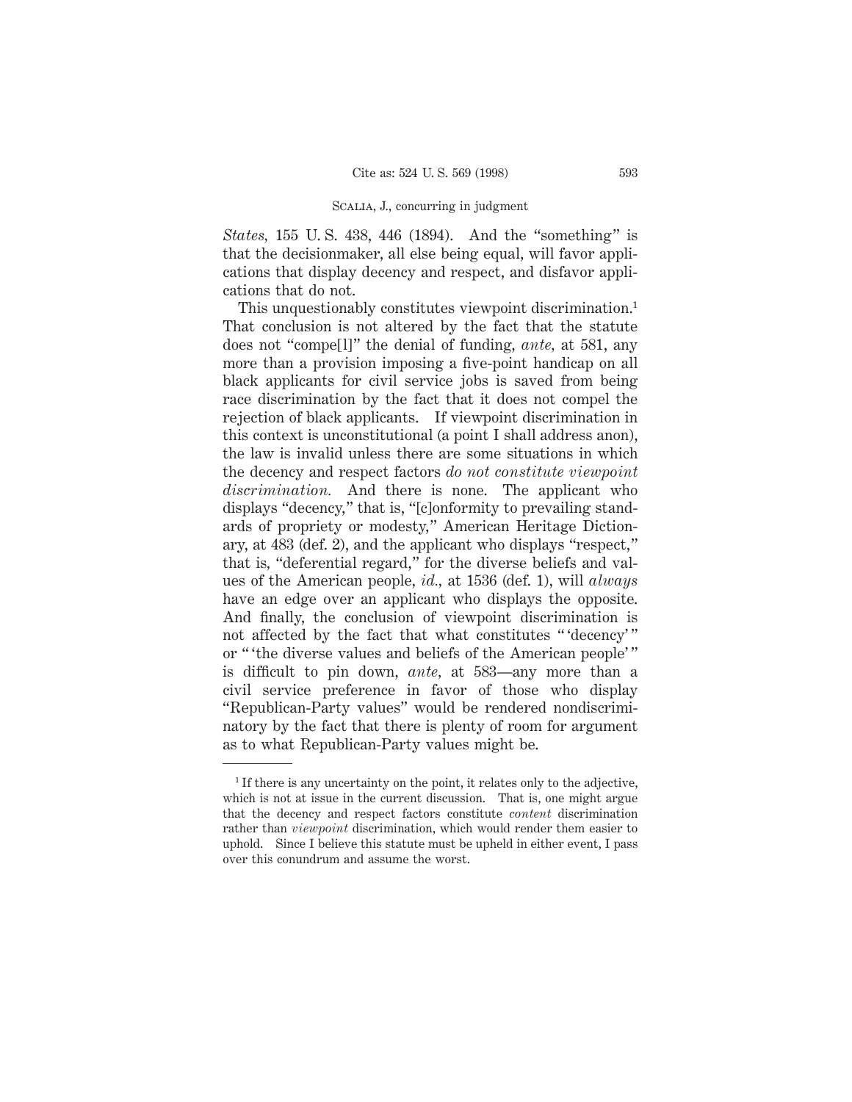*States,* 155 U. S. 438, 446 (1894). And the "something" is that the decisionmaker, all else being equal, will favor applications that display decency and respect, and disfavor applications that do not.

This unquestionably constitutes viewpoint discrimination.<sup>1</sup> That conclusion is not altered by the fact that the statute does not "compe[l]" the denial of funding, *ante,* at 581, any more than a provision imposing a five-point handicap on all black applicants for civil service jobs is saved from being race discrimination by the fact that it does not compel the rejection of black applicants. If viewpoint discrimination in this context is unconstitutional (a point I shall address anon), the law is invalid unless there are some situations in which the decency and respect factors *do not constitute viewpoint discrimination.* And there is none. The applicant who displays "decency," that is, "[c]onformity to prevailing standards of propriety or modesty," American Heritage Dictionary, at 483 (def. 2), and the applicant who displays "respect," that is*,* "deferential regard," for the diverse beliefs and values of the American people, *id.,* at 1536 (def. 1), will *always* have an edge over an applicant who displays the opposite. And finally, the conclusion of viewpoint discrimination is not affected by the fact that what constitutes " 'decency' " or " 'the diverse values and beliefs of the American people' " is difficult to pin down, *ante,* at 583—any more than a civil service preference in favor of those who display "Republican-Party values" would be rendered nondiscriminatory by the fact that there is plenty of room for argument as to what Republican-Party values might be.

<sup>&</sup>lt;sup>1</sup> If there is any uncertainty on the point, it relates only to the adjective, which is not at issue in the current discussion. That is, one might argue that the decency and respect factors constitute *content* discrimination rather than *viewpoint* discrimination, which would render them easier to uphold. Since I believe this statute must be upheld in either event, I pass over this conundrum and assume the worst.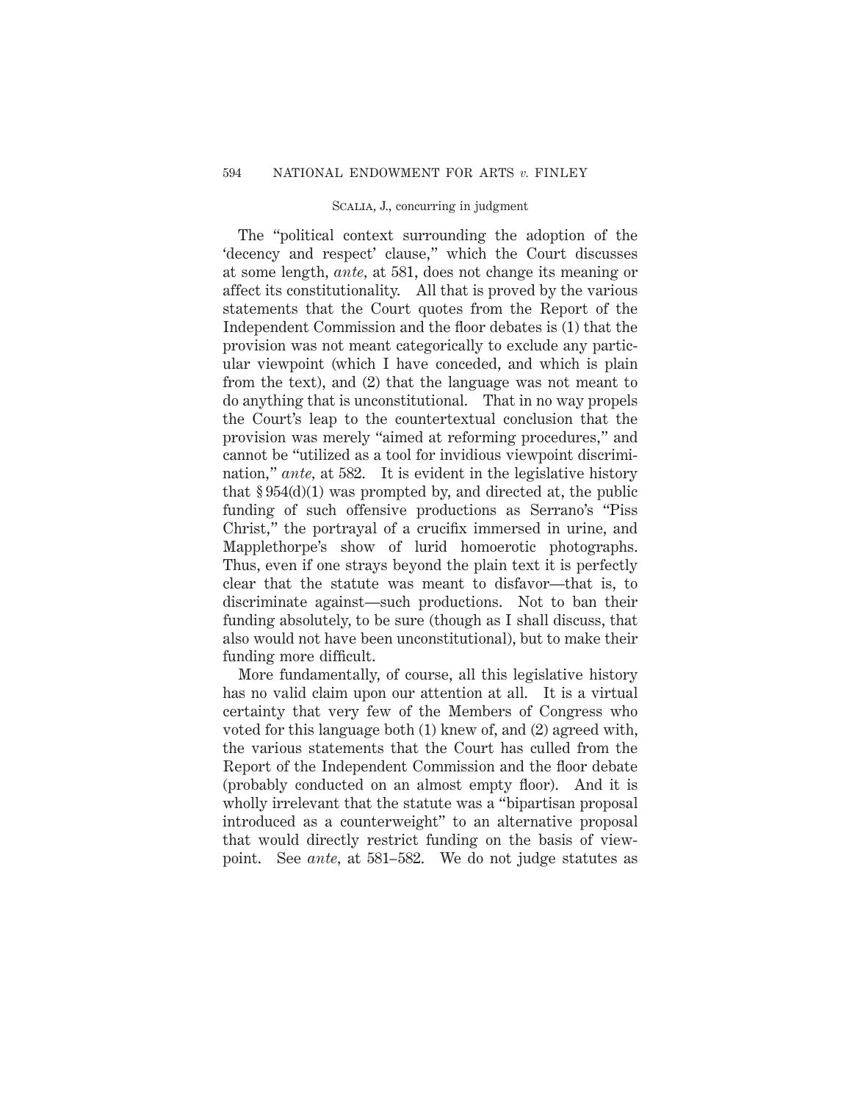The "political context surrounding the adoption of the 'decency and respect' clause," which the Court discusses at some length, *ante,* at 581, does not change its meaning or affect its constitutionality. All that is proved by the various statements that the Court quotes from the Report of the Independent Commission and the floor debates is (1) that the provision was not meant categorically to exclude any particular viewpoint (which I have conceded, and which is plain from the text), and (2) that the language was not meant to do anything that is unconstitutional. That in no way propels the Court's leap to the countertextual conclusion that the provision was merely "aimed at reforming procedures," and cannot be "utilized as a tool for invidious viewpoint discrimination," *ante,* at 582. It is evident in the legislative history that  $\S 954(d)(1)$  was prompted by, and directed at, the public funding of such offensive productions as Serrano's "Piss Christ," the portrayal of a crucifix immersed in urine, and Mapplethorpe's show of lurid homoerotic photographs. Thus, even if one strays beyond the plain text it is perfectly clear that the statute was meant to disfavor—that is, to discriminate against—such productions. Not to ban their funding absolutely, to be sure (though as I shall discuss, that also would not have been unconstitutional), but to make their funding more difficult.

More fundamentally, of course, all this legislative history has no valid claim upon our attention at all. It is a virtual certainty that very few of the Members of Congress who voted for this language both (1) knew of, and (2) agreed with, the various statements that the Court has culled from the Report of the Independent Commission and the floor debate (probably conducted on an almost empty floor). And it is wholly irrelevant that the statute was a "bipartisan proposal introduced as a counterweight" to an alternative proposal that would directly restrict funding on the basis of viewpoint. See *ante,* at 581–582. We do not judge statutes as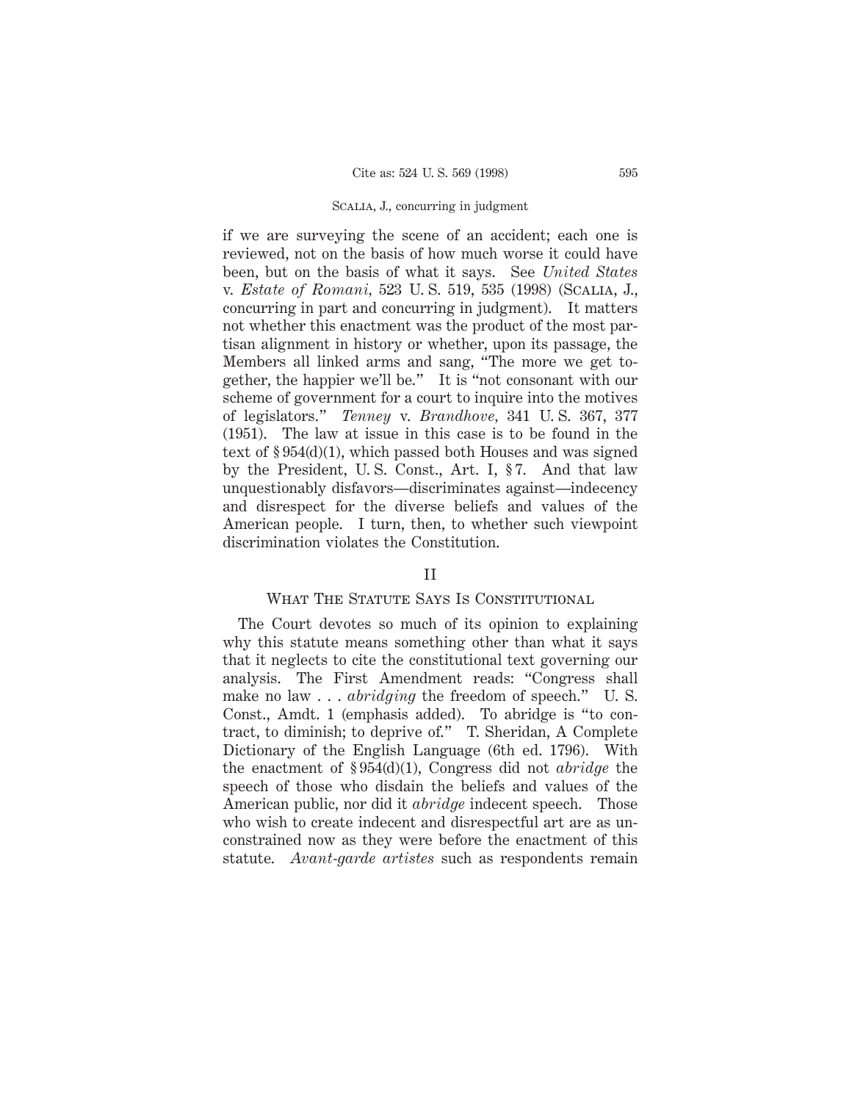if we are surveying the scene of an accident; each one is reviewed, not on the basis of how much worse it could have been, but on the basis of what it says. See *United States* v. *Estate of Romani,* 523 U. S. 519, 535 (1998) (Scalia, J., concurring in part and concurring in judgment). It matters not whether this enactment was the product of the most partisan alignment in history or whether, upon its passage, the Members all linked arms and sang, "The more we get together, the happier we'll be." It is "not consonant with our scheme of government for a court to inquire into the motives of legislators." *Tenney* v. *Brandhove,* 341 U. S. 367, 377 (1951). The law at issue in this case is to be found in the text of § 954(d)(1), which passed both Houses and was signed by the President, U. S. Const., Art. I, § 7. And that law unquestionably disfavors—discriminates against—indecency and disrespect for the diverse beliefs and values of the American people. I turn, then, to whether such viewpoint discrimination violates the Constitution.

# II

# WHAT THE STATUTE SAYS IS CONSTITUTIONAL

The Court devotes so much of its opinion to explaining why this statute means something other than what it says that it neglects to cite the constitutional text governing our analysis. The First Amendment reads: "Congress shall make no law... *abridging* the freedom of speech." U. S. Const., Amdt. 1 (emphasis added). To abridge is "to contract, to diminish; to deprive of." T. Sheridan, A Complete Dictionary of the English Language (6th ed. 1796). With the enactment of § 954(d)(1), Congress did not *abridge* the speech of those who disdain the beliefs and values of the American public, nor did it *abridge* indecent speech. Those who wish to create indecent and disrespectful art are as unconstrained now as they were before the enactment of this statute. *Avant-garde artistes* such as respondents remain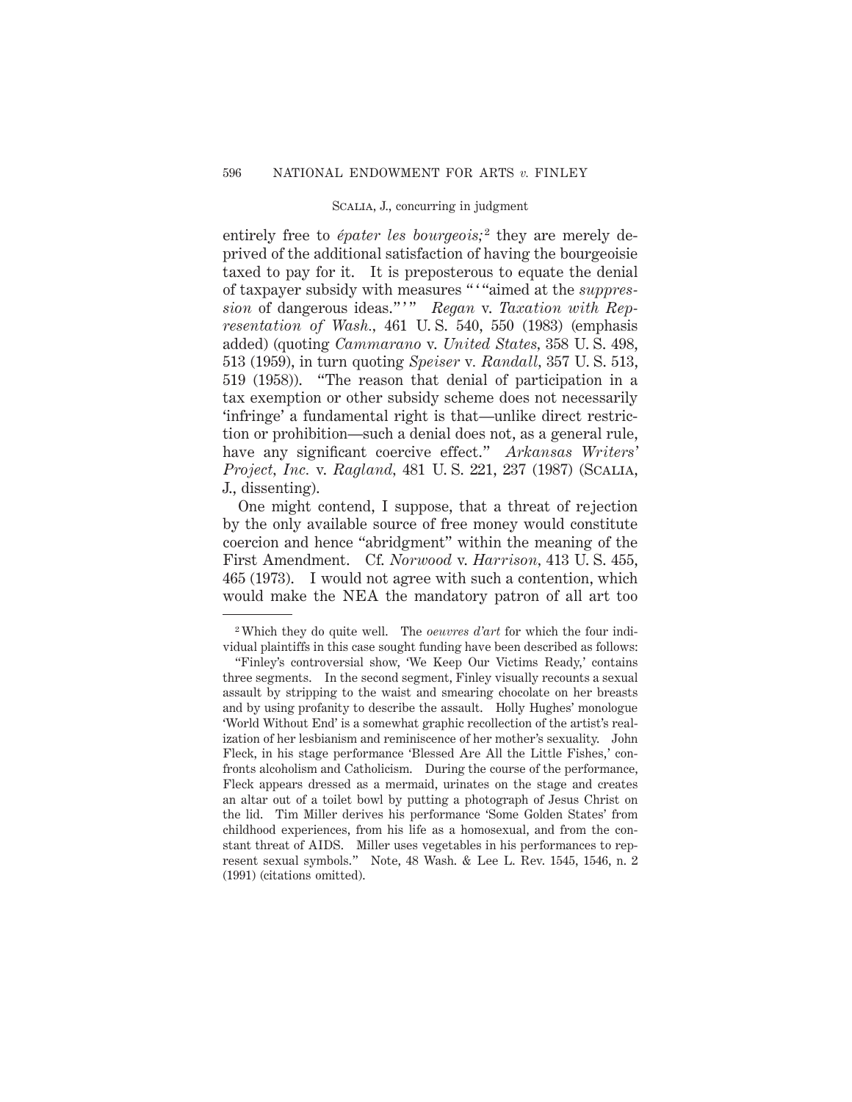entirely free to *épater les bourgeois*;<sup>2</sup> they are merely deprived of the additional satisfaction of having the bourgeoisie taxed to pay for it. It is preposterous to equate the denial of taxpayer subsidy with measures " ' "aimed at the *suppres*sion of dangerous ideas."" Regan v. Taxation with Rep*resentation of Wash.,* 461 U. S. 540, 550 (1983) (emphasis added) (quoting *Cammarano* v. *United States,* 358 U. S. 498, 513 (1959), in turn quoting *Speiser* v*. Randall,* 357 U. S. 513, 519 (1958)). "The reason that denial of participation in a tax exemption or other subsidy scheme does not necessarily 'infringe' a fundamental right is that—unlike direct restriction or prohibition—such a denial does not, as a general rule, have any significant coercive effect." *Arkansas Writers' Project, Inc.* v. *Ragland,* 481 U. S. 221, 237 (1987) (Scalia, J., dissenting).

One might contend, I suppose, that a threat of rejection by the only available source of free money would constitute coercion and hence "abridgment" within the meaning of the First Amendment. Cf. *Norwood* v. *Harrison,* 413 U. S. 455, 465 (1973). I would not agree with such a contention, which would make the NEA the mandatory patron of all art too

<sup>2</sup> Which they do quite well. The *oeuvres d'art* for which the four individual plaintiffs in this case sought funding have been described as follows:

<sup>&</sup>quot;Finley's controversial show, 'We Keep Our Victims Ready,' contains three segments. In the second segment, Finley visually recounts a sexual assault by stripping to the waist and smearing chocolate on her breasts and by using profanity to describe the assault. Holly Hughes' monologue 'World Without End' is a somewhat graphic recollection of the artist's realization of her lesbianism and reminiscence of her mother's sexuality. John Fleck, in his stage performance 'Blessed Are All the Little Fishes,' confronts alcoholism and Catholicism. During the course of the performance, Fleck appears dressed as a mermaid, urinates on the stage and creates an altar out of a toilet bowl by putting a photograph of Jesus Christ on the lid. Tim Miller derives his performance 'Some Golden States' from childhood experiences, from his life as a homosexual, and from the constant threat of AIDS. Miller uses vegetables in his performances to represent sexual symbols." Note, 48 Wash. & Lee L. Rev. 1545, 1546, n. 2 (1991) (citations omitted).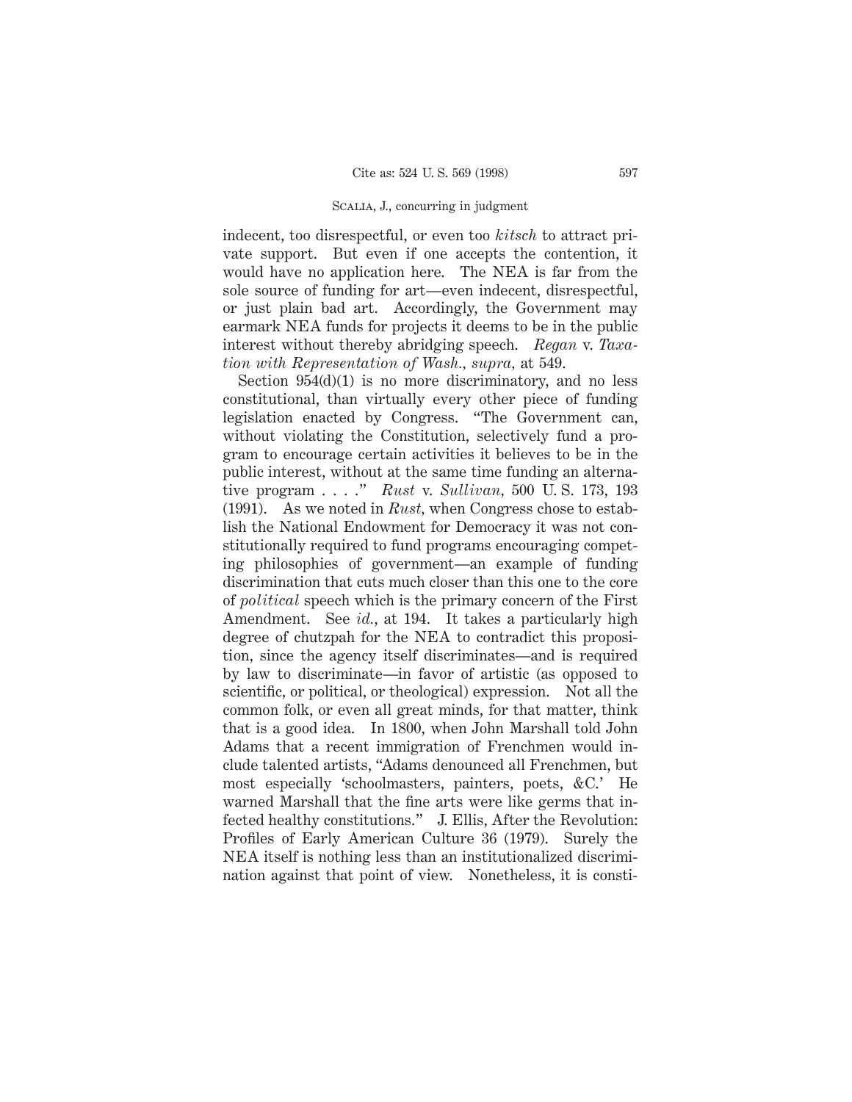indecent, too disrespectful, or even too *kitsch* to attract private support. But even if one accepts the contention, it would have no application here. The NEA is far from the sole source of funding for art—even indecent, disrespectful, or just plain bad art. Accordingly, the Government may earmark NEA funds for projects it deems to be in the public interest without thereby abridging speech. *Regan* v. *Taxation with Representation of Wash., supra,* at 549.

Section  $954(d)(1)$  is no more discriminatory, and no less constitutional, than virtually every other piece of funding legislation enacted by Congress. "The Government can, without violating the Constitution, selectively fund a program to encourage certain activities it believes to be in the public interest, without at the same time funding an alternative program . . . ." *Rust* v. *Sullivan,* 500 U. S. 173, 193 (1991). As we noted in *Rust,* when Congress chose to establish the National Endowment for Democracy it was not constitutionally required to fund programs encouraging competing philosophies of government—an example of funding discrimination that cuts much closer than this one to the core of *political* speech which is the primary concern of the First Amendment. See *id.*, at 194. It takes a particularly high degree of chutzpah for the NEA to contradict this proposition, since the agency itself discriminates—and is required by law to discriminate—in favor of artistic (as opposed to scientific, or political, or theological) expression. Not all the common folk, or even all great minds, for that matter, think that is a good idea. In 1800, when John Marshall told John Adams that a recent immigration of Frenchmen would include talented artists, "Adams denounced all Frenchmen, but most especially 'schoolmasters, painters, poets, &C.' He warned Marshall that the fine arts were like germs that infected healthy constitutions." J. Ellis, After the Revolution: Profiles of Early American Culture 36 (1979). Surely the NEA itself is nothing less than an institutionalized discrimination against that point of view. Nonetheless, it is consti-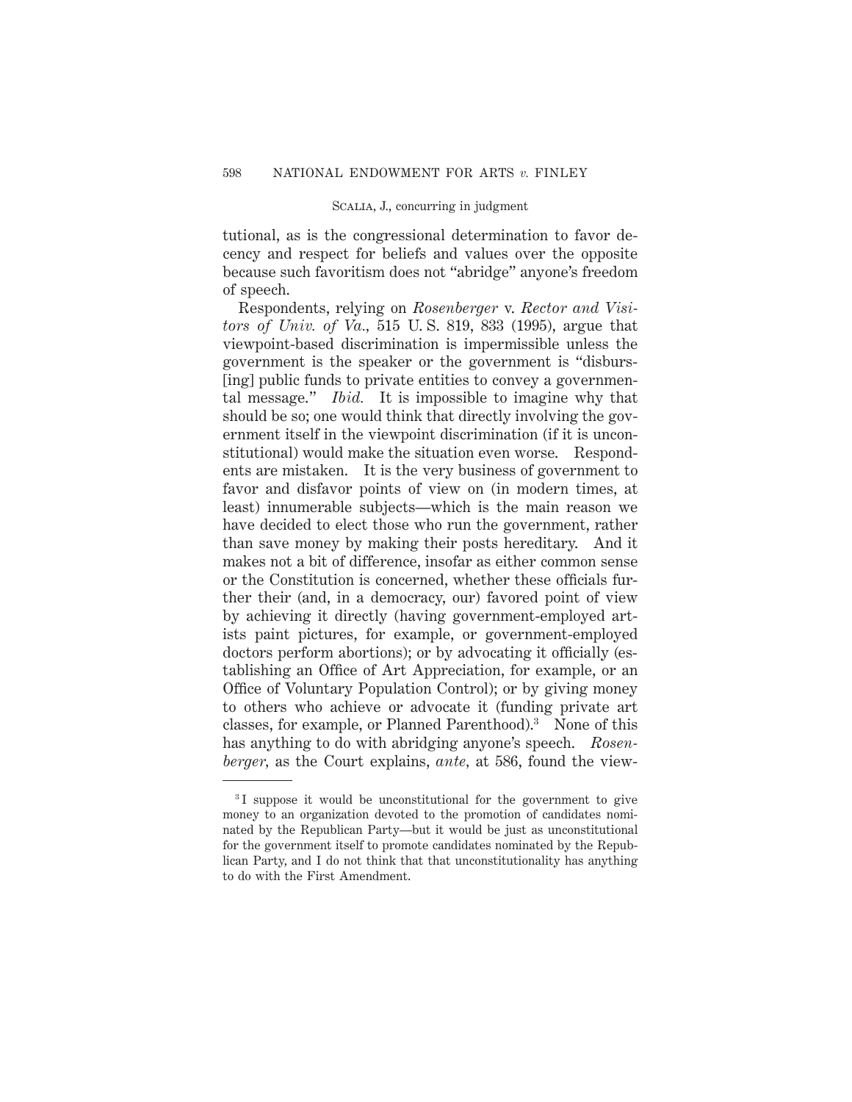tutional, as is the congressional determination to favor decency and respect for beliefs and values over the opposite because such favoritism does not "abridge" anyone's freedom of speech.

Respondents, relying on *Rosenberger* v. *Rector and Visitors of Univ. of Va.,* 515 U. S. 819, 833 (1995), argue that viewpoint-based discrimination is impermissible unless the government is the speaker or the government is "disburs- [ing] public funds to private entities to convey a governmental message." *Ibid.* It is impossible to imagine why that should be so; one would think that directly involving the government itself in the viewpoint discrimination (if it is unconstitutional) would make the situation even worse. Respondents are mistaken. It is the very business of government to favor and disfavor points of view on (in modern times, at least) innumerable subjects—which is the main reason we have decided to elect those who run the government, rather than save money by making their posts hereditary. And it makes not a bit of difference, insofar as either common sense or the Constitution is concerned, whether these officials further their (and, in a democracy, our) favored point of view by achieving it directly (having government-employed artists paint pictures, for example, or government-employed doctors perform abortions); or by advocating it officially (establishing an Office of Art Appreciation, for example, or an Office of Voluntary Population Control); or by giving money to others who achieve or advocate it (funding private art classes, for example, or Planned Parenthood).3 None of this has anything to do with abridging anyone's speech. *Rosenberger,* as the Court explains, *ante,* at 586, found the view-

<sup>&</sup>lt;sup>3</sup>I suppose it would be unconstitutional for the government to give money to an organization devoted to the promotion of candidates nominated by the Republican Party—but it would be just as unconstitutional for the government itself to promote candidates nominated by the Republican Party, and I do not think that that unconstitutionality has anything to do with the First Amendment.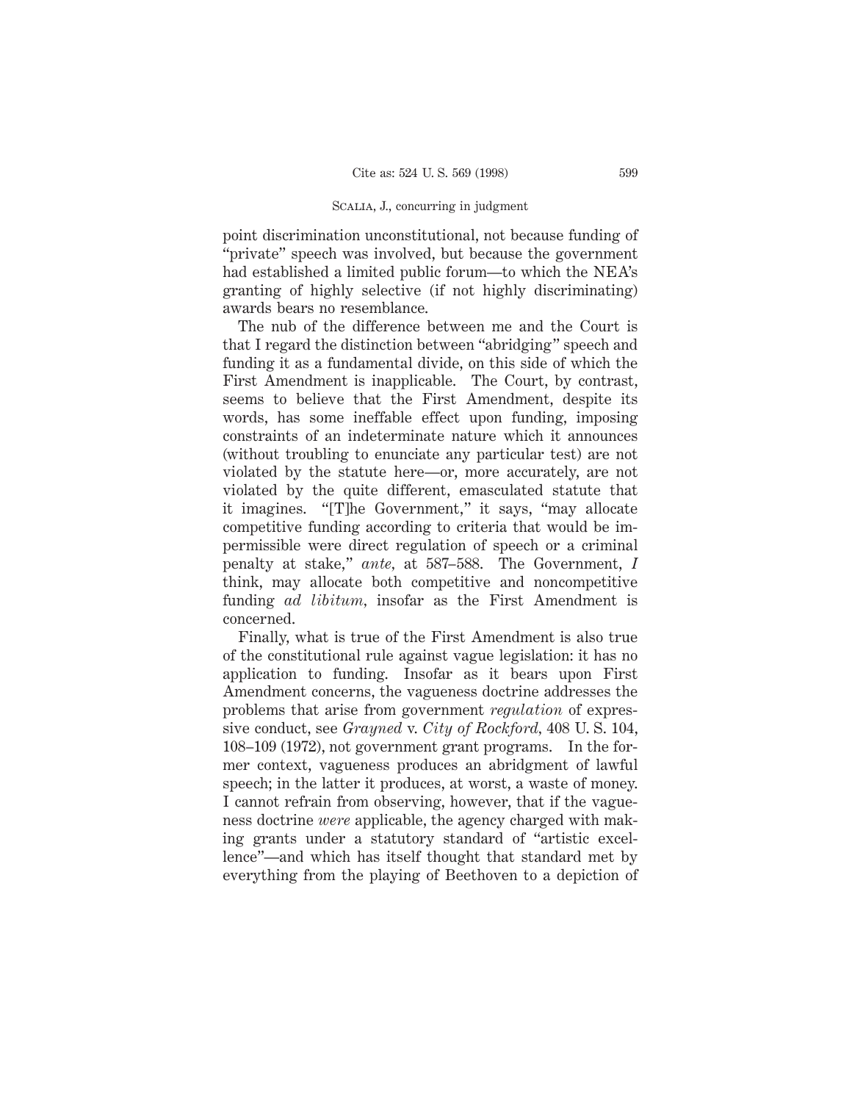point discrimination unconstitutional, not because funding of "private" speech was involved, but because the government had established a limited public forum—to which the NEA's granting of highly selective (if not highly discriminating) awards bears no resemblance.

The nub of the difference between me and the Court is that I regard the distinction between "abridging" speech and funding it as a fundamental divide, on this side of which the First Amendment is inapplicable. The Court, by contrast, seems to believe that the First Amendment, despite its words, has some ineffable effect upon funding, imposing constraints of an indeterminate nature which it announces (without troubling to enunciate any particular test) are not violated by the statute here—or, more accurately, are not violated by the quite different, emasculated statute that it imagines. "[T]he Government," it says, "may allocate competitive funding according to criteria that would be impermissible were direct regulation of speech or a criminal penalty at stake," *ante,* at 587–588. The Government, *I* think, may allocate both competitive and noncompetitive funding *ad libitum,* insofar as the First Amendment is concerned.

Finally, what is true of the First Amendment is also true of the constitutional rule against vague legislation: it has no application to funding. Insofar as it bears upon First Amendment concerns, the vagueness doctrine addresses the problems that arise from government *regulation* of expressive conduct, see *Grayned* v. *City of Rockford,* 408 U. S. 104, 108–109 (1972), not government grant programs. In the former context, vagueness produces an abridgment of lawful speech; in the latter it produces, at worst, a waste of money. I cannot refrain from observing, however, that if the vagueness doctrine *were* applicable, the agency charged with making grants under a statutory standard of "artistic excellence"—and which has itself thought that standard met by everything from the playing of Beethoven to a depiction of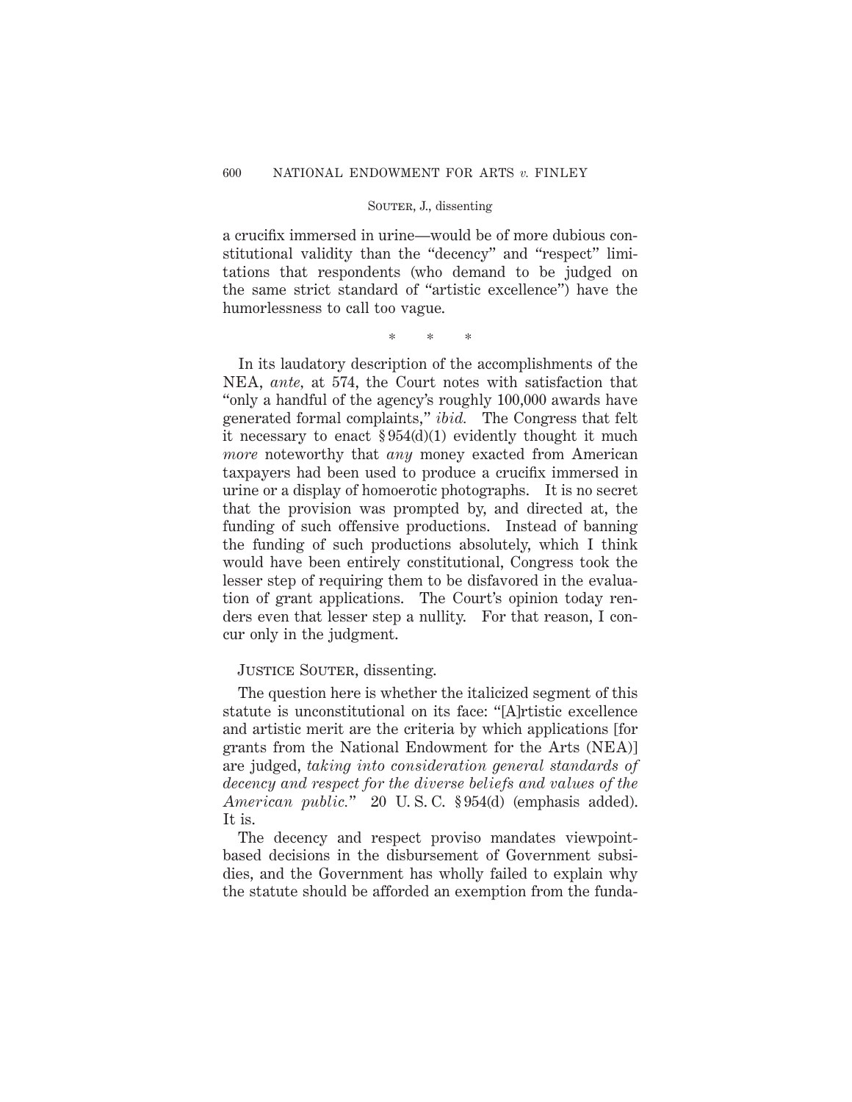a crucifix immersed in urine—would be of more dubious constitutional validity than the "decency" and "respect" limitations that respondents (who demand to be judged on the same strict standard of "artistic excellence") have the humorlessness to call too vague.

# \*\*\*

In its laudatory description of the accomplishments of the NEA, *ante,* at 574, the Court notes with satisfaction that "only a handful of the agency's roughly 100,000 awards have generated formal complaints," *ibid.* The Congress that felt it necessary to enact  $\S 954(d)(1)$  evidently thought it much *more* noteworthy that *any* money exacted from American taxpayers had been used to produce a crucifix immersed in urine or a display of homoerotic photographs. It is no secret that the provision was prompted by, and directed at, the funding of such offensive productions. Instead of banning the funding of such productions absolutely, which I think would have been entirely constitutional, Congress took the lesser step of requiring them to be disfavored in the evaluation of grant applications. The Court's opinion today renders even that lesser step a nullity. For that reason, I concur only in the judgment.

# JUSTICE SOUTER, dissenting.

The question here is whether the italicized segment of this statute is unconstitutional on its face: "[A]rtistic excellence and artistic merit are the criteria by which applications [for grants from the National Endowment for the Arts (NEA)] are judged, *taking into consideration general standards of decency and respect for the diverse beliefs and values of the American public.*" 20 U. S. C. § 954(d) (emphasis added). It is.

The decency and respect proviso mandates viewpointbased decisions in the disbursement of Government subsidies, and the Government has wholly failed to explain why the statute should be afforded an exemption from the funda-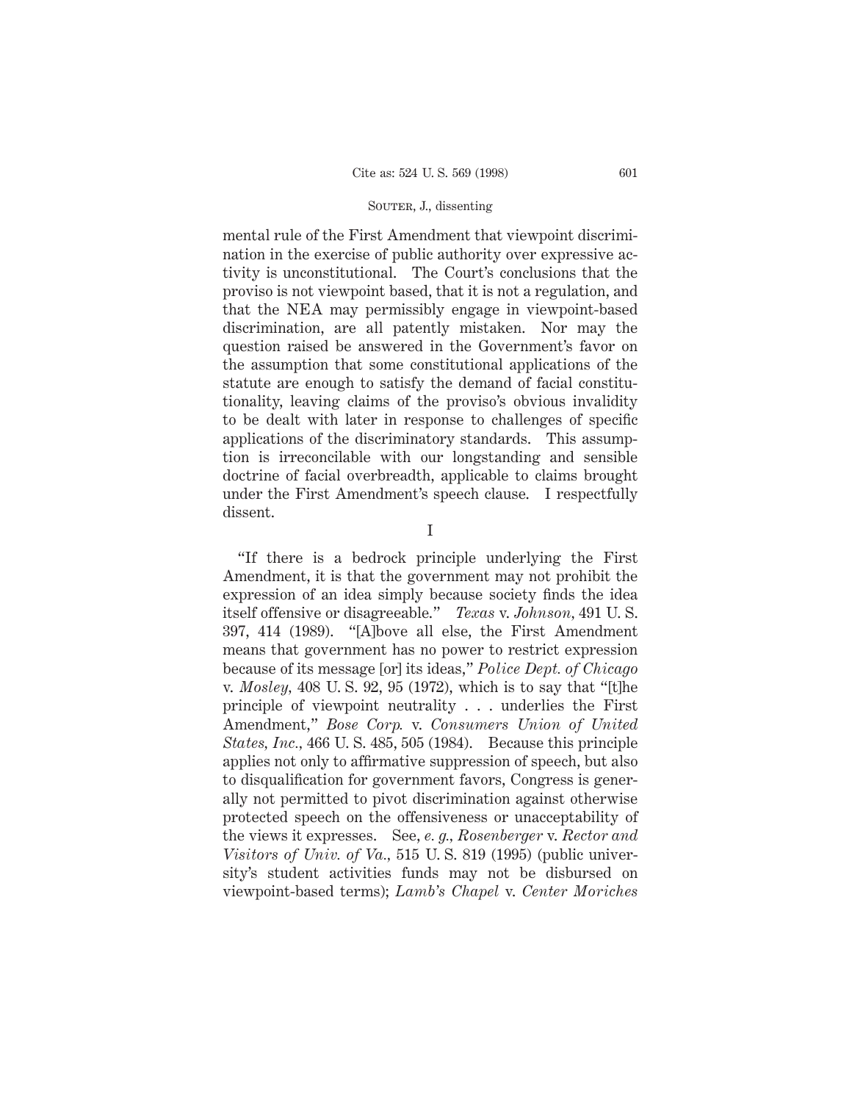mental rule of the First Amendment that viewpoint discrimination in the exercise of public authority over expressive activity is unconstitutional. The Court's conclusions that the proviso is not viewpoint based, that it is not a regulation, and that the NEA may permissibly engage in viewpoint-based discrimination, are all patently mistaken. Nor may the question raised be answered in the Government's favor on the assumption that some constitutional applications of the statute are enough to satisfy the demand of facial constitutionality, leaving claims of the proviso's obvious invalidity to be dealt with later in response to challenges of specific applications of the discriminatory standards. This assumption is irreconcilable with our longstanding and sensible doctrine of facial overbreadth, applicable to claims brought under the First Amendment's speech clause. I respectfully dissent.

I

"If there is a bedrock principle underlying the First Amendment, it is that the government may not prohibit the expression of an idea simply because society finds the idea itself offensive or disagreeable." *Texas* v. *Johnson,* 491 U. S. 397, 414 (1989). "[A]bove all else, the First Amendment means that government has no power to restrict expression because of its message [or] its ideas," *Police Dept. of Chicago* v. *Mosley,* 408 U. S. 92, 95 (1972), which is to say that "[t]he principle of viewpoint neutrality . . . underlies the First Amendment," *Bose Corp.* v. *Consumers Union of United States, Inc.,* 466 U. S. 485, 505 (1984). Because this principle applies not only to affirmative suppression of speech, but also to disqualification for government favors, Congress is generally not permitted to pivot discrimination against otherwise protected speech on the offensiveness or unacceptability of the views it expresses. See, *e. g., Rosenberger* v. *Rector and Visitors of Univ. of Va.,* 515 U. S. 819 (1995) (public university's student activities funds may not be disbursed on viewpoint-based terms); *Lamb's Chapel* v. *Center Moriches*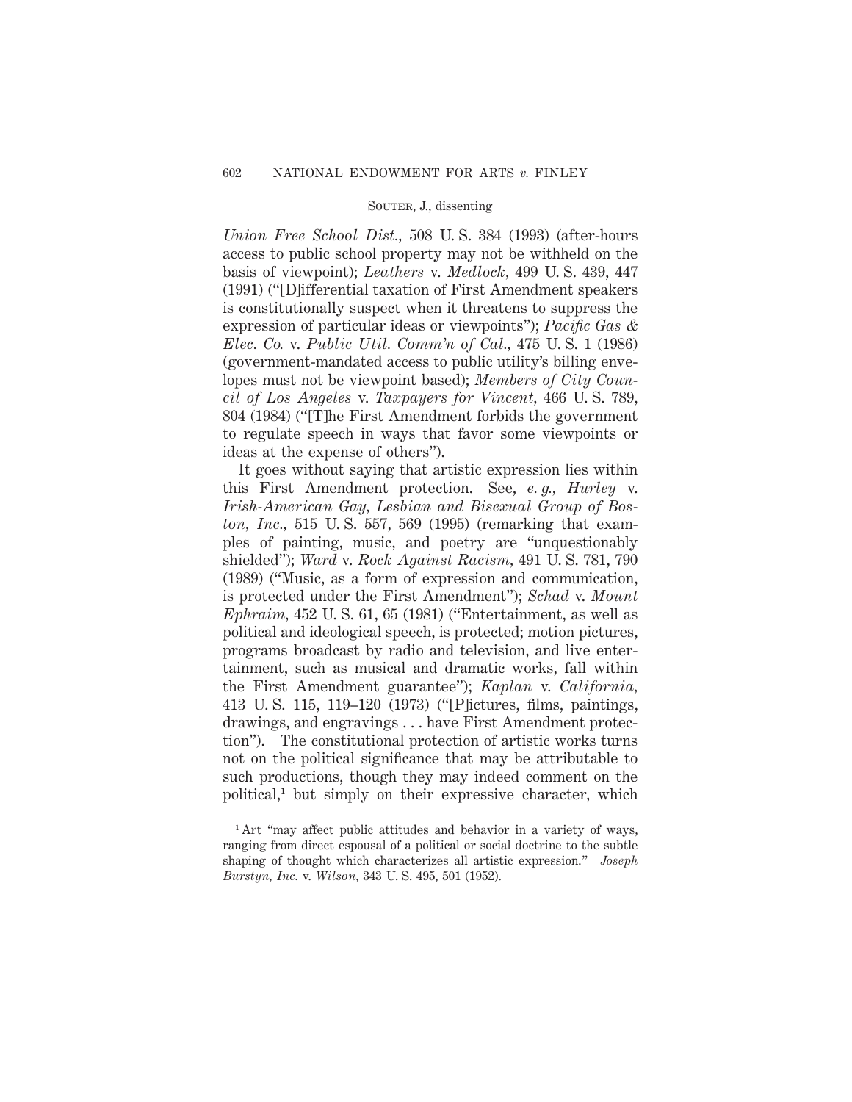*Union Free School Dist.,* 508 U. S. 384 (1993) (after-hours access to public school property may not be withheld on the basis of viewpoint); *Leathers* v. *Medlock,* 499 U. S. 439, 447 (1991) ("[D]ifferential taxation of First Amendment speakers is constitutionally suspect when it threatens to suppress the expression of particular ideas or viewpoints"); *Pacific Gas & Elec. Co.* v. *Public Util. Comm'n of Cal.,* 475 U. S. 1 (1986) (government-mandated access to public utility's billing envelopes must not be viewpoint based); *Members of City Council of Los Angeles* v. *Taxpayers for Vincent,* 466 U. S. 789, 804 (1984) ("[T]he First Amendment forbids the government to regulate speech in ways that favor some viewpoints or ideas at the expense of others").

It goes without saying that artistic expression lies within this First Amendment protection. See, *e. g., Hurley* v. *Irish-American Gay, Lesbian and Bisexual Group of Boston, Inc.,* 515 U. S. 557, 569 (1995) (remarking that examples of painting, music, and poetry are "unquestionably shielded"); *Ward* v. *Rock Against Racism,* 491 U. S. 781, 790 (1989) ("Music, as a form of expression and communication, is protected under the First Amendment"); *Schad* v. *Mount Ephraim,* 452 U. S. 61, 65 (1981) ("Entertainment, as well as political and ideological speech, is protected; motion pictures, programs broadcast by radio and television, and live entertainment, such as musical and dramatic works, fall within the First Amendment guarantee"); *Kaplan* v. *California,* 413 U. S. 115, 119–120 (1973) ("[P]ictures, films, paintings, drawings, and engravings... have First Amendment protection"). The constitutional protection of artistic works turns not on the political significance that may be attributable to such productions, though they may indeed comment on the political,1 but simply on their expressive character, which

<sup>&</sup>lt;sup>1</sup> Art "may affect public attitudes and behavior in a variety of ways, ranging from direct espousal of a political or social doctrine to the subtle shaping of thought which characterizes all artistic expression." *Joseph Burstyn, Inc.* v. *Wilson,* 343 U. S. 495, 501 (1952).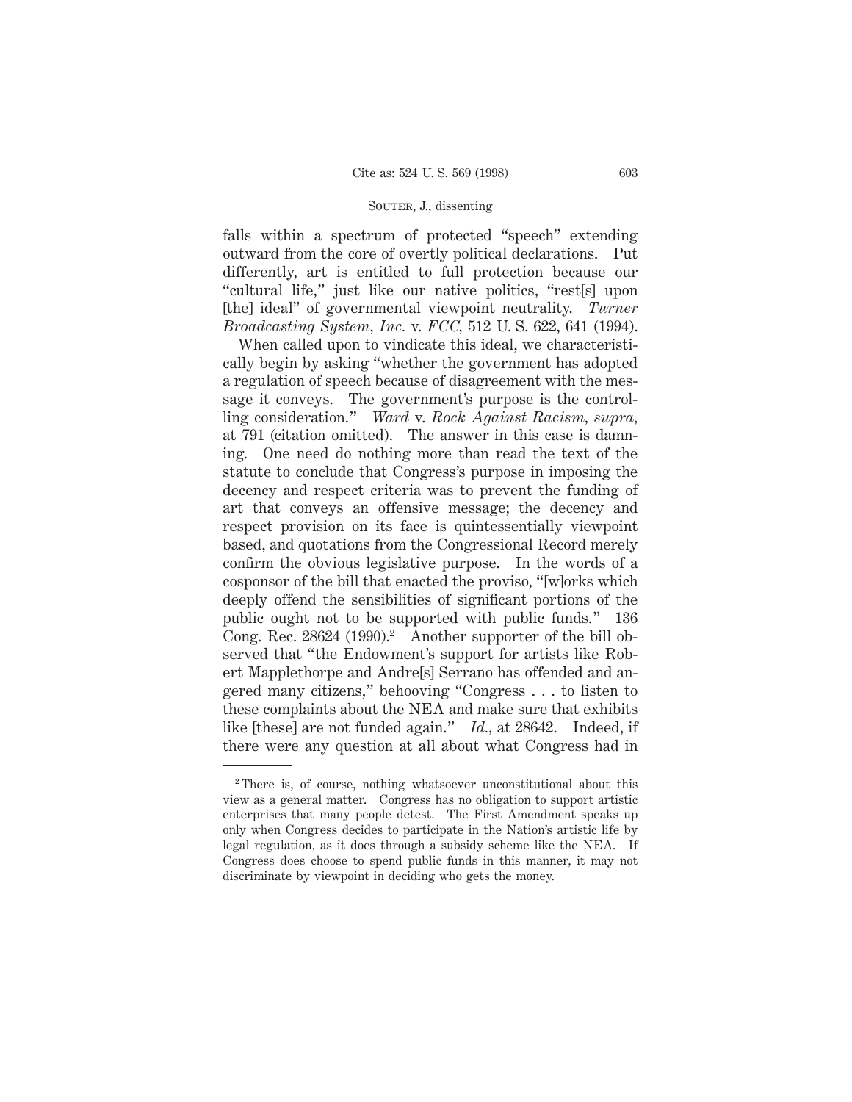falls within a spectrum of protected "speech" extending outward from the core of overtly political declarations. Put differently, art is entitled to full protection because our "cultural life," just like our native politics, "rest[s] upon [the] ideal" of governmental viewpoint neutrality. *Turner Broadcasting System, Inc.* v. *FCC,* 512 U. S. 622, 641 (1994).

When called upon to vindicate this ideal, we characteristically begin by asking "whether the government has adopted a regulation of speech because of disagreement with the message it conveys. The government's purpose is the controlling consideration." *Ward* v. *Rock Against Racism, supra,* at 791 (citation omitted). The answer in this case is damning. One need do nothing more than read the text of the statute to conclude that Congress's purpose in imposing the decency and respect criteria was to prevent the funding of art that conveys an offensive message; the decency and respect provision on its face is quintessentially viewpoint based, and quotations from the Congressional Record merely confirm the obvious legislative purpose. In the words of a cosponsor of the bill that enacted the proviso, "[w]orks which deeply offend the sensibilities of significant portions of the public ought not to be supported with public funds." 136 Cong. Rec. 28624 (1990).<sup>2</sup> Another supporter of the bill observed that "the Endowment's support for artists like Robert Mapplethorpe and Andre[s] Serrano has offended and angered many citizens," behooving "Congress . . . to listen to these complaints about the NEA and make sure that exhibits like [these] are not funded again." *Id.,* at 28642. Indeed, if there were any question at all about what Congress had in

<sup>2</sup> There is, of course, nothing whatsoever unconstitutional about this view as a general matter. Congress has no obligation to support artistic enterprises that many people detest. The First Amendment speaks up only when Congress decides to participate in the Nation's artistic life by legal regulation, as it does through a subsidy scheme like the NEA. If Congress does choose to spend public funds in this manner, it may not discriminate by viewpoint in deciding who gets the money.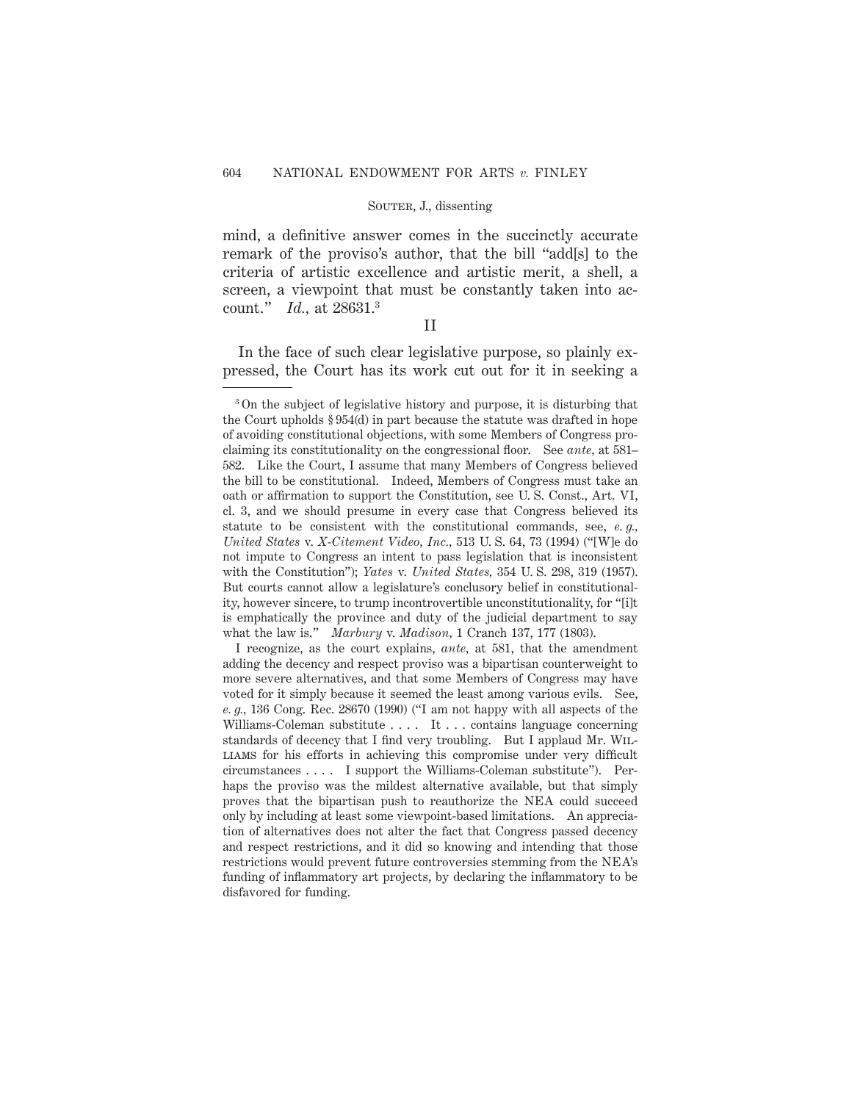mind, a definitive answer comes in the succinctly accurate remark of the proviso's author, that the bill "add[s] to the criteria of artistic excellence and artistic merit, a shell, a screen, a viewpoint that must be constantly taken into account." *Id.,* at 28631.3

### II

In the face of such clear legislative purpose, so plainly expressed, the Court has its work cut out for it in seeking a

I recognize, as the court explains, *ante,* at 581, that the amendment adding the decency and respect proviso was a bipartisan counterweight to more severe alternatives, and that some Members of Congress may have voted for it simply because it seemed the least among various evils. See, *e. g.,* 136 Cong. Rec. 28670 (1990) ("I am not happy with all aspects of the Williams-Coleman substitute . . . . It . . . contains language concerning standards of decency that I find very troubling. But I applaud Mr. Williams for his efforts in achieving this compromise under very difficult circumstances . . . . I support the Williams-Coleman substitute"). Perhaps the proviso was the mildest alternative available, but that simply proves that the bipartisan push to reauthorize the NEA could succeed only by including at least some viewpoint-based limitations. An appreciation of alternatives does not alter the fact that Congress passed decency and respect restrictions, and it did so knowing and intending that those restrictions would prevent future controversies stemming from the NEA's funding of inflammatory art projects, by declaring the inflammatory to be disfavored for funding.

<sup>3</sup> On the subject of legislative history and purpose, it is disturbing that the Court upholds § 954(d) in part because the statute was drafted in hope of avoiding constitutional objections, with some Members of Congress proclaiming its constitutionality on the congressional floor. See *ante,* at 581– 582. Like the Court, I assume that many Members of Congress believed the bill to be constitutional. Indeed, Members of Congress must take an oath or affirmation to support the Constitution, see U. S. Const., Art. VI, cl. 3, and we should presume in every case that Congress believed its statute to be consistent with the constitutional commands, see, *e. g., United States* v. *X-Citement Video, Inc.,* 513 U. S. 64, 73 (1994) ("[W]e do not impute to Congress an intent to pass legislation that is inconsistent with the Constitution"); *Yates* v. *United States,* 354 U. S. 298, 319 (1957). But courts cannot allow a legislature's conclusory belief in constitutionality, however sincere, to trump incontrovertible unconstitutionality, for "[i]t is emphatically the province and duty of the judicial department to say what the law is." *Marbury* v. *Madison,* 1 Cranch 137, 177 (1803).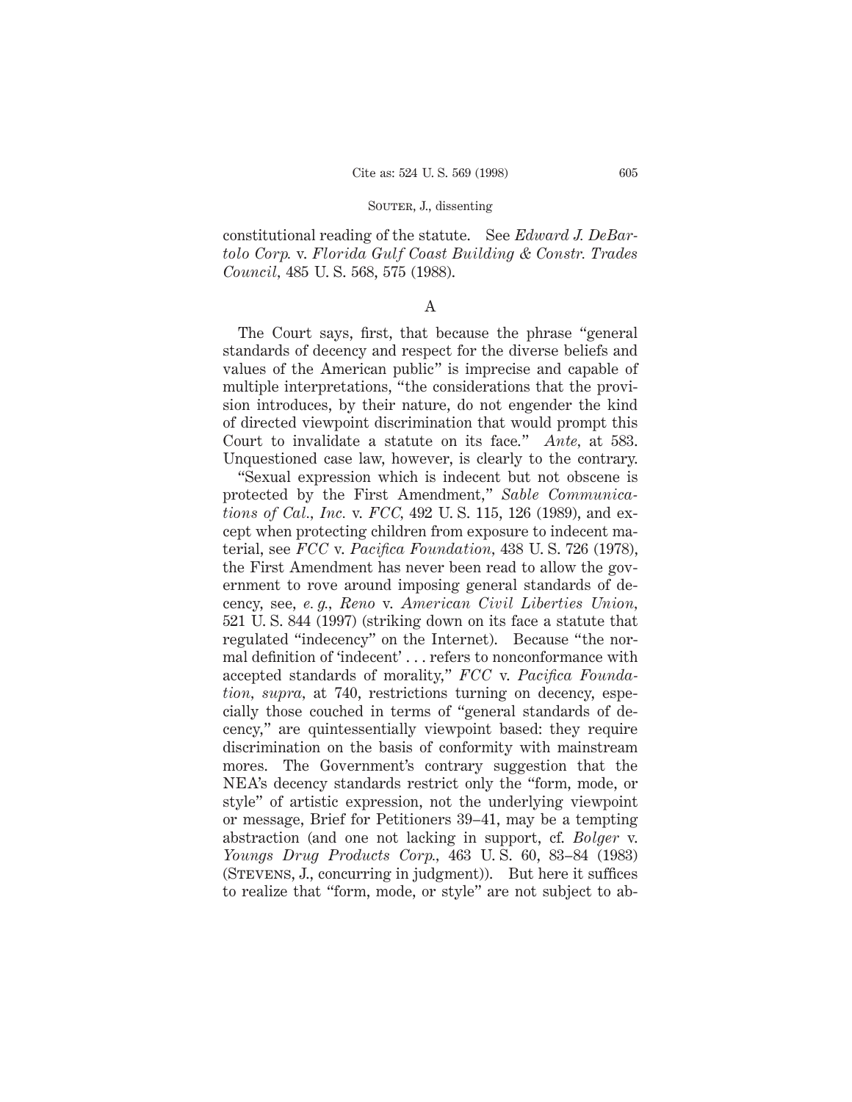constitutional reading of the statute. See *Edward J. DeBartolo Corp.* v. *Florida Gulf Coast Building & Constr. Trades Council,* 485 U. S. 568, 575 (1988).

# A

The Court says, first, that because the phrase "general standards of decency and respect for the diverse beliefs and values of the American public" is imprecise and capable of multiple interpretations, "the considerations that the provision introduces, by their nature, do not engender the kind of directed viewpoint discrimination that would prompt this Court to invalidate a statute on its face." *Ante,* at 583. Unquestioned case law, however, is clearly to the contrary.

"Sexual expression which is indecent but not obscene is protected by the First Amendment," *Sable Communications of Cal., Inc.* v. *FCC,* 492 U. S. 115, 126 (1989), and except when protecting children from exposure to indecent material, see *FCC* v. *Pacifica Foundation,* 438 U. S. 726 (1978), the First Amendment has never been read to allow the government to rove around imposing general standards of decency, see, *e. g., Reno* v. *American Civil Liberties Union,* 521 U. S. 844 (1997) (striking down on its face a statute that regulated "indecency" on the Internet). Because "the normal definition of 'indecent' . . . refers to nonconformance with accepted standards of morality," *FCC* v. *Pacifica Foundation, supra,* at 740, restrictions turning on decency, especially those couched in terms of "general standards of decency," are quintessentially viewpoint based: they require discrimination on the basis of conformity with mainstream mores. The Government's contrary suggestion that the NEA's decency standards restrict only the "form, mode, or style" of artistic expression, not the underlying viewpoint or message, Brief for Petitioners 39–41, may be a tempting abstraction (and one not lacking in support, cf. *Bolger* v. *Youngs Drug Products Corp.,* 463 U. S. 60, 83–84 (1983) (Stevens, J., concurring in judgment)). But here it suffices to realize that "form, mode, or style" are not subject to ab-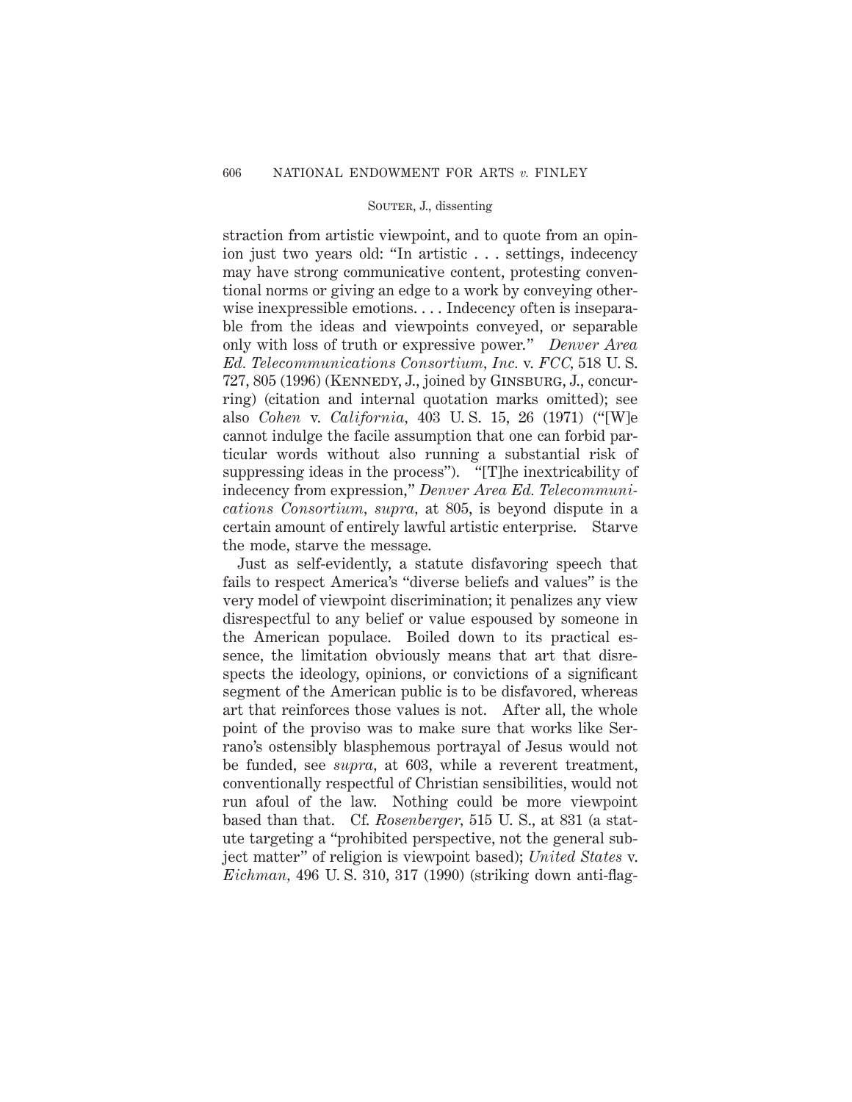straction from artistic viewpoint, and to quote from an opinion just two years old: "In artistic... settings, indecency may have strong communicative content, protesting conventional norms or giving an edge to a work by conveying otherwise inexpressible emotions.... Indecency often is inseparable from the ideas and viewpoints conveyed, or separable only with loss of truth or expressive power." *Denver Area Ed. Telecommunications Consortium, Inc.* v. *FCC,* 518 U. S. 727, 805 (1996) (Kennedy, J., joined by Ginsburg, J., concurring) (citation and internal quotation marks omitted); see also *Cohen* v. *California,* 403 U. S. 15, 26 (1971) ("[W]e cannot indulge the facile assumption that one can forbid particular words without also running a substantial risk of suppressing ideas in the process"). "[T]he inextricability of indecency from expression," *Denver Area Ed. Telecommunications Consortium, supra,* at 805, is beyond dispute in a certain amount of entirely lawful artistic enterprise. Starve the mode, starve the message.

Just as self-evidently, a statute disfavoring speech that fails to respect America's "diverse beliefs and values" is the very model of viewpoint discrimination; it penalizes any view disrespectful to any belief or value espoused by someone in the American populace. Boiled down to its practical essence, the limitation obviously means that art that disrespects the ideology, opinions, or convictions of a significant segment of the American public is to be disfavored, whereas art that reinforces those values is not. After all, the whole point of the proviso was to make sure that works like Serrano's ostensibly blasphemous portrayal of Jesus would not be funded, see *supra,* at 603, while a reverent treatment, conventionally respectful of Christian sensibilities, would not run afoul of the law. Nothing could be more viewpoint based than that. Cf. *Rosenberger,* 515 U. S., at 831 (a statute targeting a "prohibited perspective, not the general subject matter" of religion is viewpoint based); *United States* v. *Eichman,* 496 U. S. 310, 317 (1990) (striking down anti-flag-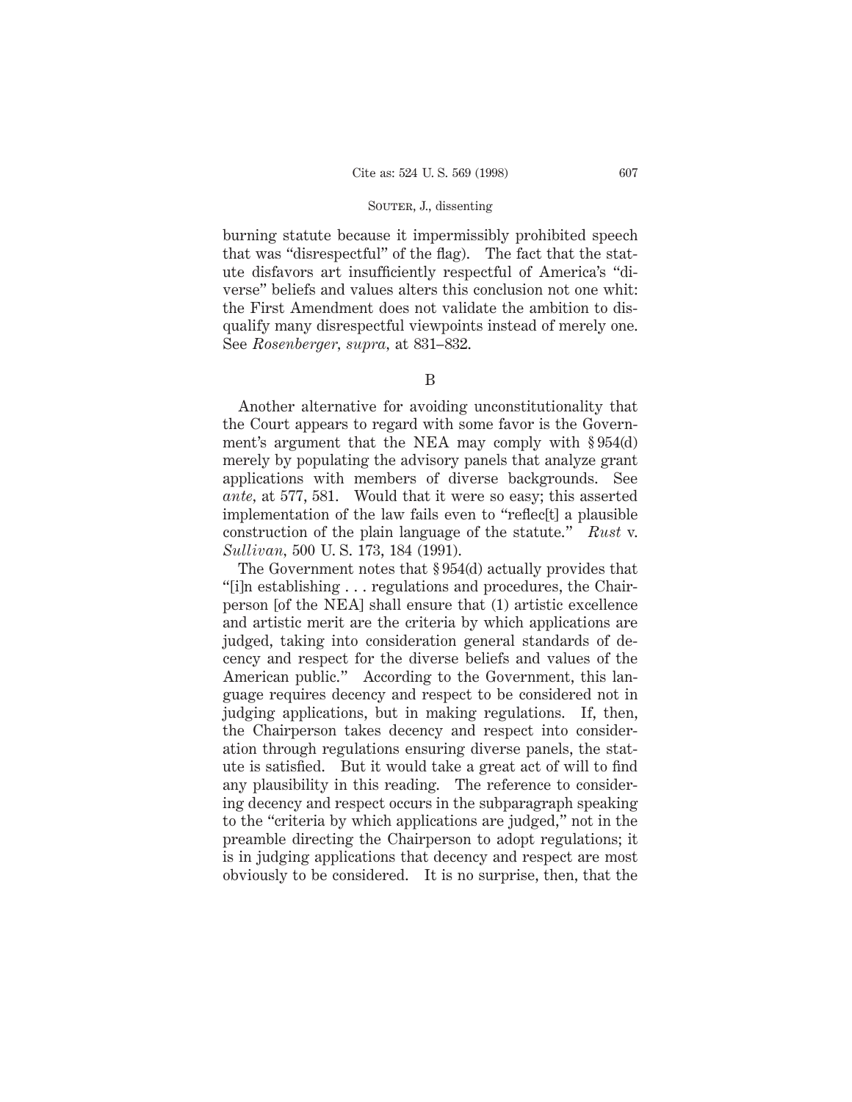burning statute because it impermissibly prohibited speech that was "disrespectful" of the flag). The fact that the statute disfavors art insufficiently respectful of America's "diverse" beliefs and values alters this conclusion not one whit: the First Amendment does not validate the ambition to disqualify many disrespectful viewpoints instead of merely one. See *Rosenberger, supra,* at 831–832.

B

Another alternative for avoiding unconstitutionality that the Court appears to regard with some favor is the Government's argument that the NEA may comply with § 954(d) merely by populating the advisory panels that analyze grant applications with members of diverse backgrounds. See *ante,* at 577, 581. Would that it were so easy; this asserted implementation of the law fails even to "reflec[t] a plausible construction of the plain language of the statute." *Rust* v. *Sullivan,* 500 U. S. 173, 184 (1991).

The Government notes that § 954(d) actually provides that "[i]n establishing . . . regulations and procedures, the Chairperson [of the NEA] shall ensure that (1) artistic excellence and artistic merit are the criteria by which applications are judged, taking into consideration general standards of decency and respect for the diverse beliefs and values of the American public." According to the Government, this language requires decency and respect to be considered not in judging applications, but in making regulations. If, then, the Chairperson takes decency and respect into consideration through regulations ensuring diverse panels, the statute is satisfied. But it would take a great act of will to find any plausibility in this reading. The reference to considering decency and respect occurs in the subparagraph speaking to the "criteria by which applications are judged," not in the preamble directing the Chairperson to adopt regulations; it is in judging applications that decency and respect are most obviously to be considered. It is no surprise, then, that the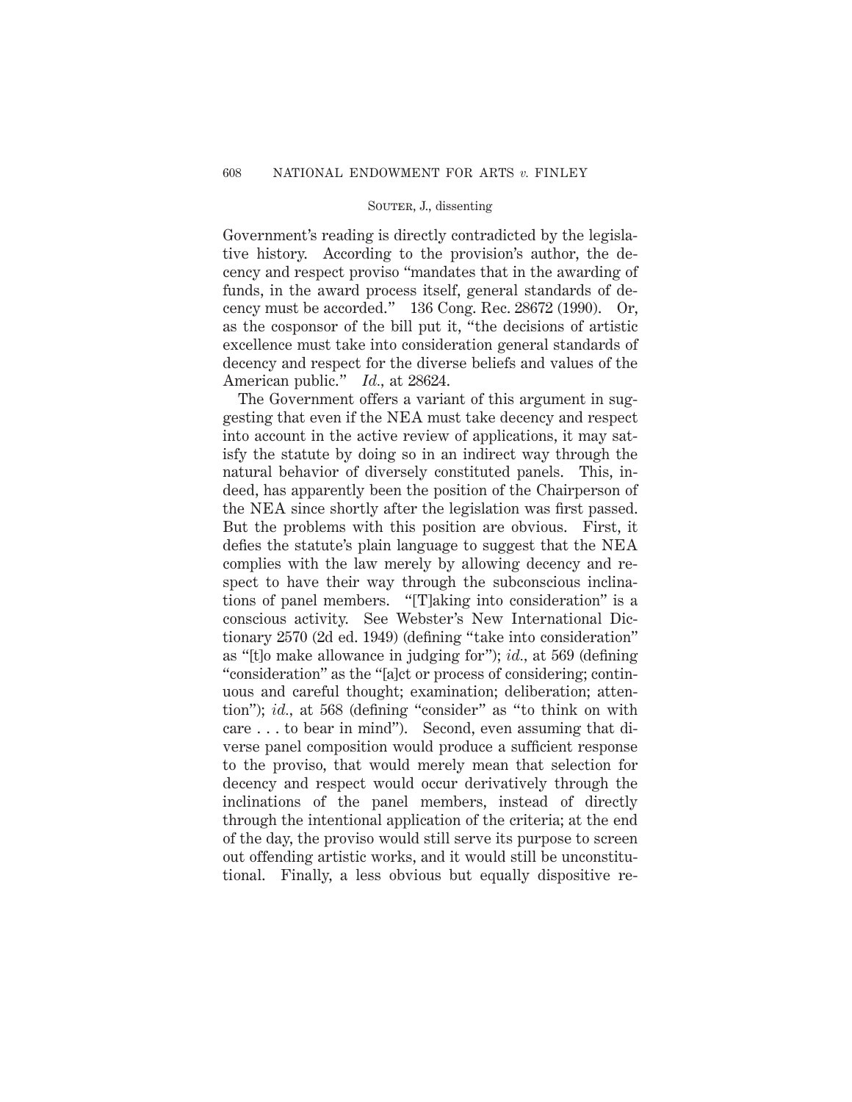Government's reading is directly contradicted by the legislative history. According to the provision's author, the decency and respect proviso "mandates that in the awarding of funds, in the award process itself, general standards of decency must be accorded." 136 Cong. Rec. 28672 (1990). Or, as the cosponsor of the bill put it, "the decisions of artistic excellence must take into consideration general standards of decency and respect for the diverse beliefs and values of the American public." *Id.,* at 28624.

The Government offers a variant of this argument in suggesting that even if the NEA must take decency and respect into account in the active review of applications, it may satisfy the statute by doing so in an indirect way through the natural behavior of diversely constituted panels. This, indeed, has apparently been the position of the Chairperson of the NEA since shortly after the legislation was first passed. But the problems with this position are obvious. First, it defies the statute's plain language to suggest that the NEA complies with the law merely by allowing decency and respect to have their way through the subconscious inclinations of panel members. "[T]aking into consideration" is a conscious activity. See Webster's New International Dictionary 2570 (2d ed. 1949) (defining "take into consideration" as "[t]o make allowance in judging for"); *id.,* at 569 (defining "consideration" as the "[a]ct or process of considering; continuous and careful thought; examination; deliberation; attention"); *id.,* at 568 (defining "consider" as "to think on with care . . . to bear in mind"). Second, even assuming that diverse panel composition would produce a sufficient response to the proviso, that would merely mean that selection for decency and respect would occur derivatively through the inclinations of the panel members, instead of directly through the intentional application of the criteria; at the end of the day, the proviso would still serve its purpose to screen out offending artistic works, and it would still be unconstitutional. Finally, a less obvious but equally dispositive re-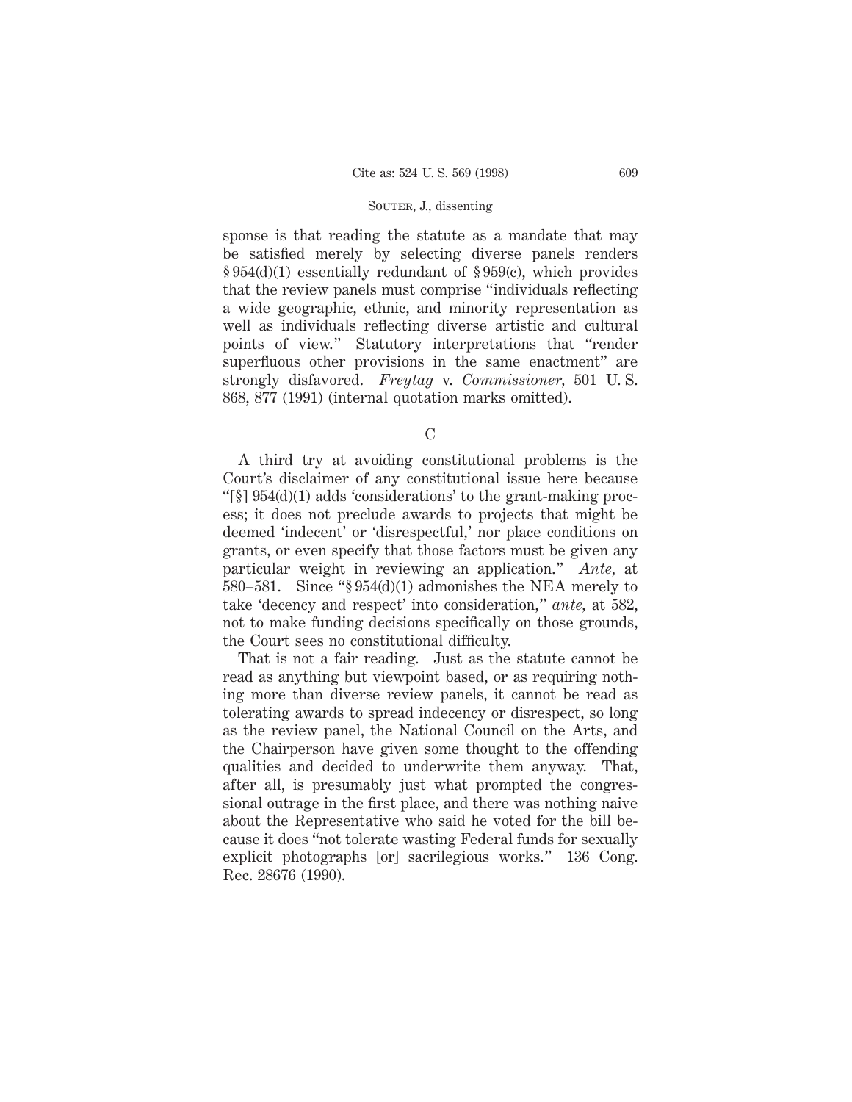sponse is that reading the statute as a mandate that may be satisfied merely by selecting diverse panels renders § 954(d)(1) essentially redundant of § 959(c), which provides that the review panels must comprise "individuals reflecting a wide geographic, ethnic, and minority representation as well as individuals reflecting diverse artistic and cultural points of view." Statutory interpretations that "render superfluous other provisions in the same enactment" are strongly disfavored. *Freytag* v. *Commissioner,* 501 U. S. 868, 877 (1991) (internal quotation marks omitted).

C

A third try at avoiding constitutional problems is the Court's disclaimer of any constitutional issue here because "[§] 954(d)(1) adds 'considerations' to the grant-making process; it does not preclude awards to projects that might be deemed 'indecent' or 'disrespectful,' nor place conditions on grants, or even specify that those factors must be given any particular weight in reviewing an application." *Ante,* at 580–581. Since "§ 954(d)(1) admonishes the NEA merely to take 'decency and respect' into consideration," *ante,* at 582, not to make funding decisions specifically on those grounds, the Court sees no constitutional difficulty.

That is not a fair reading. Just as the statute cannot be read as anything but viewpoint based, or as requiring nothing more than diverse review panels, it cannot be read as tolerating awards to spread indecency or disrespect, so long as the review panel, the National Council on the Arts, and the Chairperson have given some thought to the offending qualities and decided to underwrite them anyway. That, after all, is presumably just what prompted the congressional outrage in the first place, and there was nothing naive about the Representative who said he voted for the bill because it does "not tolerate wasting Federal funds for sexually explicit photographs [or] sacrilegious works." 136 Cong. Rec. 28676 (1990).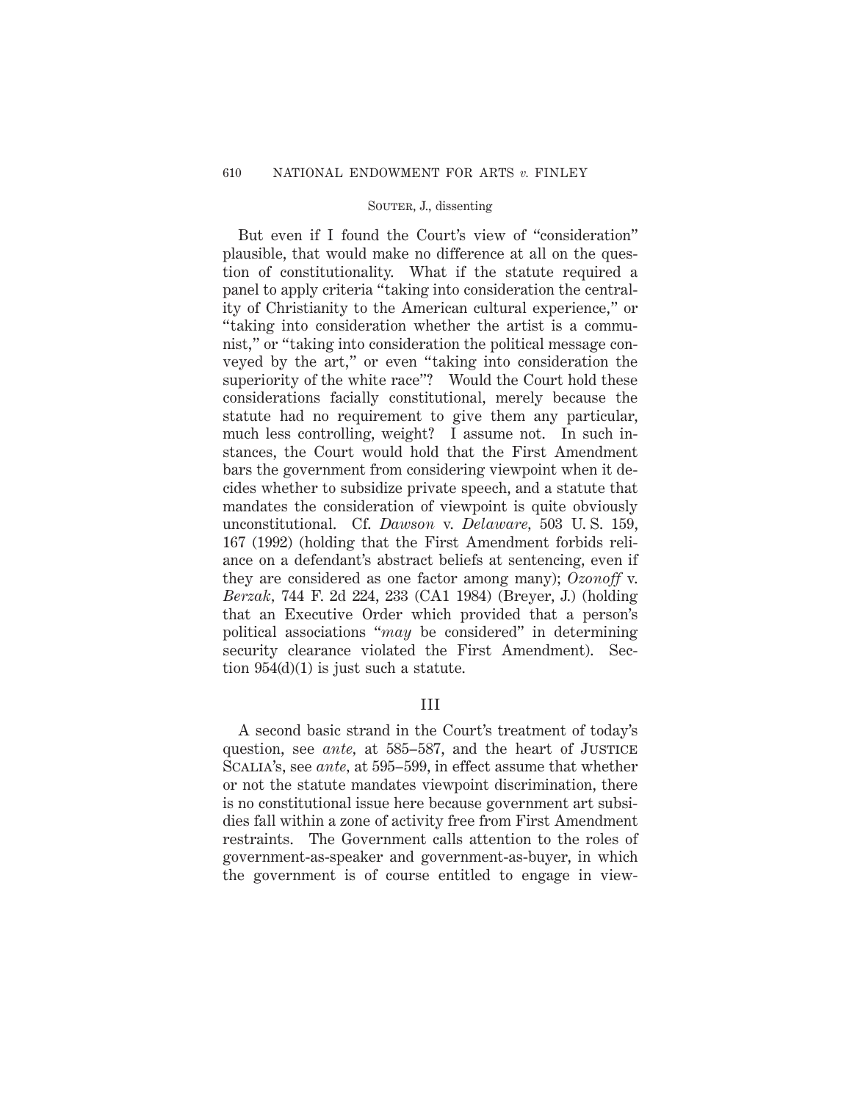But even if I found the Court's view of "consideration" plausible, that would make no difference at all on the question of constitutionality. What if the statute required a panel to apply criteria "taking into consideration the centrality of Christianity to the American cultural experience," or "taking into consideration whether the artist is a communist," or "taking into consideration the political message conveyed by the art," or even "taking into consideration the superiority of the white race"? Would the Court hold these considerations facially constitutional, merely because the statute had no requirement to give them any particular, much less controlling, weight? I assume not. In such instances, the Court would hold that the First Amendment bars the government from considering viewpoint when it decides whether to subsidize private speech, and a statute that mandates the consideration of viewpoint is quite obviously unconstitutional. Cf. *Dawson* v. *Delaware,* 503 U. S. 159, 167 (1992) (holding that the First Amendment forbids reliance on a defendant's abstract beliefs at sentencing, even if they are considered as one factor among many); *Ozonoff* v. *Berzak,* 744 F. 2d 224, 233 (CA1 1984) (Breyer, J.) (holding that an Executive Order which provided that a person's political associations "*may* be considered" in determining security clearance violated the First Amendment). Section 954(d)(1) is just such a statute.

III

A second basic strand in the Court's treatment of today's question, see *ante*, at 585–587, and the heart of JUSTICE Scalia's, see *ante,* at 595–599, in effect assume that whether or not the statute mandates viewpoint discrimination, there is no constitutional issue here because government art subsidies fall within a zone of activity free from First Amendment restraints. The Government calls attention to the roles of government-as-speaker and government-as-buyer, in which the government is of course entitled to engage in view-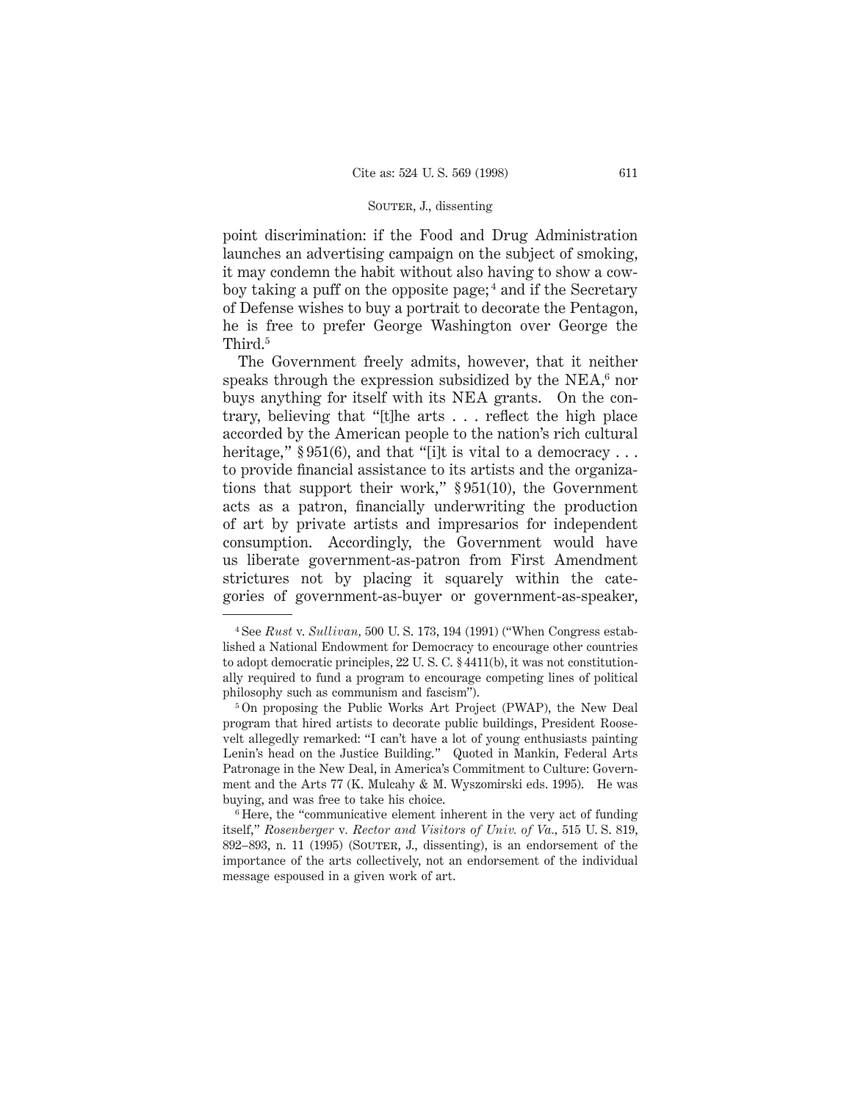point discrimination: if the Food and Drug Administration launches an advertising campaign on the subject of smoking, it may condemn the habit without also having to show a cowboy taking a puff on the opposite page; <sup>4</sup> and if the Secretary of Defense wishes to buy a portrait to decorate the Pentagon, he is free to prefer George Washington over George the Third.5

The Government freely admits, however, that it neither speaks through the expression subsidized by the  $NEA$ <sup>6</sup> nor buys anything for itself with its NEA grants. On the contrary, believing that "[t]he arts... reflect the high place accorded by the American people to the nation's rich cultural heritage,"  $§ 951(6)$ , and that "[i]t is vital to a democracy... to provide financial assistance to its artists and the organizations that support their work," § 951(10), the Government acts as a patron, financially underwriting the production of art by private artists and impresarios for independent consumption. Accordingly, the Government would have us liberate government-as-patron from First Amendment strictures not by placing it squarely within the categories of government-as-buyer or government-as-speaker,

<sup>4</sup> See *Rust* v. *Sullivan,* 500 U. S. 173, 194 (1991) ("When Congress established a National Endowment for Democracy to encourage other countries to adopt democratic principles, 22 U. S. C. § 4411(b), it was not constitutionally required to fund a program to encourage competing lines of political philosophy such as communism and fascism").

<sup>5</sup> On proposing the Public Works Art Project (PWAP), the New Deal program that hired artists to decorate public buildings, President Roosevelt allegedly remarked: "I can't have a lot of young enthusiasts painting Lenin's head on the Justice Building." Quoted in Mankin, Federal Arts Patronage in the New Deal, in America's Commitment to Culture: Government and the Arts 77 (K. Mulcahy & M. Wyszomirski eds. 1995). He was buying, and was free to take his choice.

<sup>6</sup> Here, the "communicative element inherent in the very act of funding itself," *Rosenberger* v*. Rector and Visitors of Univ. of Va.,* 515 U. S. 819, 892–893, n. 11 (1995) (Souter, J., dissenting), is an endorsement of the importance of the arts collectively, not an endorsement of the individual message espoused in a given work of art.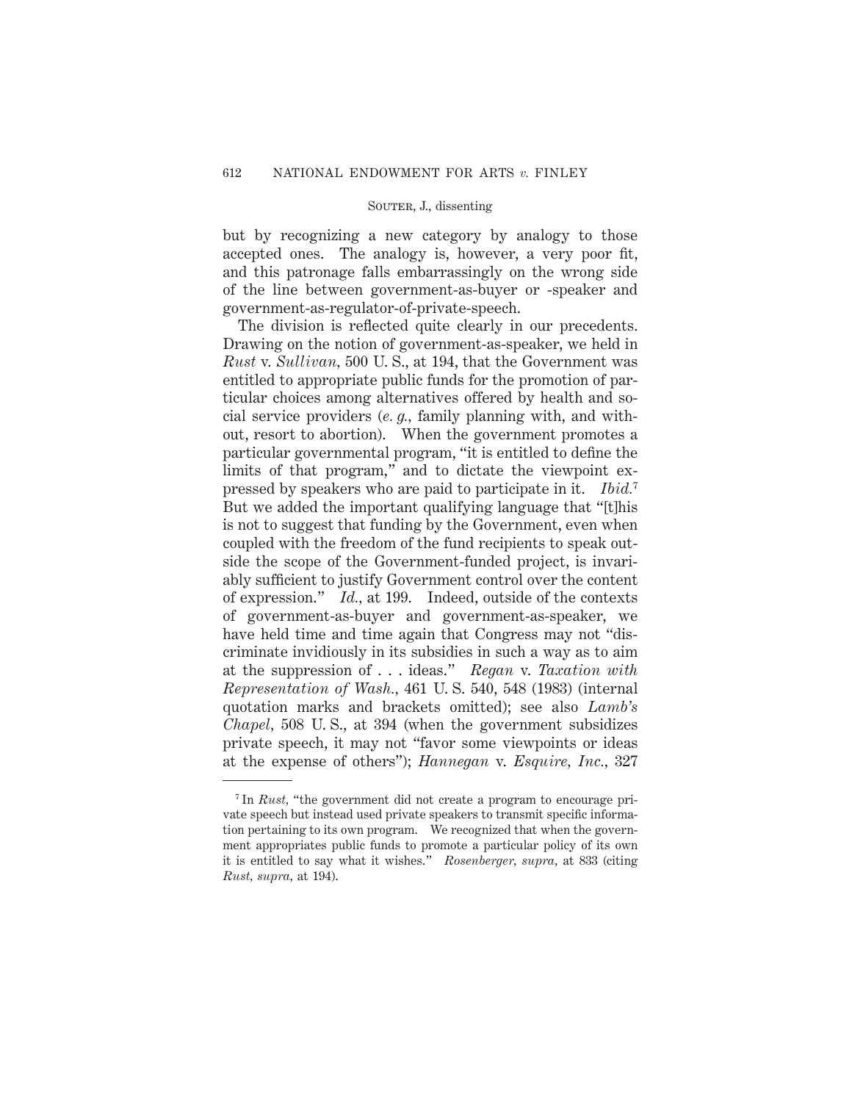but by recognizing a new category by analogy to those accepted ones. The analogy is, however, a very poor fit, and this patronage falls embarrassingly on the wrong side of the line between government-as-buyer or -speaker and government-as-regulator-of-private-speech.

The division is reflected quite clearly in our precedents. Drawing on the notion of government-as-speaker, we held in *Rust* v. *Sullivan,* 500 U. S., at 194, that the Government was entitled to appropriate public funds for the promotion of particular choices among alternatives offered by health and social service providers (*e. g.,* family planning with, and without, resort to abortion). When the government promotes a particular governmental program, "it is entitled to define the limits of that program," and to dictate the viewpoint expressed by speakers who are paid to participate in it. *Ibid.*<sup>7</sup> But we added the important qualifying language that "[t]his is not to suggest that funding by the Government, even when coupled with the freedom of the fund recipients to speak outside the scope of the Government-funded project, is invariably sufficient to justify Government control over the content of expression." *Id.,* at 199. Indeed, outside of the contexts of government-as-buyer and government-as-speaker, we have held time and time again that Congress may not "discriminate invidiously in its subsidies in such a way as to aim at the suppression of . . . ideas." *Regan* v. *Taxation with Representation of Wash.,* 461 U. S. 540, 548 (1983) (internal quotation marks and brackets omitted); see also *Lamb's Chapel,* 508 U. S., at 394 (when the government subsidizes private speech, it may not "favor some viewpoints or ideas at the expense of others"); *Hannegan* v. *Esquire, Inc.,* 327

<sup>7</sup> In *Rust,* "the government did not create a program to encourage private speech but instead used private speakers to transmit specific information pertaining to its own program. We recognized that when the government appropriates public funds to promote a particular policy of its own it is entitled to say what it wishes." *Rosenberger, supra,* at 833 (citing *Rust, supra,* at 194).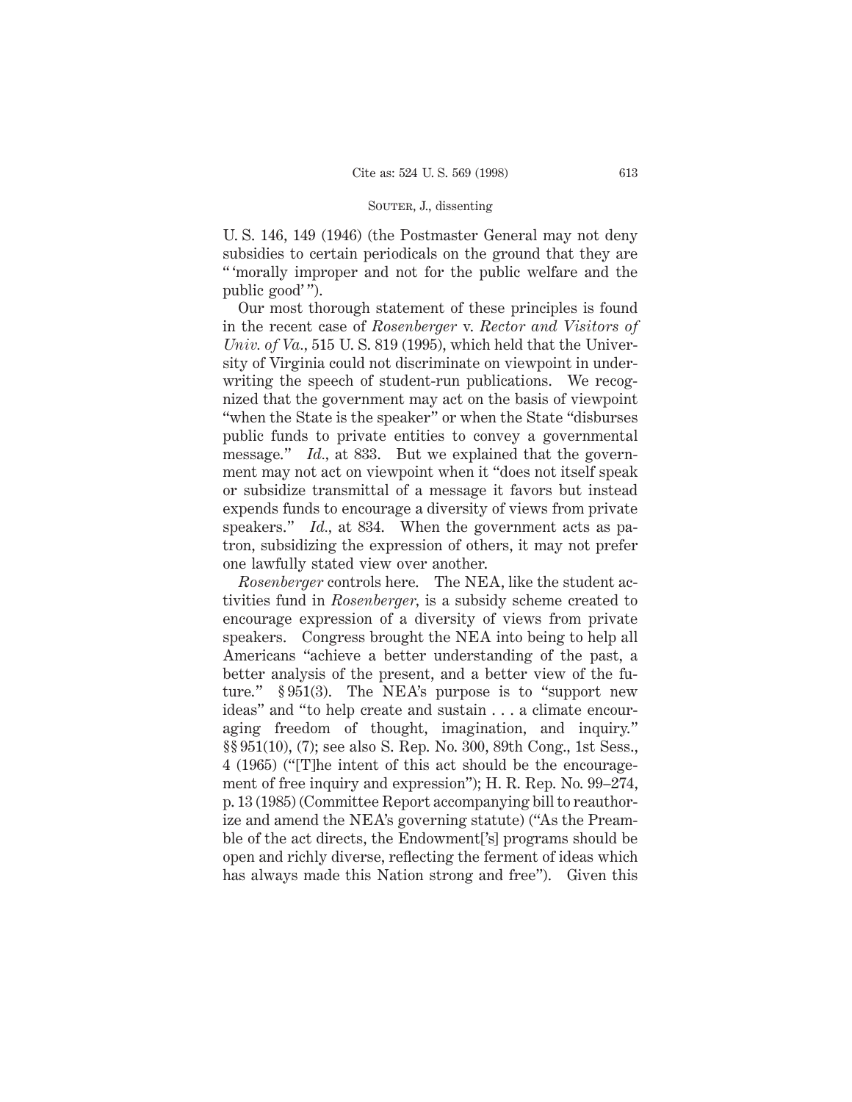U. S. 146, 149 (1946) (the Postmaster General may not deny subsidies to certain periodicals on the ground that they are " 'morally improper and not for the public welfare and the public good' ").

Our most thorough statement of these principles is found in the recent case of *Rosenberger* v. *Rector and Visitors of Univ. of Va.,* 515 U. S. 819 (1995), which held that the University of Virginia could not discriminate on viewpoint in underwriting the speech of student-run publications. We recognized that the government may act on the basis of viewpoint "when the State is the speaker" or when the State "disburses public funds to private entities to convey a governmental message." *Id.,* at 833. But we explained that the government may not act on viewpoint when it "does not itself speak or subsidize transmittal of a message it favors but instead expends funds to encourage a diversity of views from private speakers." *Id.*, at 834. When the government acts as patron, subsidizing the expression of others, it may not prefer one lawfully stated view over another.

*Rosenberger* controls here. The NEA, like the student activities fund in *Rosenberger,* is a subsidy scheme created to encourage expression of a diversity of views from private speakers. Congress brought the NEA into being to help all Americans "achieve a better understanding of the past, a better analysis of the present, and a better view of the future." § 951(3). The NEA's purpose is to "support new ideas" and "to help create and sustain . . . a climate encouraging freedom of thought, imagination, and inquiry." §§ 951(10), (7); see also S. Rep. No. 300, 89th Cong., 1st Sess., 4 (1965) ("[T]he intent of this act should be the encouragement of free inquiry and expression"); H. R. Rep. No. 99–274, p. 13 (1985) (Committee Report accompanying bill to reauthorize and amend the NEA's governing statute) ("As the Preamble of the act directs, the Endowment['s] programs should be open and richly diverse, reflecting the ferment of ideas which has always made this Nation strong and free"). Given this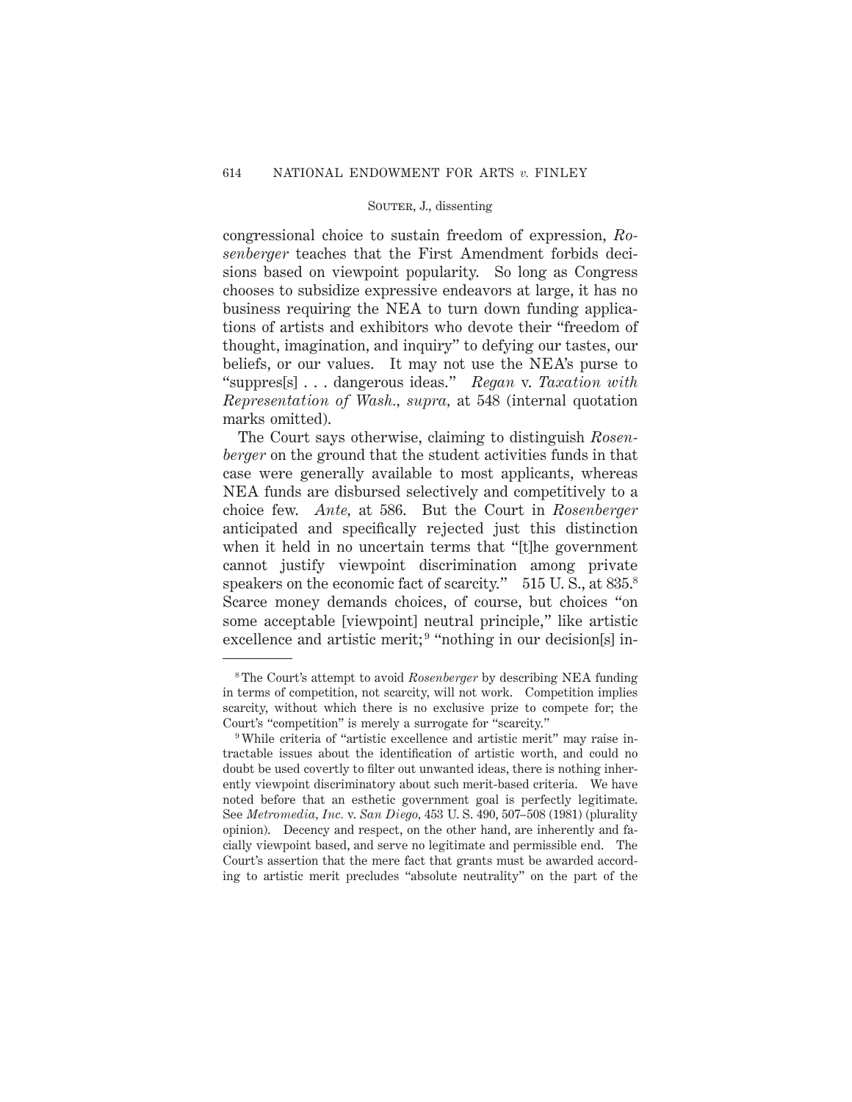congressional choice to sustain freedom of expression, *Rosenberger* teaches that the First Amendment forbids decisions based on viewpoint popularity. So long as Congress chooses to subsidize expressive endeavors at large, it has no business requiring the NEA to turn down funding applications of artists and exhibitors who devote their "freedom of thought, imagination, and inquiry" to defying our tastes, our beliefs, or our values. It may not use the NEA's purse to "suppres[s] . . . dangerous ideas." *Regan* v. *Taxation with Representation of Wash., supra,* at 548 (internal quotation marks omitted).

The Court says otherwise, claiming to distinguish *Rosenberger* on the ground that the student activities funds in that case were generally available to most applicants, whereas NEA funds are disbursed selectively and competitively to a choice few. *Ante,* at 586. But the Court in *Rosenberger* anticipated and specifically rejected just this distinction when it held in no uncertain terms that "[t]he government cannot justify viewpoint discrimination among private speakers on the economic fact of scarcity." 515 U.S., at 835.8 Scarce money demands choices, of course, but choices "on some acceptable [viewpoint] neutral principle," like artistic excellence and artistic merit;<sup>9</sup> "nothing in our decision[s] in-

<sup>8</sup> The Court's attempt to avoid *Rosenberger* by describing NEA funding in terms of competition, not scarcity, will not work. Competition implies scarcity, without which there is no exclusive prize to compete for; the Court's "competition" is merely a surrogate for "scarcity."

<sup>9</sup> While criteria of "artistic excellence and artistic merit" may raise intractable issues about the identification of artistic worth, and could no doubt be used covertly to filter out unwanted ideas, there is nothing inherently viewpoint discriminatory about such merit-based criteria. We have noted before that an esthetic government goal is perfectly legitimate. See *Metromedia, Inc.* v. *San Diego,* 453 U. S. 490, 507–508 (1981) (plurality opinion). Decency and respect, on the other hand, are inherently and facially viewpoint based, and serve no legitimate and permissible end. The Court's assertion that the mere fact that grants must be awarded according to artistic merit precludes "absolute neutrality" on the part of the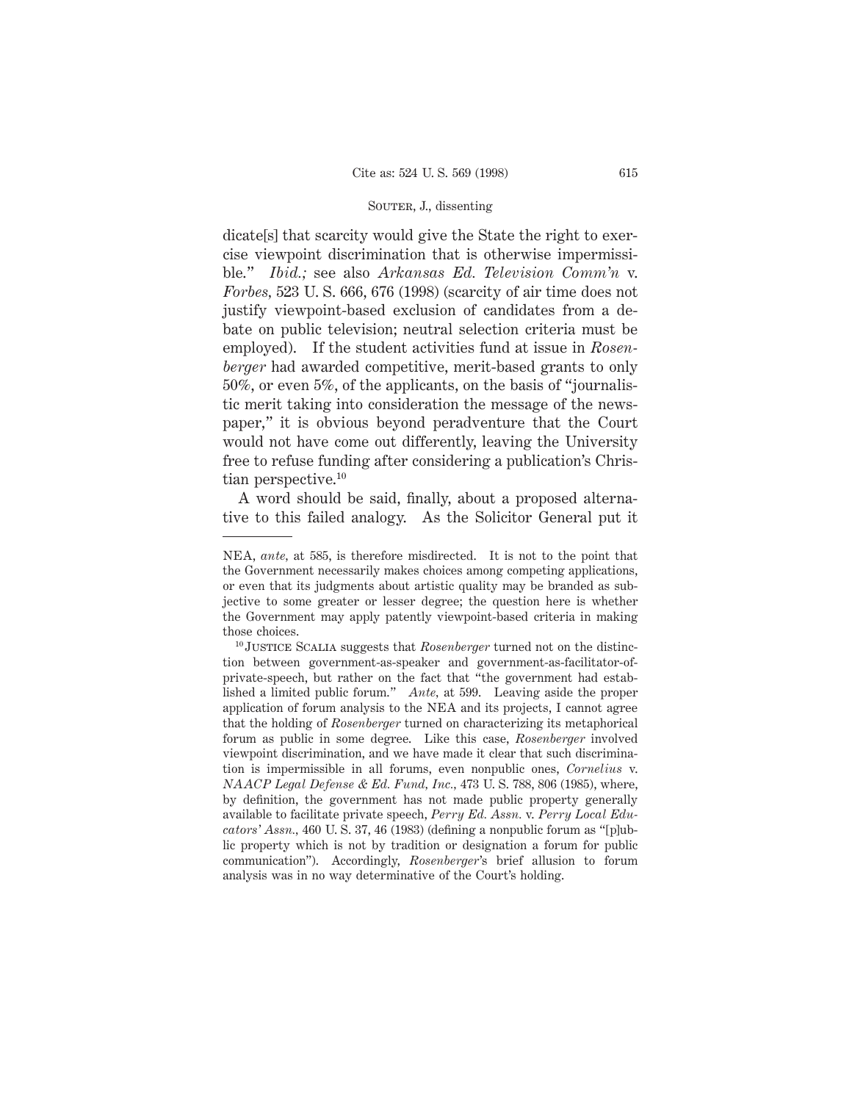dicate[s] that scarcity would give the State the right to exercise viewpoint discrimination that is otherwise impermissible." *Ibid.;* see also *Arkansas Ed. Television Comm'n* v. *Forbes,* 523 U. S. 666, 676 (1998) (scarcity of air time does not justify viewpoint-based exclusion of candidates from a debate on public television; neutral selection criteria must be employed). If the student activities fund at issue in *Rosenberger* had awarded competitive, merit-based grants to only 50%, or even 5%, of the applicants, on the basis of "journalistic merit taking into consideration the message of the newspaper," it is obvious beyond peradventure that the Court would not have come out differently, leaving the University free to refuse funding after considering a publication's Christian perspective.10

A word should be said, finally, about a proposed alternative to this failed analogy. As the Solicitor General put it

NEA, *ante,* at 585, is therefore misdirected. It is not to the point that the Government necessarily makes choices among competing applications, or even that its judgments about artistic quality may be branded as subjective to some greater or lesser degree; the question here is whether the Government may apply patently viewpoint-based criteria in making those choices.

<sup>10</sup> Justice Scalia suggests that *Rosenberger* turned not on the distinction between government-as-speaker and government-as-facilitator-ofprivate-speech, but rather on the fact that "the government had established a limited public forum." *Ante,* at 599. Leaving aside the proper application of forum analysis to the NEA and its projects, I cannot agree that the holding of *Rosenberger* turned on characterizing its metaphorical forum as public in some degree. Like this case, *Rosenberger* involved viewpoint discrimination, and we have made it clear that such discrimination is impermissible in all forums, even nonpublic ones, *Cornelius* v. *NAACP Legal Defense & Ed. Fund, Inc.,* 473 U. S. 788, 806 (1985), where, by definition, the government has not made public property generally available to facilitate private speech, *Perry Ed. Assn.* v. *Perry Local Educators' Assn.,* 460 U. S. 37, 46 (1983) (defining a nonpublic forum as "[p]ublic property which is not by tradition or designation a forum for public communication"). Accordingly, *Rosenberger*'s brief allusion to forum analysis was in no way determinative of the Court's holding.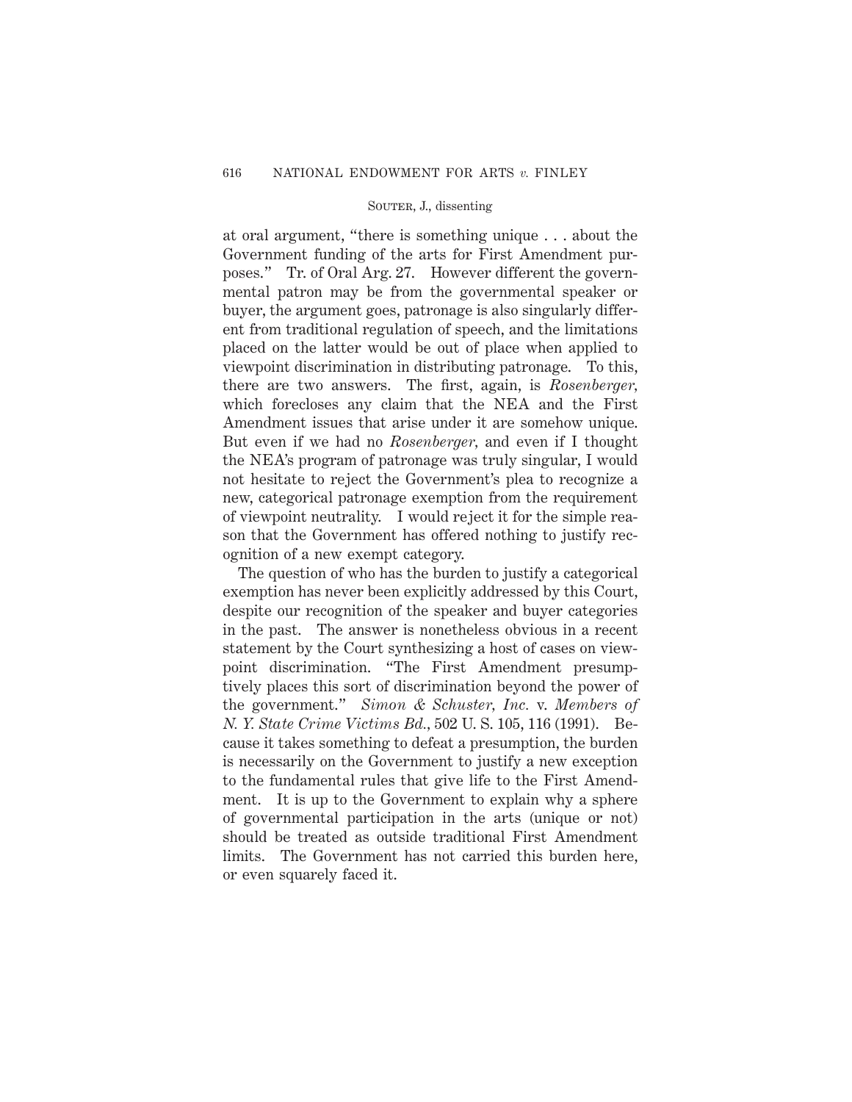at oral argument, "there is something unique . . . about the Government funding of the arts for First Amendment purposes." Tr. of Oral Arg. 27. However different the governmental patron may be from the governmental speaker or buyer, the argument goes, patronage is also singularly different from traditional regulation of speech, and the limitations placed on the latter would be out of place when applied to viewpoint discrimination in distributing patronage. To this, there are two answers. The first, again, is *Rosenberger,* which forecloses any claim that the NEA and the First Amendment issues that arise under it are somehow unique. But even if we had no *Rosenberger,* and even if I thought the NEA's program of patronage was truly singular, I would not hesitate to reject the Government's plea to recognize a new, categorical patronage exemption from the requirement of viewpoint neutrality. I would reject it for the simple reason that the Government has offered nothing to justify recognition of a new exempt category.

The question of who has the burden to justify a categorical exemption has never been explicitly addressed by this Court, despite our recognition of the speaker and buyer categories in the past. The answer is nonetheless obvious in a recent statement by the Court synthesizing a host of cases on viewpoint discrimination. "The First Amendment presumptively places this sort of discrimination beyond the power of the government." *Simon & Schuster, Inc.* v. *Members of N. Y. State Crime Victims Bd.,* 502 U. S. 105, 116 (1991). Because it takes something to defeat a presumption, the burden is necessarily on the Government to justify a new exception to the fundamental rules that give life to the First Amendment. It is up to the Government to explain why a sphere of governmental participation in the arts (unique or not) should be treated as outside traditional First Amendment limits. The Government has not carried this burden here, or even squarely faced it.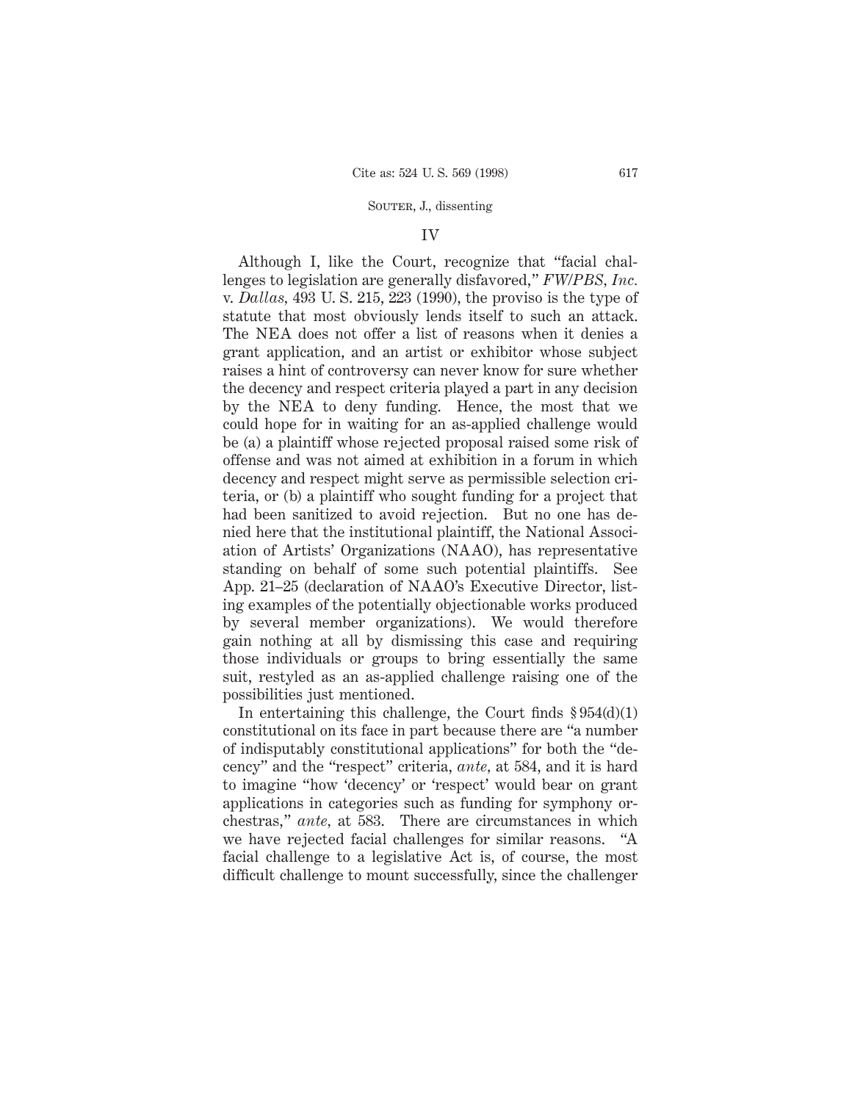### IV

Although I, like the Court, recognize that "facial challenges to legislation are generally disfavored," *FW/PBS, Inc.* v. *Dallas,* 493 U. S. 215, 223 (1990), the proviso is the type of statute that most obviously lends itself to such an attack. The NEA does not offer a list of reasons when it denies a grant application, and an artist or exhibitor whose subject raises a hint of controversy can never know for sure whether the decency and respect criteria played a part in any decision by the NEA to deny funding. Hence, the most that we could hope for in waiting for an as-applied challenge would be (a) a plaintiff whose rejected proposal raised some risk of offense and was not aimed at exhibition in a forum in which decency and respect might serve as permissible selection criteria, or (b) a plaintiff who sought funding for a project that had been sanitized to avoid rejection. But no one has denied here that the institutional plaintiff, the National Association of Artists' Organizations (NAAO), has representative standing on behalf of some such potential plaintiffs. See App. 21–25 (declaration of NAAO's Executive Director, listing examples of the potentially objectionable works produced by several member organizations). We would therefore gain nothing at all by dismissing this case and requiring those individuals or groups to bring essentially the same suit, restyled as an as-applied challenge raising one of the possibilities just mentioned.

In entertaining this challenge, the Court finds  $\S 954(d)(1)$ constitutional on its face in part because there are "a number of indisputably constitutional applications" for both the "decency" and the "respect" criteria, *ante,* at 584, and it is hard to imagine "how 'decency' or 'respect' would bear on grant applications in categories such as funding for symphony orchestras," *ante,* at 583. There are circumstances in which we have rejected facial challenges for similar reasons. "A facial challenge to a legislative Act is, of course, the most difficult challenge to mount successfully, since the challenger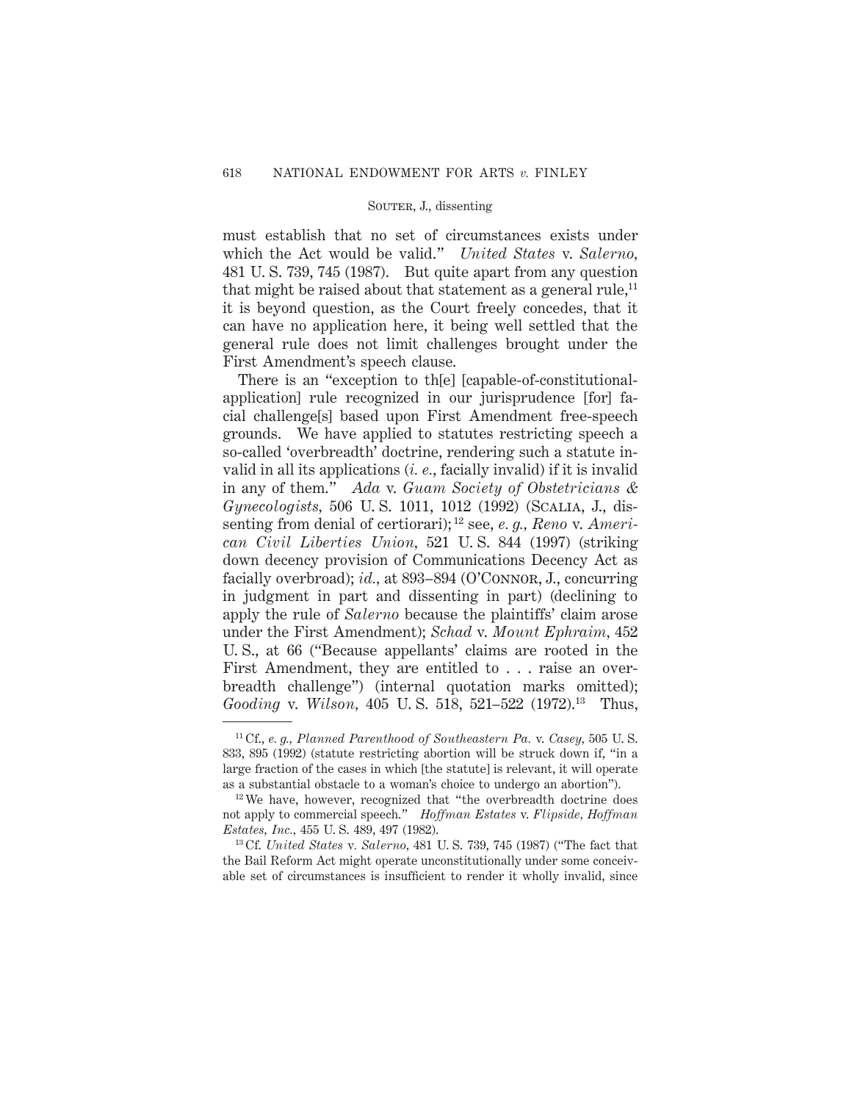must establish that no set of circumstances exists under which the Act would be valid." *United States* v. *Salerno,* 481 U. S. 739, 745 (1987). But quite apart from any question that might be raised about that statement as a general rule, $^{11}$ it is beyond question, as the Court freely concedes, that it can have no application here, it being well settled that the general rule does not limit challenges brought under the First Amendment's speech clause.

There is an "exception to th[e] [capable-of-constitutionalapplication] rule recognized in our jurisprudence [for] facial challenge[s] based upon First Amendment free-speech grounds. We have applied to statutes restricting speech a so-called 'overbreadth' doctrine, rendering such a statute invalid in all its applications (*i. e.*, facially invalid) if it is invalid in any of them." *Ada* v. *Guam Society of Obstetricians & Gynecologists,* 506 U. S. 1011, 1012 (1992) (Scalia, J., dissenting from denial of certiorari); <sup>12</sup> see, *e. g., Reno* v. *American Civil Liberties Union,* 521 U. S. 844 (1997) (striking down decency provision of Communications Decency Act as facially overbroad); *id.*, at 893–894 (O'CONNOR, J., concurring in judgment in part and dissenting in part) (declining to apply the rule of *Salerno* because the plaintiffs' claim arose under the First Amendment); *Schad* v. *Mount Ephraim,* 452 U. S., at 66 ("Because appellants' claims are rooted in the First Amendment, they are entitled to . . . raise an overbreadth challenge") (internal quotation marks omitted); *Gooding* v. *Wilson,* 405 U. S. 518, 521–522 (1972).13 Thus,

<sup>11</sup> Cf., *e. g., Planned Parenthood of Southeastern Pa.* v. *Casey,* 505 U. S. 833, 895 (1992) (statute restricting abortion will be struck down if, "in a large fraction of the cases in which [the statute] is relevant, it will operate as a substantial obstacle to a woman's choice to undergo an abortion").

 $12$  We have, however, recognized that "the overbreadth doctrine does not apply to commercial speech." *Hoffman Estates* v. *Flipside, Hoffman Estates, Inc.,* 455 U. S. 489, 497 (1982).

<sup>13</sup> Cf. *United States* v*. Salerno,* 481 U. S. 739, 745 (1987) ("The fact that the Bail Reform Act might operate unconstitutionally under some conceivable set of circumstances is insufficient to render it wholly invalid, since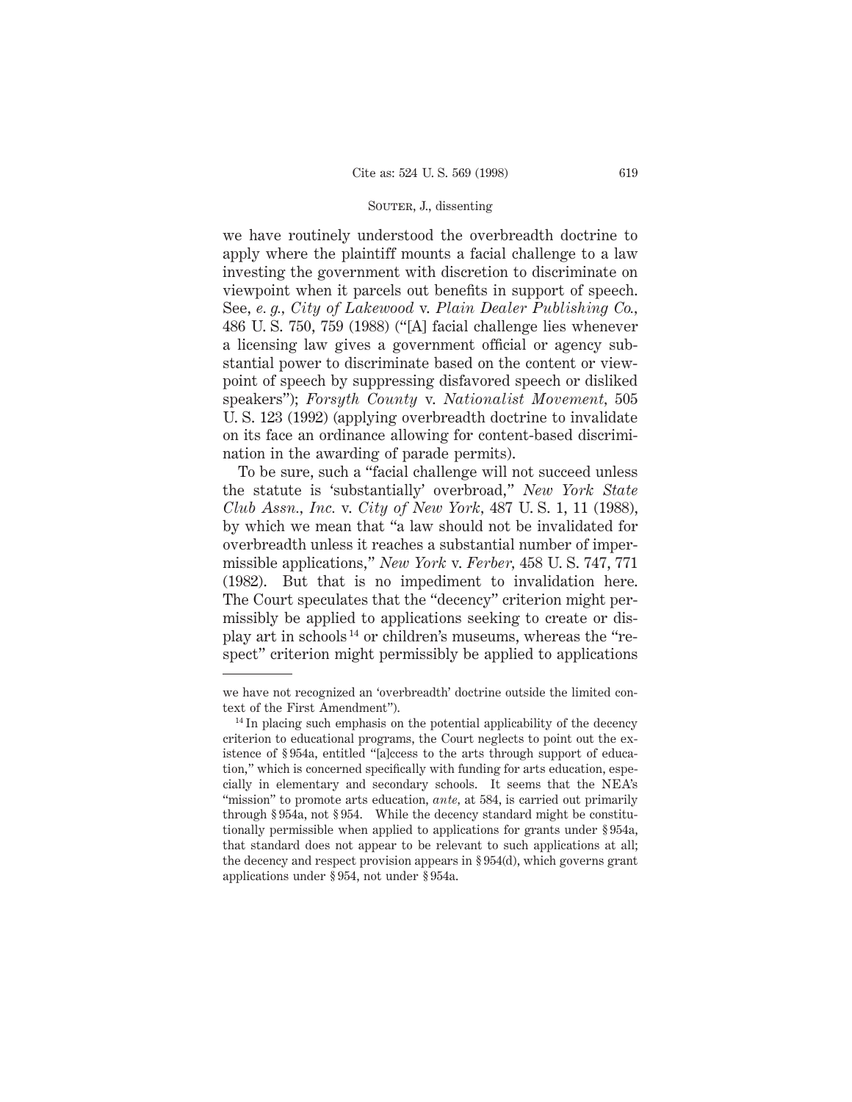we have routinely understood the overbreadth doctrine to apply where the plaintiff mounts a facial challenge to a law investing the government with discretion to discriminate on viewpoint when it parcels out benefits in support of speech. See, *e. g., City of Lakewood* v. *Plain Dealer Publishing Co.,* 486 U. S. 750, 759 (1988) ("[A] facial challenge lies whenever a licensing law gives a government official or agency substantial power to discriminate based on the content or viewpoint of speech by suppressing disfavored speech or disliked speakers"); *Forsyth County* v. *Nationalist Movement,* 505 U. S. 123 (1992) (applying overbreadth doctrine to invalidate on its face an ordinance allowing for content-based discrimination in the awarding of parade permits).

To be sure, such a "facial challenge will not succeed unless the statute is 'substantially' overbroad," *New York State Club Assn., Inc.* v. *City of New York,* 487 U. S. 1, 11 (1988), by which we mean that "a law should not be invalidated for overbreadth unless it reaches a substantial number of impermissible applications," *New York* v. *Ferber,* 458 U. S. 747, 771 (1982). But that is no impediment to invalidation here. The Court speculates that the "decency" criterion might permissibly be applied to applications seeking to create or display art in schools <sup>14</sup> or children's museums, whereas the "respect" criterion might permissibly be applied to applications

we have not recognized an 'overbreadth' doctrine outside the limited context of the First Amendment").

<sup>&</sup>lt;sup>14</sup> In placing such emphasis on the potential applicability of the decency criterion to educational programs, the Court neglects to point out the existence of § 954a, entitled "[a]ccess to the arts through support of education," which is concerned specifically with funding for arts education, especially in elementary and secondary schools. It seems that the NEA's "mission" to promote arts education, *ante*, at 584, is carried out primarily through § 954a, not § 954. While the decency standard might be constitutionally permissible when applied to applications for grants under § 954a, that standard does not appear to be relevant to such applications at all; the decency and respect provision appears in § 954(d), which governs grant applications under § 954, not under § 954a.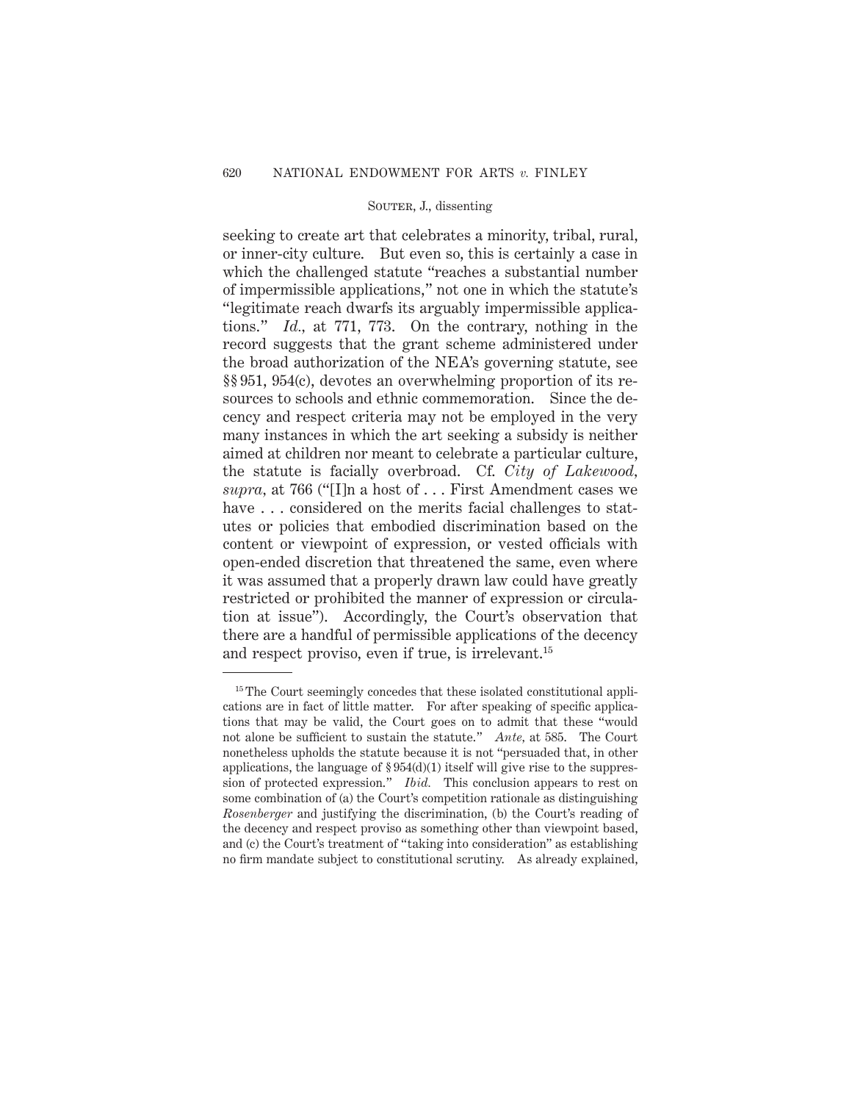seeking to create art that celebrates a minority, tribal, rural, or inner-city culture. But even so, this is certainly a case in which the challenged statute "reaches a substantial number of impermissible applications," not one in which the statute's "legitimate reach dwarfs its arguably impermissible applications." *Id.,* at 771, 773. On the contrary, nothing in the record suggests that the grant scheme administered under the broad authorization of the NEA's governing statute, see §§ 951, 954(c), devotes an overwhelming proportion of its resources to schools and ethnic commemoration. Since the decency and respect criteria may not be employed in the very many instances in which the art seeking a subsidy is neither aimed at children nor meant to celebrate a particular culture, the statute is facially overbroad. Cf. *City of Lakewood, supra,* at 766 ("[I]n a host of . . . First Amendment cases we have ... considered on the merits facial challenges to statutes or policies that embodied discrimination based on the content or viewpoint of expression, or vested officials with open-ended discretion that threatened the same, even where it was assumed that a properly drawn law could have greatly restricted or prohibited the manner of expression or circulation at issue"). Accordingly, the Court's observation that there are a handful of permissible applications of the decency and respect proviso, even if true, is irrelevant.15

<sup>&</sup>lt;sup>15</sup> The Court seemingly concedes that these isolated constitutional applications are in fact of little matter. For after speaking of specific applications that may be valid, the Court goes on to admit that these "would not alone be sufficient to sustain the statute." *Ante,* at 585. The Court nonetheless upholds the statute because it is not "persuaded that, in other applications, the language of  $\S 954(d)(1)$  itself will give rise to the suppression of protected expression." *Ibid.* This conclusion appears to rest on some combination of (a) the Court's competition rationale as distinguishing *Rosenberger* and justifying the discrimination, (b) the Court's reading of the decency and respect proviso as something other than viewpoint based, and (c) the Court's treatment of "taking into consideration" as establishing no firm mandate subject to constitutional scrutiny. As already explained,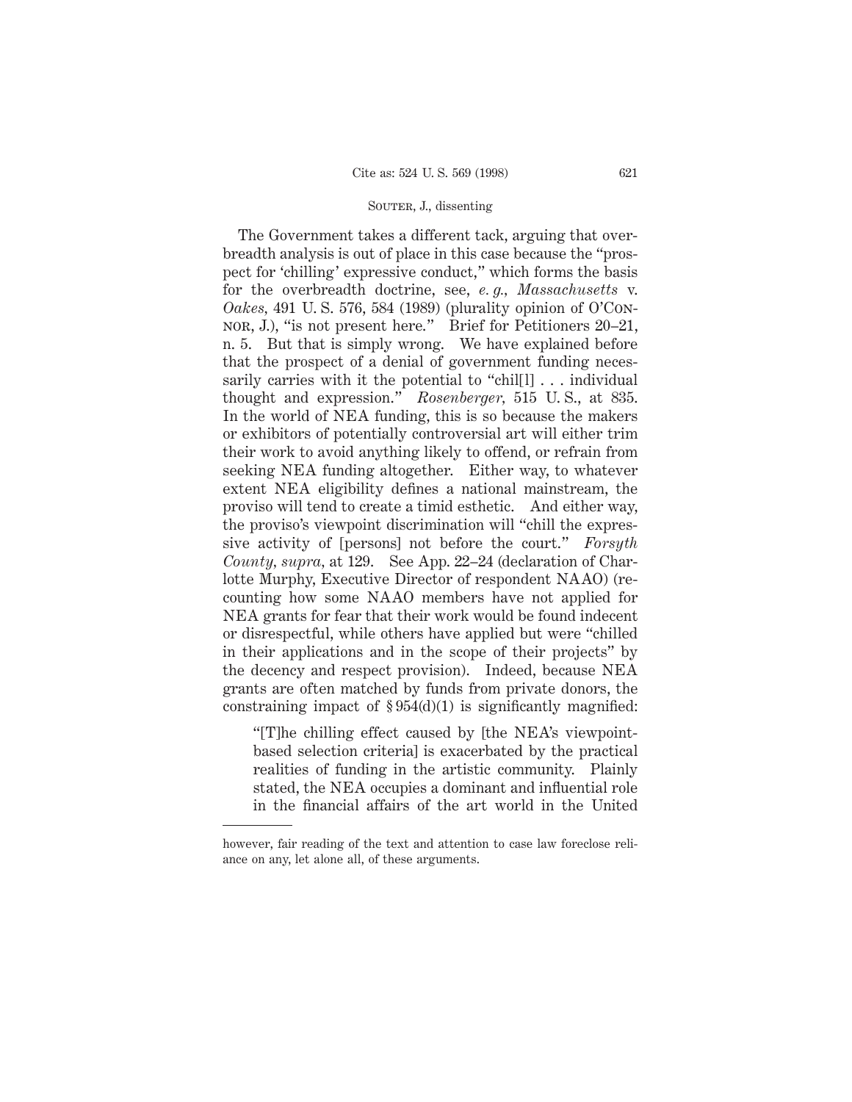The Government takes a different tack, arguing that overbreadth analysis is out of place in this case because the "prospect for 'chilling' expressive conduct," which forms the basis for the overbreadth doctrine, see, *e. g., Massachusetts* v. *Oakes,* 491 U. S. 576, 584 (1989) (plurality opinion of O'Connor, J.), "is not present here." Brief for Petitioners 20–21, n. 5. But that is simply wrong. We have explained before that the prospect of a denial of government funding necessarily carries with it the potential to "chil[l] . . . individual thought and expression." *Rosenberger,* 515 U. S., at 835. In the world of NEA funding, this is so because the makers or exhibitors of potentially controversial art will either trim their work to avoid anything likely to offend, or refrain from seeking NEA funding altogether. Either way, to whatever extent NEA eligibility defines a national mainstream, the proviso will tend to create a timid esthetic. And either way, the proviso's viewpoint discrimination will "chill the expressive activity of [persons] not before the court." *Forsyth County, supra,* at 129. See App. 22–24 (declaration of Charlotte Murphy, Executive Director of respondent NAAO) (recounting how some NAAO members have not applied for NEA grants for fear that their work would be found indecent or disrespectful, while others have applied but were "chilled in their applications and in the scope of their projects" by the decency and respect provision). Indeed, because NEA grants are often matched by funds from private donors, the constraining impact of  $\S 954(d)(1)$  is significantly magnified:

"[T]he chilling effect caused by [the NEA's viewpointbased selection criteria] is exacerbated by the practical realities of funding in the artistic community. Plainly stated, the NEA occupies a dominant and influential role in the financial affairs of the art world in the United

however, fair reading of the text and attention to case law foreclose reliance on any, let alone all, of these arguments.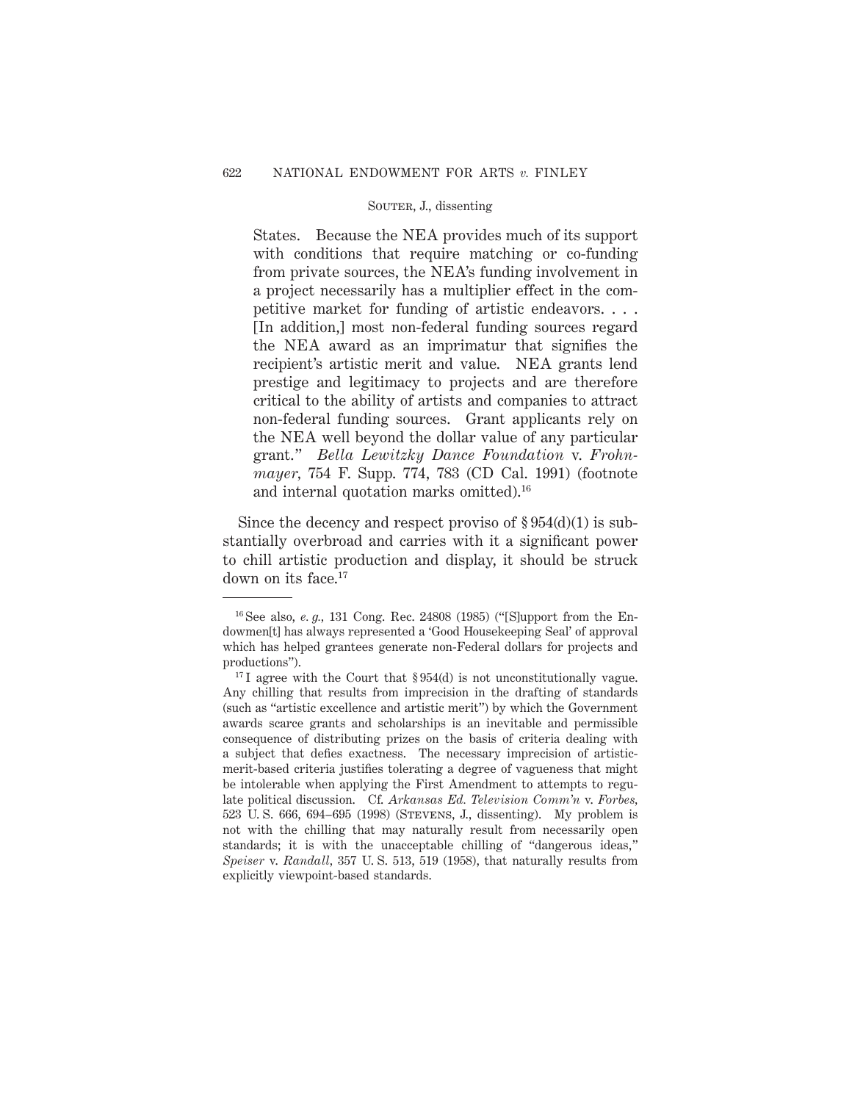States. Because the NEA provides much of its support with conditions that require matching or co-funding from private sources, the NEA's funding involvement in a project necessarily has a multiplier effect in the competitive market for funding of artistic endeavors.... [In addition,] most non-federal funding sources regard the NEA award as an imprimatur that signifies the recipient's artistic merit and value. NEA grants lend prestige and legitimacy to projects and are therefore critical to the ability of artists and companies to attract non-federal funding sources. Grant applicants rely on the NEA well beyond the dollar value of any particular grant." *Bella Lewitzky Dance Foundation* v. *Frohnmayer,* 754 F. Supp. 774, 783 (CD Cal. 1991) (footnote and internal quotation marks omitted).16

Since the decency and respect proviso of  $\S 954(d)(1)$  is substantially overbroad and carries with it a significant power to chill artistic production and display, it should be struck down on its face.17

<sup>16</sup> See also, *e. g.,* 131 Cong. Rec. 24808 (1985) ("[S]upport from the Endowmen[t] has always represented a 'Good Housekeeping Seal' of approval which has helped grantees generate non-Federal dollars for projects and productions").

<sup>&</sup>lt;sup>17</sup> I agree with the Court that  $\S 954(d)$  is not unconstitutionally vague. Any chilling that results from imprecision in the drafting of standards (such as "artistic excellence and artistic merit") by which the Government awards scarce grants and scholarships is an inevitable and permissible consequence of distributing prizes on the basis of criteria dealing with a subject that defies exactness. The necessary imprecision of artisticmerit-based criteria justifies tolerating a degree of vagueness that might be intolerable when applying the First Amendment to attempts to regulate political discussion. Cf. *Arkansas Ed. Television Comm'n* v. *Forbes,* 523 U. S. 666, 694–695 (1998) (Stevens, J., dissenting). My problem is not with the chilling that may naturally result from necessarily open standards; it is with the unacceptable chilling of "dangerous ideas," *Speiser* v. *Randall,* 357 U. S. 513, 519 (1958), that naturally results from explicitly viewpoint-based standards.